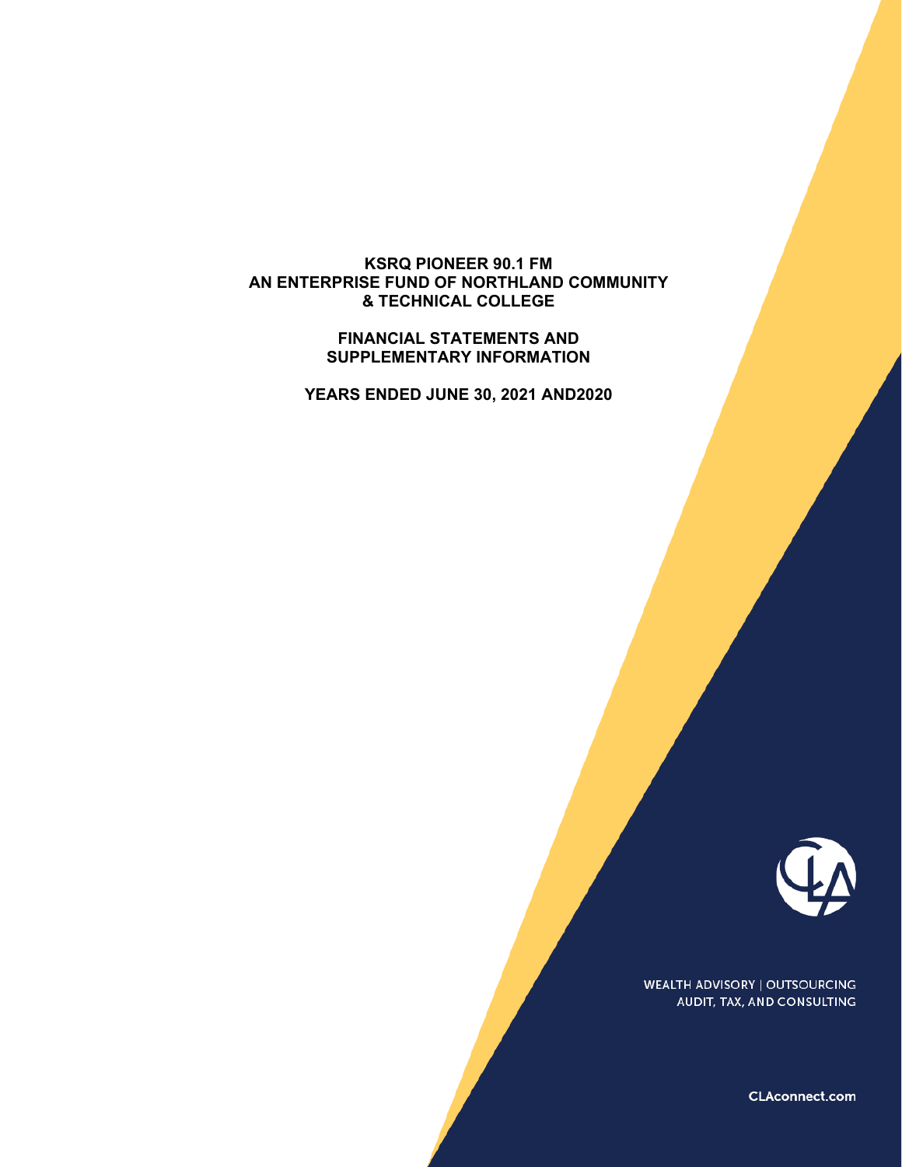#### **KSRQ PIONEER 90.1 FM AN ENTERPRISE FUND OF NORTHLAND COMMUNITY & TECHNICAL COLLEGE**

#### **FINANCIAL STATEMENTS AND SUPPLEMENTARY INFORMATION**

**YEARS ENDED JUNE 30, 2021 AND2020** 



**WEALTH ADVISORY | OUTSOURCING** AUDIT, TAX, AND CONSULTING

CLAconnect.com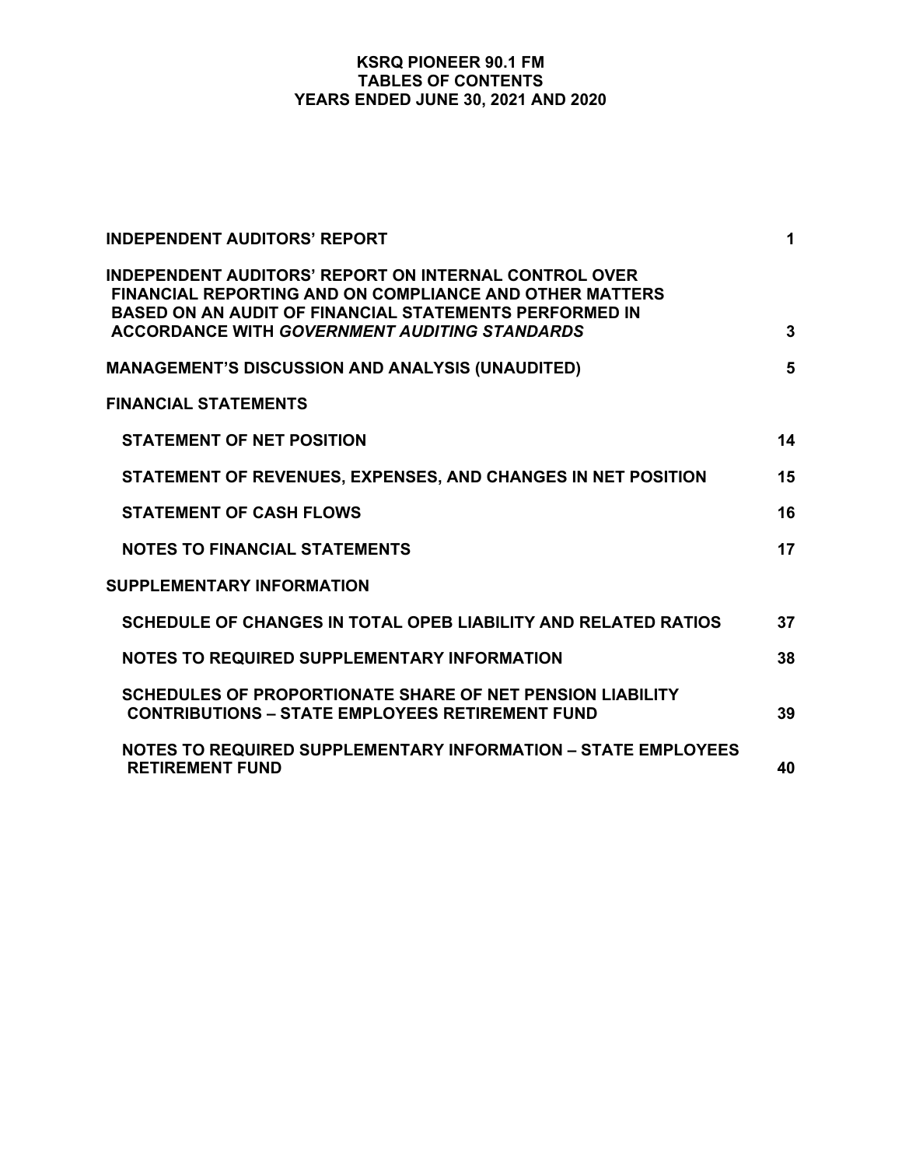## **KSRQ PIONEER 90.1 FM TABLES OF CONTENTS YEARS ENDED JUNE 30, 2021 AND 2020**

| <b>INDEPENDENT AUDITORS' REPORT</b>                                                                                                                                                                                                                     | 1            |
|---------------------------------------------------------------------------------------------------------------------------------------------------------------------------------------------------------------------------------------------------------|--------------|
| <b>INDEPENDENT AUDITORS' REPORT ON INTERNAL CONTROL OVER</b><br><b>FINANCIAL REPORTING AND ON COMPLIANCE AND OTHER MATTERS</b><br><b>BASED ON AN AUDIT OF FINANCIAL STATEMENTS PERFORMED IN</b><br><b>ACCORDANCE WITH GOVERNMENT AUDITING STANDARDS</b> | $\mathbf{3}$ |
| <b>MANAGEMENT'S DISCUSSION AND ANALYSIS (UNAUDITED)</b>                                                                                                                                                                                                 | 5            |
| <b>FINANCIAL STATEMENTS</b>                                                                                                                                                                                                                             |              |
| <b>STATEMENT OF NET POSITION</b>                                                                                                                                                                                                                        | 14           |
| STATEMENT OF REVENUES, EXPENSES, AND CHANGES IN NET POSITION                                                                                                                                                                                            | 15           |
| <b>STATEMENT OF CASH FLOWS</b>                                                                                                                                                                                                                          | 16           |
| <b>NOTES TO FINANCIAL STATEMENTS</b>                                                                                                                                                                                                                    | 17           |
| <b>SUPPLEMENTARY INFORMATION</b>                                                                                                                                                                                                                        |              |
| SCHEDULE OF CHANGES IN TOTAL OPEB LIABILITY AND RELATED RATIOS                                                                                                                                                                                          | 37           |
| NOTES TO REQUIRED SUPPLEMENTARY INFORMATION                                                                                                                                                                                                             | 38           |
| SCHEDULES OF PROPORTIONATE SHARE OF NET PENSION LIABILITY<br><b>CONTRIBUTIONS - STATE EMPLOYEES RETIREMENT FUND</b>                                                                                                                                     | 39           |
| NOTES TO REQUIRED SUPPLEMENTARY INFORMATION - STATE EMPLOYEES<br><b>RETIREMENT FUND</b>                                                                                                                                                                 | 40           |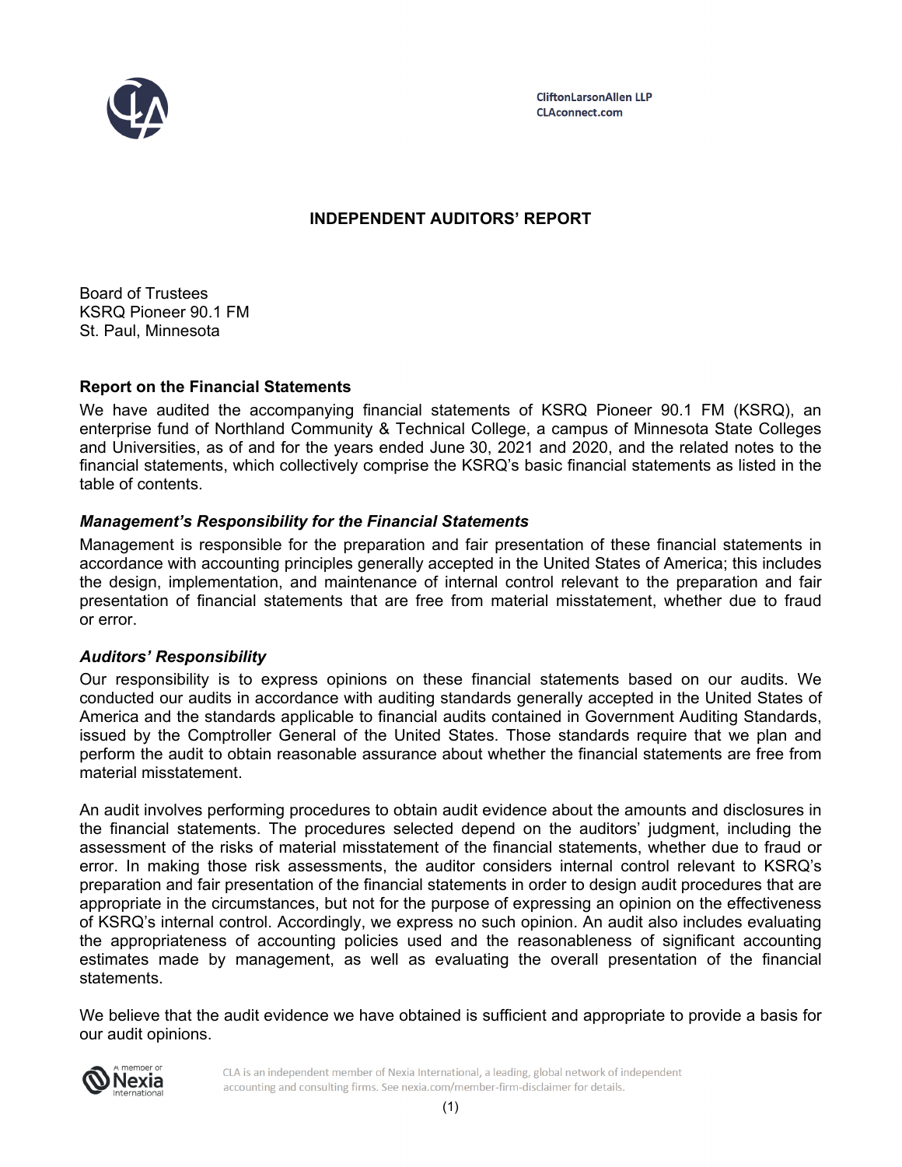

**CliftonLarsonAllen LLP CLAconnect.com** 

# **INDEPENDENT AUDITORS' REPORT**

Board of Trustees KSRQ Pioneer 90.1 FM St. Paul, Minnesota

## **Report on the Financial Statements**

We have audited the accompanying financial statements of KSRQ Pioneer 90.1 FM (KSRQ), an enterprise fund of Northland Community & Technical College, a campus of Minnesota State Colleges and Universities, as of and for the years ended June 30, 2021 and 2020, and the related notes to the financial statements, which collectively comprise the KSRQ's basic financial statements as listed in the table of contents.

## *Management's Responsibility for the Financial Statements*

Management is responsible for the preparation and fair presentation of these financial statements in accordance with accounting principles generally accepted in the United States of America; this includes the design, implementation, and maintenance of internal control relevant to the preparation and fair presentation of financial statements that are free from material misstatement, whether due to fraud or error.

#### *Auditors' Responsibility*

Our responsibility is to express opinions on these financial statements based on our audits. We conducted our audits in accordance with auditing standards generally accepted in the United States of America and the standards applicable to financial audits contained in Government Auditing Standards, issued by the Comptroller General of the United States. Those standards require that we plan and perform the audit to obtain reasonable assurance about whether the financial statements are free from material misstatement.

An audit involves performing procedures to obtain audit evidence about the amounts and disclosures in the financial statements. The procedures selected depend on the auditors' judgment, including the assessment of the risks of material misstatement of the financial statements, whether due to fraud or error. In making those risk assessments, the auditor considers internal control relevant to KSRQ's preparation and fair presentation of the financial statements in order to design audit procedures that are appropriate in the circumstances, but not for the purpose of expressing an opinion on the effectiveness of KSRQ's internal control. Accordingly, we express no such opinion. An audit also includes evaluating the appropriateness of accounting policies used and the reasonableness of significant accounting estimates made by management, as well as evaluating the overall presentation of the financial statements.

We believe that the audit evidence we have obtained is sufficient and appropriate to provide a basis for our audit opinions.



CLA is an independent member of Nexia International, a leading, global network of independent accounting and consulting firms. See nexia.com/member-firm-disclaimer for details.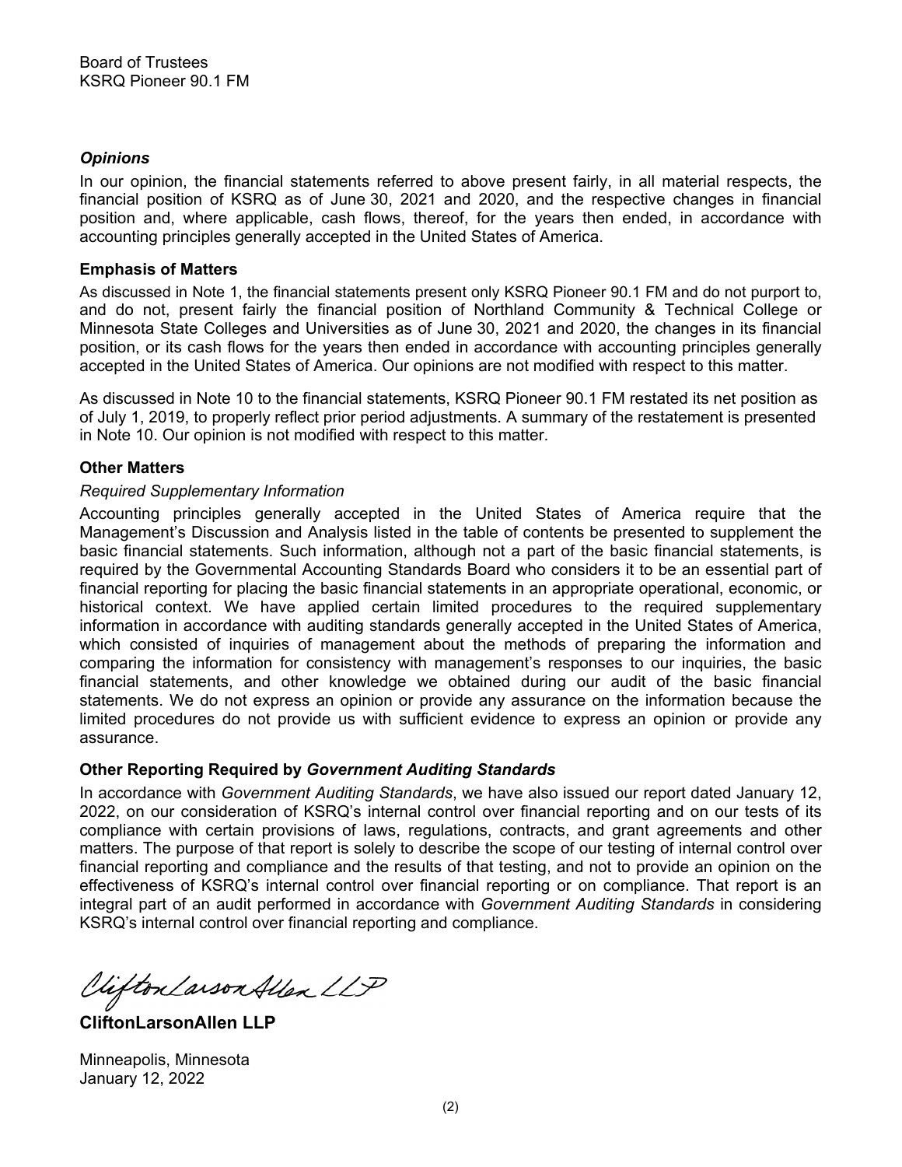#### *Opinions*

In our opinion, the financial statements referred to above present fairly, in all material respects, the financial position of KSRQ as of June 30, 2021 and 2020, and the respective changes in financial position and, where applicable, cash flows, thereof, for the years then ended, in accordance with accounting principles generally accepted in the United States of America.

#### **Emphasis of Matters**

As discussed in Note 1, the financial statements present only KSRQ Pioneer 90.1 FM and do not purport to, and do not, present fairly the financial position of Northland Community & Technical College or Minnesota State Colleges and Universities as of June 30, 2021 and 2020, the changes in its financial position, or its cash flows for the years then ended in accordance with accounting principles generally accepted in the United States of America. Our opinions are not modified with respect to this matter.

As discussed in Note 10 to the financial statements, KSRQ Pioneer 90.1 FM restated its net position as of July 1, 2019, to properly reflect prior period adjustments. A summary of the restatement is presented in Note 10. Our opinion is not modified with respect to this matter.

#### **Other Matters**

#### *Required Supplementary Information*

Accounting principles generally accepted in the United States of America require that the Management's Discussion and Analysis listed in the table of contents be presented to supplement the basic financial statements. Such information, although not a part of the basic financial statements, is required by the Governmental Accounting Standards Board who considers it to be an essential part of financial reporting for placing the basic financial statements in an appropriate operational, economic, or historical context. We have applied certain limited procedures to the required supplementary information in accordance with auditing standards generally accepted in the United States of America, which consisted of inquiries of management about the methods of preparing the information and comparing the information for consistency with management's responses to our inquiries, the basic financial statements, and other knowledge we obtained during our audit of the basic financial statements. We do not express an opinion or provide any assurance on the information because the limited procedures do not provide us with sufficient evidence to express an opinion or provide any assurance.

#### **Other Reporting Required by** *Government Auditing Standards*

In accordance with *Government Auditing Standards*, we have also issued our report dated January 12, 2022, on our consideration of KSRQ's internal control over financial reporting and on our tests of its compliance with certain provisions of laws, regulations, contracts, and grant agreements and other matters. The purpose of that report is solely to describe the scope of our testing of internal control over financial reporting and compliance and the results of that testing, and not to provide an opinion on the effectiveness of KSRQ's internal control over financial reporting or on compliance. That report is an integral part of an audit performed in accordance with *Government Auditing Standards* in considering KSRQ's internal control over financial reporting and compliance.

Viifton Larson Allen LLP

**CliftonLarsonAllen LLP** 

Minneapolis, Minnesota January 12, 2022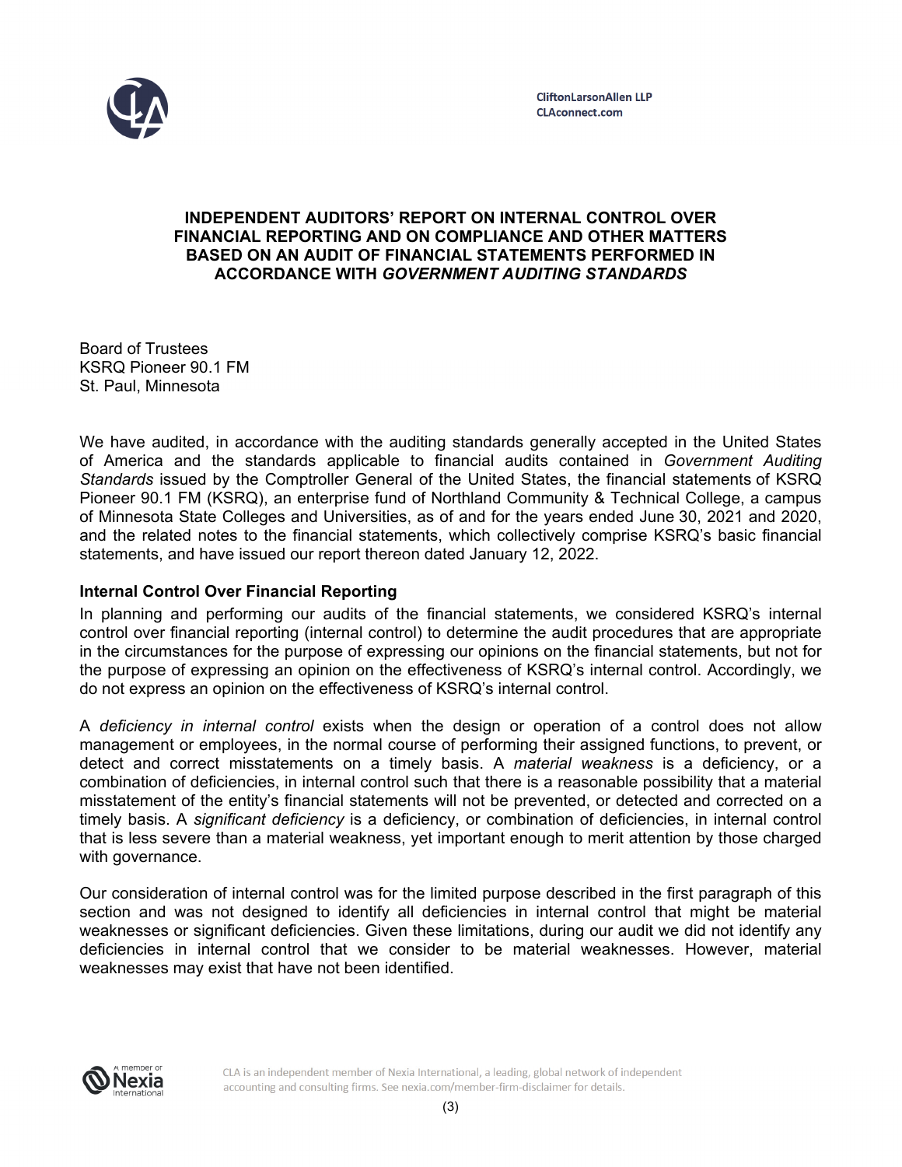

**CliftonLarsonAllen LLP CLAconnect.com** 

## **INDEPENDENT AUDITORS' REPORT ON INTERNAL CONTROL OVER FINANCIAL REPORTING AND ON COMPLIANCE AND OTHER MATTERS BASED ON AN AUDIT OF FINANCIAL STATEMENTS PERFORMED IN ACCORDANCE WITH** *GOVERNMENT AUDITING STANDARDS*

Board of Trustees KSRQ Pioneer 90.1 FM St. Paul, Minnesota

We have audited, in accordance with the auditing standards generally accepted in the United States of America and the standards applicable to financial audits contained in *Government Auditing Standards* issued by the Comptroller General of the United States, the financial statements of KSRQ Pioneer 90.1 FM (KSRQ), an enterprise fund of Northland Community & Technical College, a campus of Minnesota State Colleges and Universities, as of and for the years ended June 30, 2021 and 2020, and the related notes to the financial statements, which collectively comprise KSRQ's basic financial statements, and have issued our report thereon dated January 12, 2022.

## **Internal Control Over Financial Reporting**

In planning and performing our audits of the financial statements, we considered KSRQ's internal control over financial reporting (internal control) to determine the audit procedures that are appropriate in the circumstances for the purpose of expressing our opinions on the financial statements, but not for the purpose of expressing an opinion on the effectiveness of KSRQ's internal control. Accordingly, we do not express an opinion on the effectiveness of KSRQ's internal control.

A *deficiency in internal control* exists when the design or operation of a control does not allow management or employees, in the normal course of performing their assigned functions, to prevent, or detect and correct misstatements on a timely basis. A *material weakness* is a deficiency, or a combination of deficiencies, in internal control such that there is a reasonable possibility that a material misstatement of the entity's financial statements will not be prevented, or detected and corrected on a timely basis. A *significant deficiency* is a deficiency, or combination of deficiencies, in internal control that is less severe than a material weakness, yet important enough to merit attention by those charged with governance.

Our consideration of internal control was for the limited purpose described in the first paragraph of this section and was not designed to identify all deficiencies in internal control that might be material weaknesses or significant deficiencies. Given these limitations, during our audit we did not identify any deficiencies in internal control that we consider to be material weaknesses. However, material weaknesses may exist that have not been identified.



CLA is an independent member of Nexia International, a leading, global network of independent accounting and consulting firms. See nexia.com/member-firm-disclaimer for details.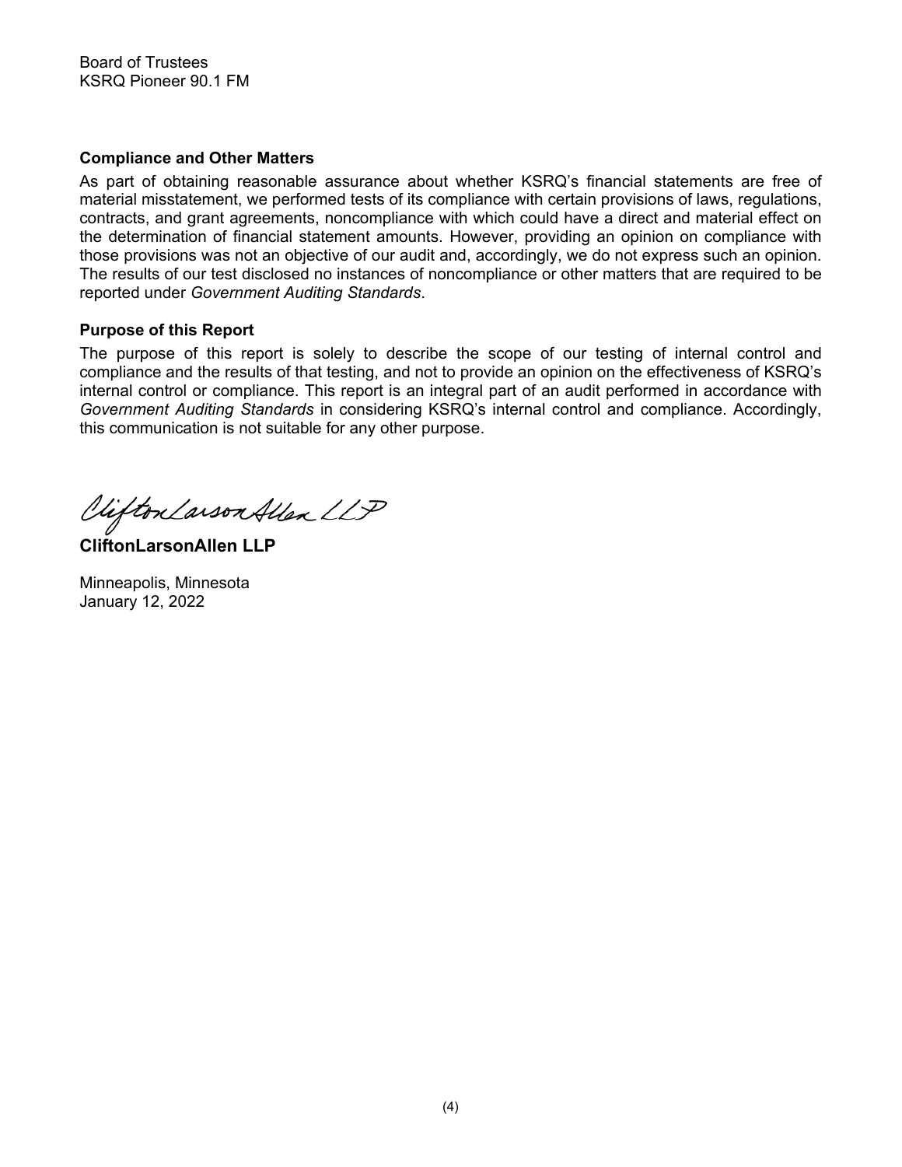Board of Trustees KSRQ Pioneer 90.1 FM

#### **Compliance and Other Matters**

As part of obtaining reasonable assurance about whether KSRQ's financial statements are free of material misstatement, we performed tests of its compliance with certain provisions of laws, regulations, contracts, and grant agreements, noncompliance with which could have a direct and material effect on the determination of financial statement amounts. However, providing an opinion on compliance with those provisions was not an objective of our audit and, accordingly, we do not express such an opinion. The results of our test disclosed no instances of noncompliance or other matters that are required to be reported under *Government Auditing Standards*.

#### **Purpose of this Report**

The purpose of this report is solely to describe the scope of our testing of internal control and compliance and the results of that testing, and not to provide an opinion on the effectiveness of KSRQ's internal control or compliance. This report is an integral part of an audit performed in accordance with *Government Auditing Standards* in considering KSRQ's internal control and compliance. Accordingly, this communication is not suitable for any other purpose.

Vifton Larson Allen LLP

**CliftonLarsonAllen LLP** 

Minneapolis, Minnesota January 12, 2022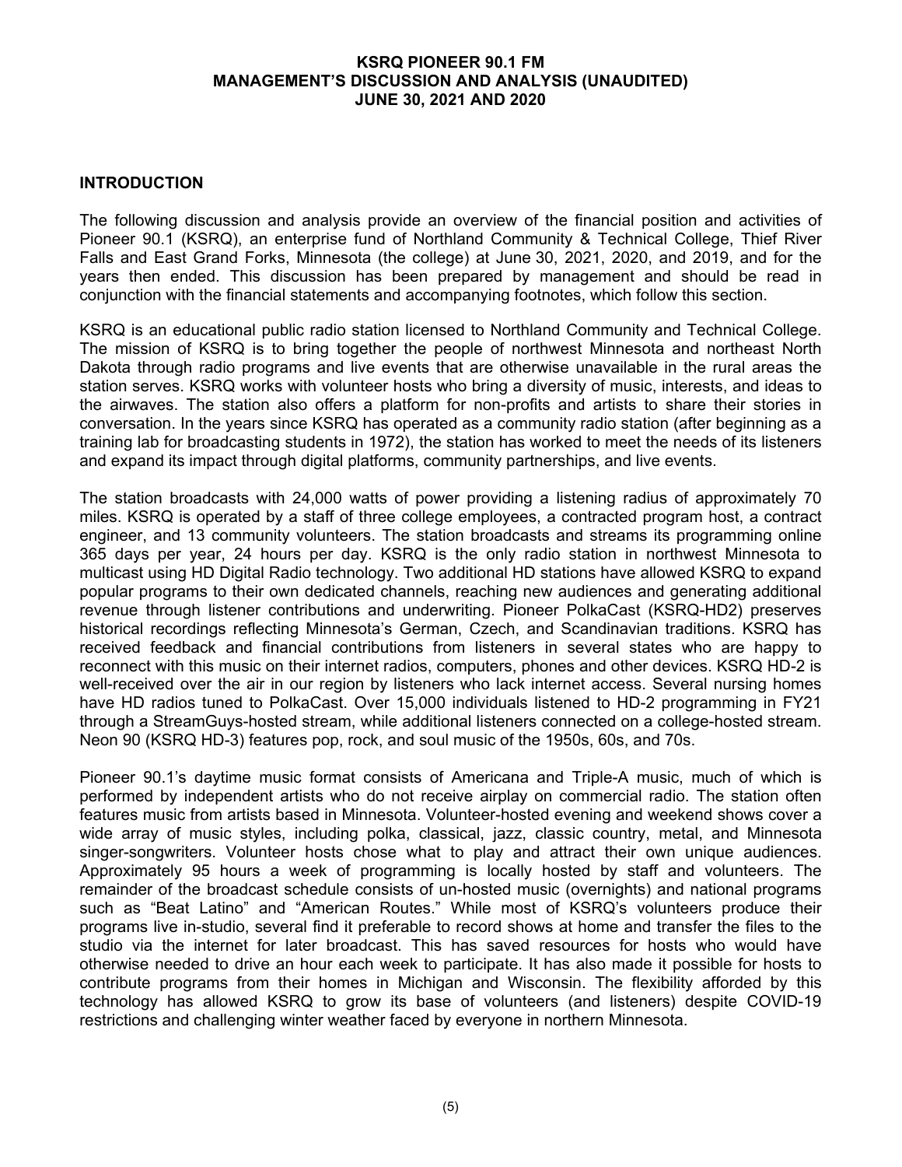#### **INTRODUCTION**

The following discussion and analysis provide an overview of the financial position and activities of Pioneer 90.1 (KSRQ), an enterprise fund of Northland Community & Technical College, Thief River Falls and East Grand Forks, Minnesota (the college) at June 30, 2021, 2020, and 2019, and for the years then ended. This discussion has been prepared by management and should be read in conjunction with the financial statements and accompanying footnotes, which follow this section.

KSRQ is an educational public radio station licensed to Northland Community and Technical College. The mission of KSRQ is to bring together the people of northwest Minnesota and northeast North Dakota through radio programs and live events that are otherwise unavailable in the rural areas the station serves. KSRQ works with volunteer hosts who bring a diversity of music, interests, and ideas to the airwaves. The station also offers a platform for non-profits and artists to share their stories in conversation. In the years since KSRQ has operated as a community radio station (after beginning as a training lab for broadcasting students in 1972), the station has worked to meet the needs of its listeners and expand its impact through digital platforms, community partnerships, and live events.

The station broadcasts with 24,000 watts of power providing a listening radius of approximately 70 miles. KSRQ is operated by a staff of three college employees, a contracted program host, a contract engineer, and 13 community volunteers. The station broadcasts and streams its programming online 365 days per year, 24 hours per day. KSRQ is the only radio station in northwest Minnesota to multicast using HD Digital Radio technology. Two additional HD stations have allowed KSRQ to expand popular programs to their own dedicated channels, reaching new audiences and generating additional revenue through listener contributions and underwriting. Pioneer PolkaCast (KSRQ-HD2) preserves historical recordings reflecting Minnesota's German, Czech, and Scandinavian traditions. KSRQ has received feedback and financial contributions from listeners in several states who are happy to reconnect with this music on their internet radios, computers, phones and other devices. KSRQ HD-2 is well-received over the air in our region by listeners who lack internet access. Several nursing homes have HD radios tuned to PolkaCast. Over 15,000 individuals listened to HD-2 programming in FY21 through a StreamGuys-hosted stream, while additional listeners connected on a college-hosted stream. Neon 90 (KSRQ HD-3) features pop, rock, and soul music of the 1950s, 60s, and 70s.

Pioneer 90.1's daytime music format consists of Americana and Triple-A music, much of which is performed by independent artists who do not receive airplay on commercial radio. The station often features music from artists based in Minnesota. Volunteer-hosted evening and weekend shows cover a wide array of music styles, including polka, classical, jazz, classic country, metal, and Minnesota singer-songwriters. Volunteer hosts chose what to play and attract their own unique audiences. Approximately 95 hours a week of programming is locally hosted by staff and volunteers. The remainder of the broadcast schedule consists of un-hosted music (overnights) and national programs such as "Beat Latino" and "American Routes." While most of KSRQ's volunteers produce their programs live in-studio, several find it preferable to record shows at home and transfer the files to the studio via the internet for later broadcast. This has saved resources for hosts who would have otherwise needed to drive an hour each week to participate. It has also made it possible for hosts to contribute programs from their homes in Michigan and Wisconsin. The flexibility afforded by this technology has allowed KSRQ to grow its base of volunteers (and listeners) despite COVID-19 restrictions and challenging winter weather faced by everyone in northern Minnesota.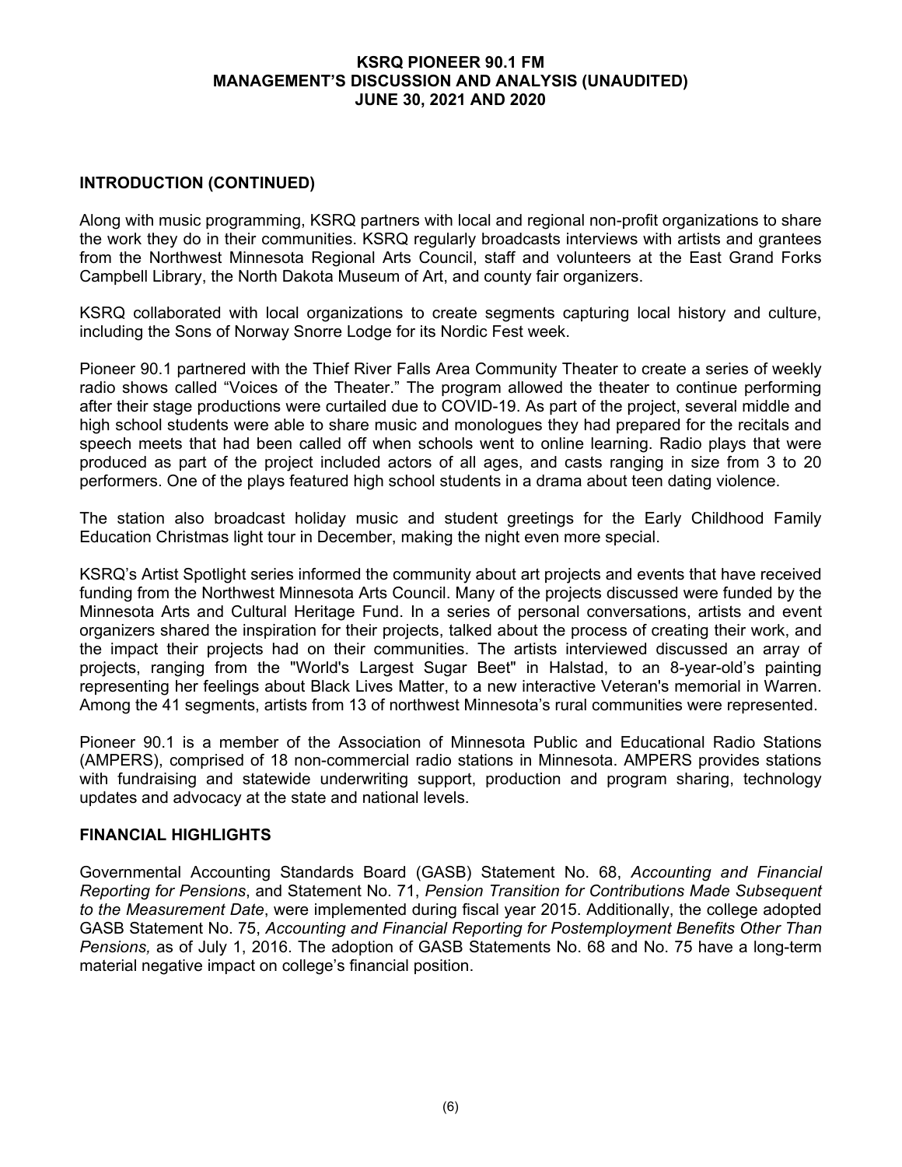### **INTRODUCTION (CONTINUED)**

Along with music programming, KSRQ partners with local and regional non-profit organizations to share the work they do in their communities. KSRQ regularly broadcasts interviews with artists and grantees from the Northwest Minnesota Regional Arts Council, staff and volunteers at the East Grand Forks Campbell Library, the North Dakota Museum of Art, and county fair organizers.

KSRQ collaborated with local organizations to create segments capturing local history and culture, including the Sons of Norway Snorre Lodge for its Nordic Fest week.

Pioneer 90.1 partnered with the Thief River Falls Area Community Theater to create a series of weekly radio shows called "Voices of the Theater." The program allowed the theater to continue performing after their stage productions were curtailed due to COVID-19. As part of the project, several middle and high school students were able to share music and monologues they had prepared for the recitals and speech meets that had been called off when schools went to online learning. Radio plays that were produced as part of the project included actors of all ages, and casts ranging in size from 3 to 20 performers. One of the plays featured high school students in a drama about teen dating violence.

The station also broadcast holiday music and student greetings for the Early Childhood Family Education Christmas light tour in December, making the night even more special.

KSRQ's Artist Spotlight series informed the community about art projects and events that have received funding from the Northwest Minnesota Arts Council. Many of the projects discussed were funded by the Minnesota Arts and Cultural Heritage Fund. In a series of personal conversations, artists and event organizers shared the inspiration for their projects, talked about the process of creating their work, and the impact their projects had on their communities. The artists interviewed discussed an array of projects, ranging from the "World's Largest Sugar Beet" in Halstad, to an 8-year-old's painting representing her feelings about Black Lives Matter, to a new interactive Veteran's memorial in Warren. Among the 41 segments, artists from 13 of northwest Minnesota's rural communities were represented.

Pioneer 90.1 is a member of the Association of Minnesota Public and Educational Radio Stations (AMPERS), comprised of 18 non-commercial radio stations in Minnesota. AMPERS provides stations with fundraising and statewide underwriting support, production and program sharing, technology updates and advocacy at the state and national levels.

## **FINANCIAL HIGHLIGHTS**

Governmental Accounting Standards Board (GASB) Statement No. 68, *Accounting and Financial Reporting for Pensions*, and Statement No. 71, *Pension Transition for Contributions Made Subsequent to the Measurement Date*, were implemented during fiscal year 2015. Additionally, the college adopted GASB Statement No. 75, *Accounting and Financial Reporting for Postemployment Benefits Other Than Pensions,* as of July 1, 2016. The adoption of GASB Statements No. 68 and No. 75 have a long-term material negative impact on college's financial position.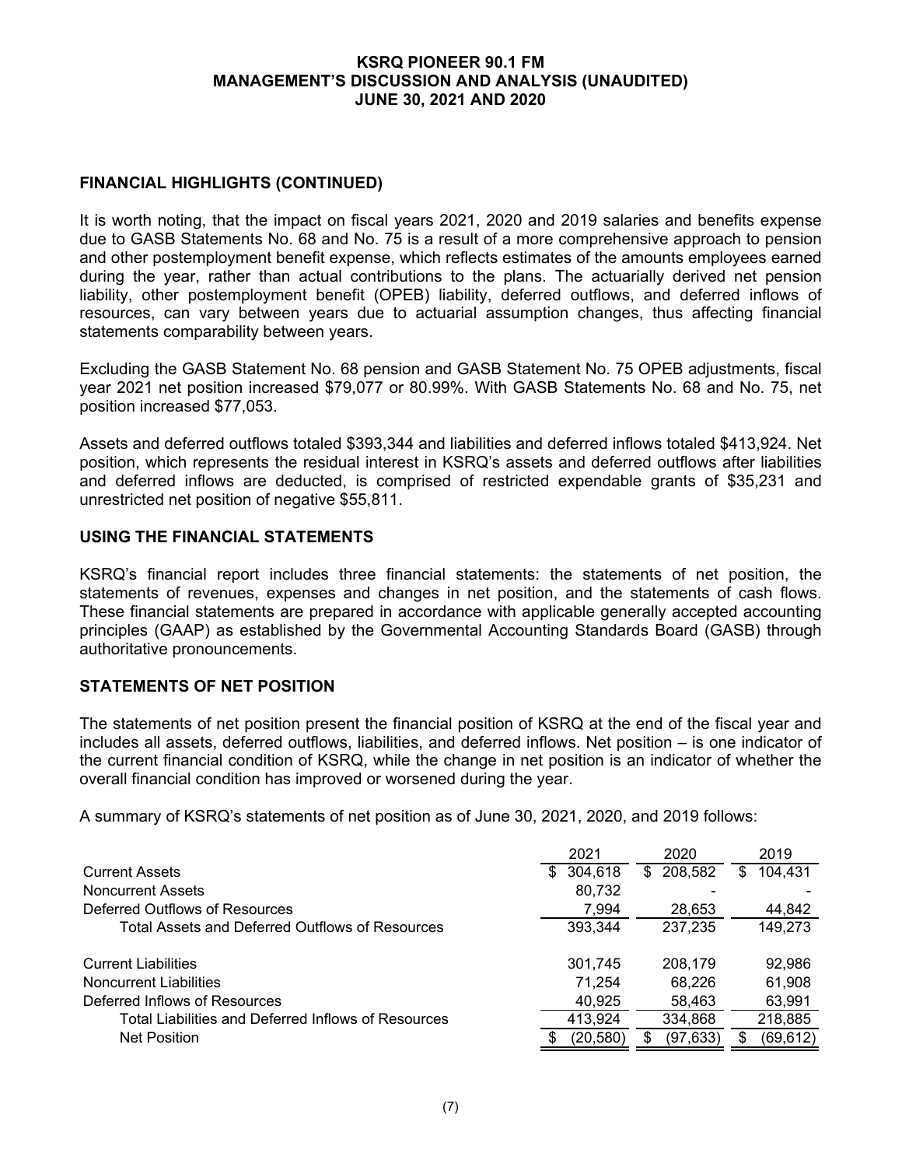## **FINANCIAL HIGHLIGHTS (CONTINUED)**

It is worth noting, that the impact on fiscal years 2021, 2020 and 2019 salaries and benefits expense due to GASB Statements No. 68 and No. 75 is a result of a more comprehensive approach to pension and other postemployment benefit expense, which reflects estimates of the amounts employees earned during the year, rather than actual contributions to the plans. The actuarially derived net pension liability, other postemployment benefit (OPEB) liability, deferred outflows, and deferred inflows of resources, can vary between years due to actuarial assumption changes, thus affecting financial statements comparability between years.

Excluding the GASB Statement No. 68 pension and GASB Statement No. 75 OPEB adjustments, fiscal year 2021 net position increased \$79,077 or 80.99%. With GASB Statements No. 68 and No. 75, net position increased \$77,053.

Assets and deferred outflows totaled \$393,344 and liabilities and deferred inflows totaled \$413,924. Net position, which represents the residual interest in KSRQ's assets and deferred outflows after liabilities and deferred inflows are deducted, is comprised of restricted expendable grants of \$35,231 and unrestricted net position of negative \$55,811.

### **USING THE FINANCIAL STATEMENTS**

KSRQ's financial report includes three financial statements: the statements of net position, the statements of revenues, expenses and changes in net position, and the statements of cash flows. These financial statements are prepared in accordance with applicable generally accepted accounting principles (GAAP) as established by the Governmental Accounting Standards Board (GASB) through authoritative pronouncements.

## **STATEMENTS OF NET POSITION**

The statements of net position present the financial position of KSRQ at the end of the fiscal year and includes all assets, deferred outflows, liabilities, and deferred inflows. Net position – is one indicator of the current financial condition of KSRQ, while the change in net position is an indicator of whether the overall financial condition has improved or worsened during the year.

A summary of KSRQ's statements of net position as of June 30, 2021, 2020, and 2019 follows:

|                                                     | 2021          | 2020           | 2019           |
|-----------------------------------------------------|---------------|----------------|----------------|
| <b>Current Assets</b>                               | 304,618<br>S. | 208,582<br>\$. | 104,431<br>\$. |
| <b>Noncurrent Assets</b>                            | 80,732        |                |                |
| Deferred Outflows of Resources                      | 7.994         | 28,653         | 44,842         |
| Total Assets and Deferred Outflows of Resources     | 393,344       | 237,235        | 149,273        |
| <b>Current Liabilities</b>                          | 301,745       | 208.179        | 92,986         |
| <b>Noncurrent Liabilities</b>                       | 71.254        | 68.226         | 61,908         |
| Deferred Inflows of Resources                       | 40,925        | 58,463         | 63,991         |
| Total Liabilities and Deferred Inflows of Resources | 413,924       | 334,868        | 218,885        |
| Net Position                                        | (20, 580)     | (97, 633)      | (69, 612)      |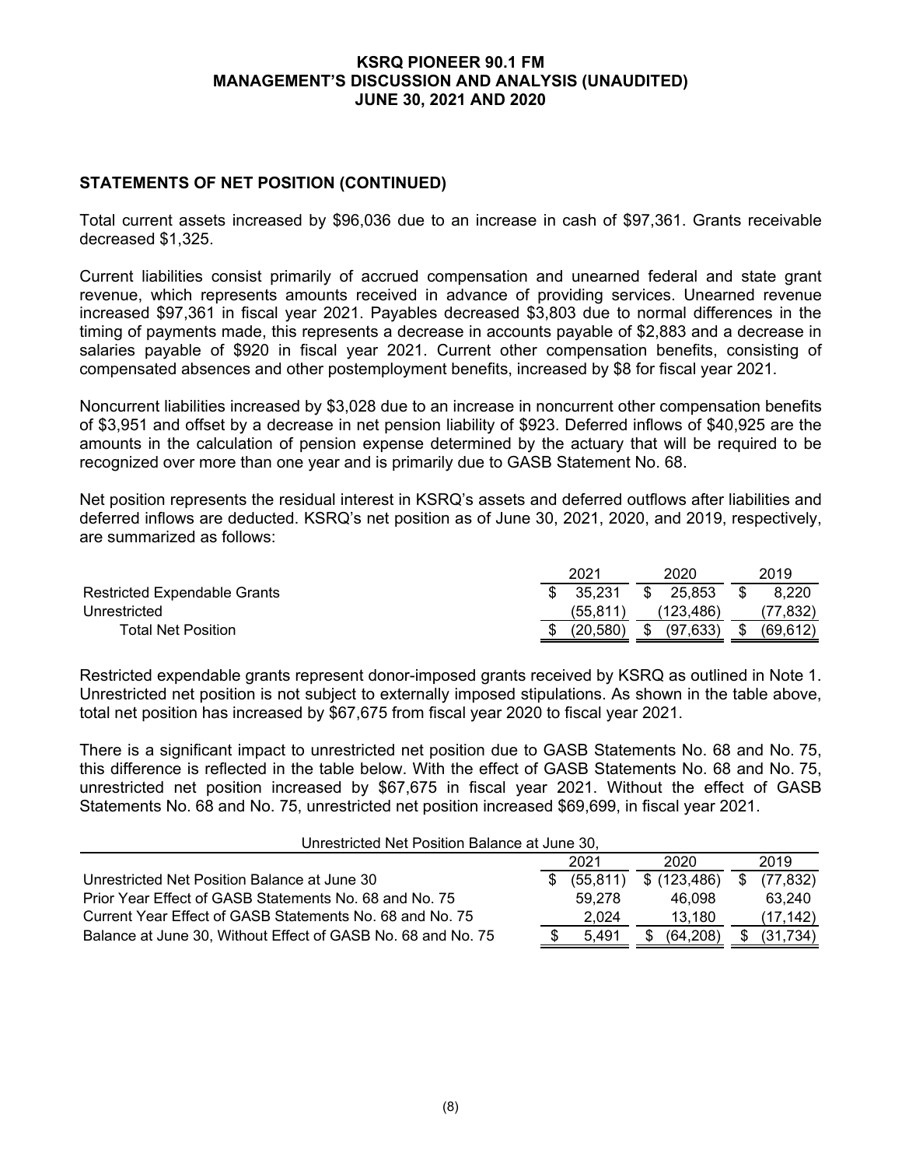## **STATEMENTS OF NET POSITION (CONTINUED)**

Total current assets increased by \$96,036 due to an increase in cash of \$97,361. Grants receivable decreased \$1,325.

Current liabilities consist primarily of accrued compensation and unearned federal and state grant revenue, which represents amounts received in advance of providing services. Unearned revenue increased \$97,361 in fiscal year 2021. Payables decreased \$3,803 due to normal differences in the timing of payments made, this represents a decrease in accounts payable of \$2,883 and a decrease in salaries payable of \$920 in fiscal year 2021. Current other compensation benefits, consisting of compensated absences and other postemployment benefits, increased by \$8 for fiscal year 2021.

Noncurrent liabilities increased by \$3,028 due to an increase in noncurrent other compensation benefits of \$3,951 and offset by a decrease in net pension liability of \$923. Deferred inflows of \$40,925 are the amounts in the calculation of pension expense determined by the actuary that will be required to be recognized over more than one year and is primarily due to GASB Statement No. 68.

Net position represents the residual interest in KSRQ's assets and deferred outflows after liabilities and deferred inflows are deducted. KSRQ's net position as of June 30, 2021, 2020, and 2019, respectively, are summarized as follows:

|                                     | 2021 |          | 2020 |           | 2019     |
|-------------------------------------|------|----------|------|-----------|----------|
| <b>Restricted Expendable Grants</b> |      | 35,231   | \$   | 25.853    | 8.220    |
| Unrestricted                        |      | (55.811) |      | (123,486) | '77,832) |
| Total Net Position                  |      | (20.580) | \$   | (97, 633) | (69,612) |

Restricted expendable grants represent donor-imposed grants received by KSRQ as outlined in Note 1. Unrestricted net position is not subject to externally imposed stipulations. As shown in the table above, total net position has increased by \$67,675 from fiscal year 2020 to fiscal year 2021.

There is a significant impact to unrestricted net position due to GASB Statements No. 68 and No. 75, this difference is reflected in the table below. With the effect of GASB Statements No. 68 and No. 75, unrestricted net position increased by \$67,675 in fiscal year 2021. Without the effect of GASB Statements No. 68 and No. 75, unrestricted net position increased \$69,699, in fiscal year 2021.

| Unrestricted Net Position Balance at June 30,                |      |           |  |              |  |           |  |      |
|--------------------------------------------------------------|------|-----------|--|--------------|--|-----------|--|------|
|                                                              | 2021 |           |  |              |  | 2020      |  | 2019 |
| Unrestricted Net Position Balance at June 30                 |      | (55, 811) |  | \$(123, 486) |  | (77, 832) |  |      |
| Prior Year Effect of GASB Statements No. 68 and No. 75       |      | 59.278    |  | 46.098       |  | 63.240    |  |      |
| Current Year Effect of GASB Statements No. 68 and No. 75     |      | 2.024     |  | 13,180       |  | (17, 142) |  |      |
| Balance at June 30, Without Effect of GASB No. 68 and No. 75 |      | 5.491     |  | (64, 208)    |  | (31,734)  |  |      |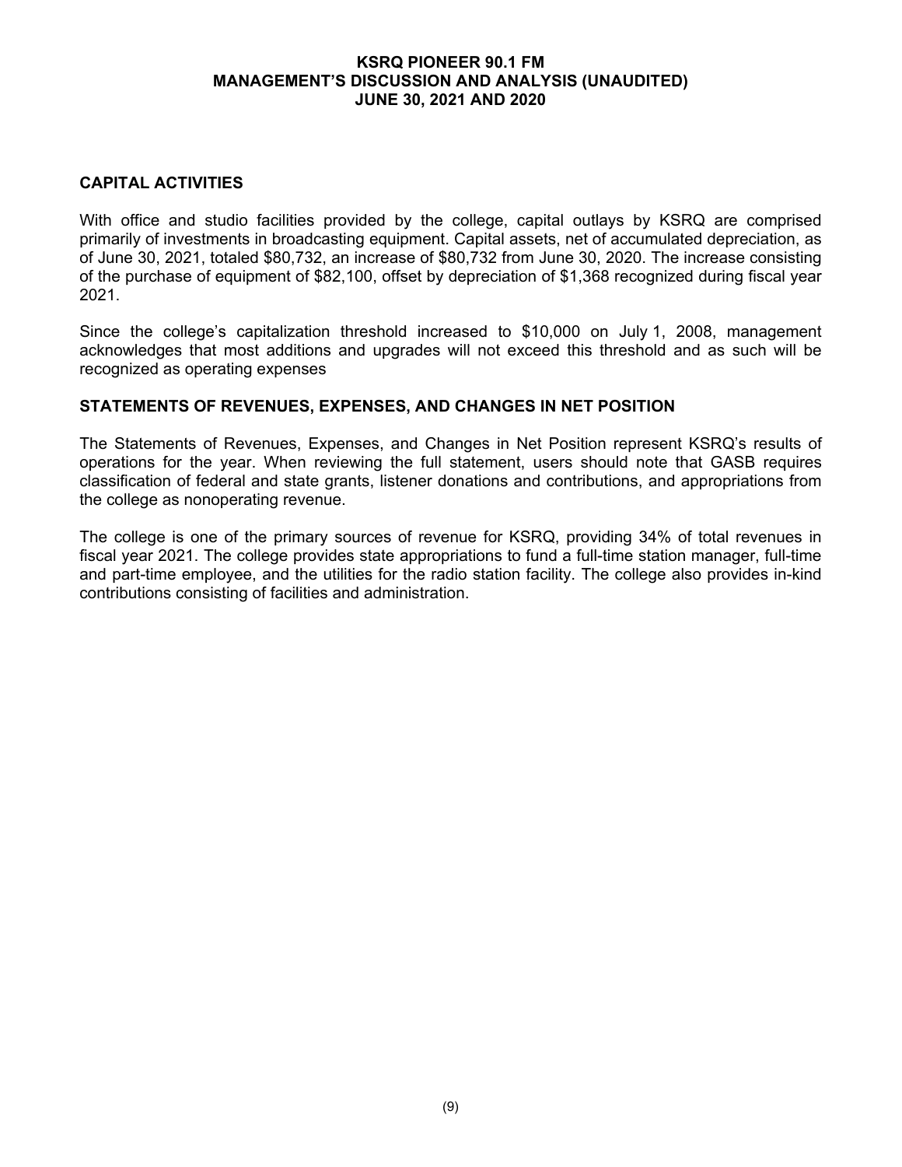## **CAPITAL ACTIVITIES**

With office and studio facilities provided by the college, capital outlays by KSRQ are comprised primarily of investments in broadcasting equipment. Capital assets, net of accumulated depreciation, as of June 30, 2021, totaled \$80,732, an increase of \$80,732 from June 30, 2020. The increase consisting of the purchase of equipment of \$82,100, offset by depreciation of \$1,368 recognized during fiscal year 2021.

Since the college's capitalization threshold increased to \$10,000 on July 1, 2008, management acknowledges that most additions and upgrades will not exceed this threshold and as such will be recognized as operating expenses

### **STATEMENTS OF REVENUES, EXPENSES, AND CHANGES IN NET POSITION**

The Statements of Revenues, Expenses, and Changes in Net Position represent KSRQ's results of operations for the year. When reviewing the full statement, users should note that GASB requires classification of federal and state grants, listener donations and contributions, and appropriations from the college as nonoperating revenue.

The college is one of the primary sources of revenue for KSRQ, providing 34% of total revenues in fiscal year 2021. The college provides state appropriations to fund a full-time station manager, full-time and part-time employee, and the utilities for the radio station facility. The college also provides in-kind contributions consisting of facilities and administration.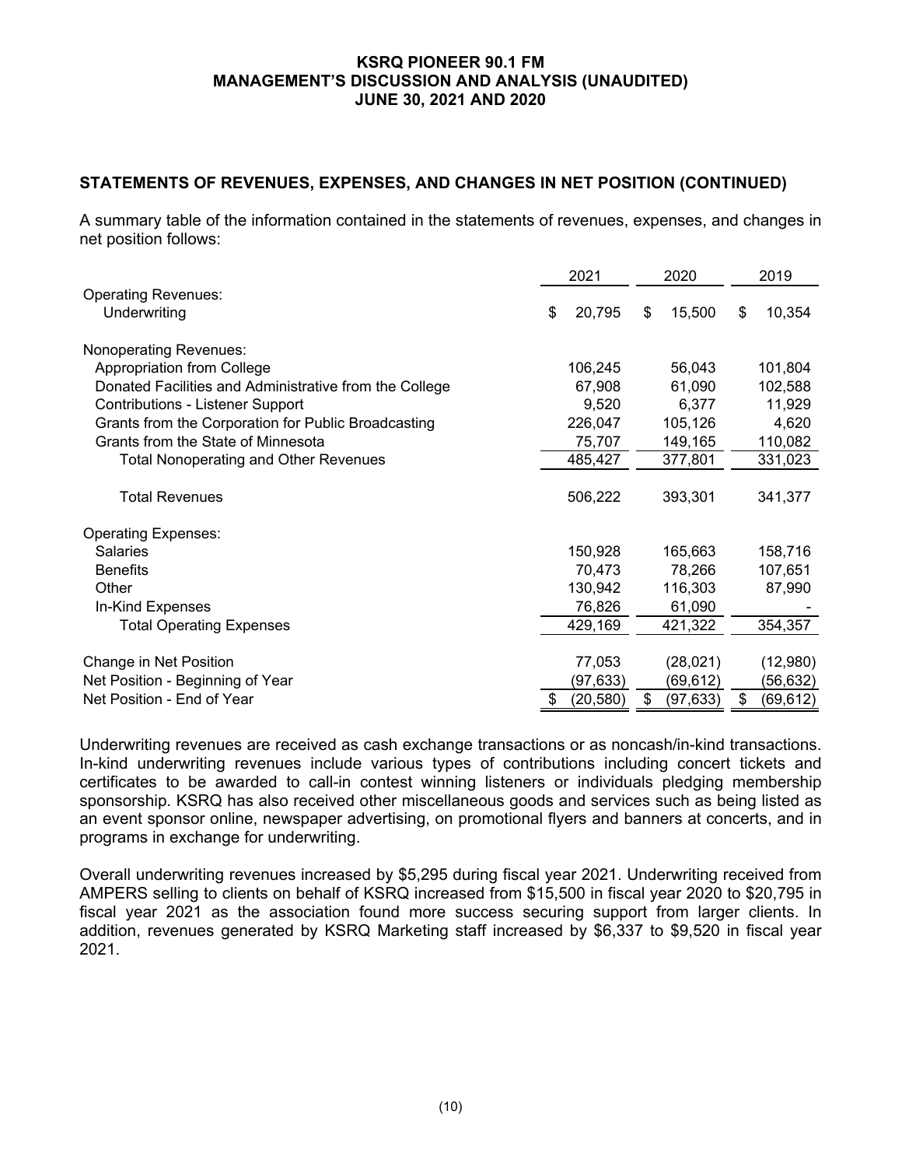### **STATEMENTS OF REVENUES, EXPENSES, AND CHANGES IN NET POSITION (CONTINUED)**

A summary table of the information contained in the statements of revenues, expenses, and changes in net position follows:

|                                                        | 2021            |    | 2020      |    | 2019      |
|--------------------------------------------------------|-----------------|----|-----------|----|-----------|
| <b>Operating Revenues:</b>                             |                 |    |           |    |           |
| Underwriting                                           | \$<br>20,795    | \$ | 15,500    | \$ | 10,354    |
| Nonoperating Revenues:                                 |                 |    |           |    |           |
| Appropriation from College                             | 106,245         |    | 56,043    |    | 101,804   |
| Donated Facilities and Administrative from the College | 67,908          |    | 61,090    |    | 102,588   |
| <b>Contributions - Listener Support</b>                | 9,520           |    | 6,377     |    | 11,929    |
| Grants from the Corporation for Public Broadcasting    | 226,047         |    | 105,126   |    | 4,620     |
| Grants from the State of Minnesota                     | 75,707          |    | 149,165   |    | 110,082   |
| <b>Total Nonoperating and Other Revenues</b>           | 485,427         |    | 377,801   |    | 331,023   |
|                                                        |                 |    |           |    |           |
| <b>Total Revenues</b>                                  | 506,222         |    | 393,301   |    | 341,377   |
| <b>Operating Expenses:</b>                             |                 |    |           |    |           |
| <b>Salaries</b>                                        | 150,928         |    | 165,663   |    | 158,716   |
| <b>Benefits</b>                                        | 70,473          |    | 78,266    |    | 107,651   |
| Other                                                  | 130,942         |    | 116,303   |    | 87,990    |
| In-Kind Expenses                                       | 76,826          |    | 61,090    |    |           |
| <b>Total Operating Expenses</b>                        | 429,169         |    | 421,322   |    | 354,357   |
| Change in Net Position                                 | 77,053          |    | (28,021)  |    | (12,980)  |
| Net Position - Beginning of Year                       | (97, 633)       |    | (69,612)  |    | (56,632)  |
| Net Position - End of Year                             | \$<br>(20, 580) | \$ | (97, 633) | \$ | (69, 612) |

Underwriting revenues are received as cash exchange transactions or as noncash/in-kind transactions. In-kind underwriting revenues include various types of contributions including concert tickets and certificates to be awarded to call-in contest winning listeners or individuals pledging membership sponsorship. KSRQ has also received other miscellaneous goods and services such as being listed as an event sponsor online, newspaper advertising, on promotional flyers and banners at concerts, and in programs in exchange for underwriting.

Overall underwriting revenues increased by \$5,295 during fiscal year 2021. Underwriting received from AMPERS selling to clients on behalf of KSRQ increased from \$15,500 in fiscal year 2020 to \$20,795 in fiscal year 2021 as the association found more success securing support from larger clients. In addition, revenues generated by KSRQ Marketing staff increased by \$6,337 to \$9,520 in fiscal year 2021.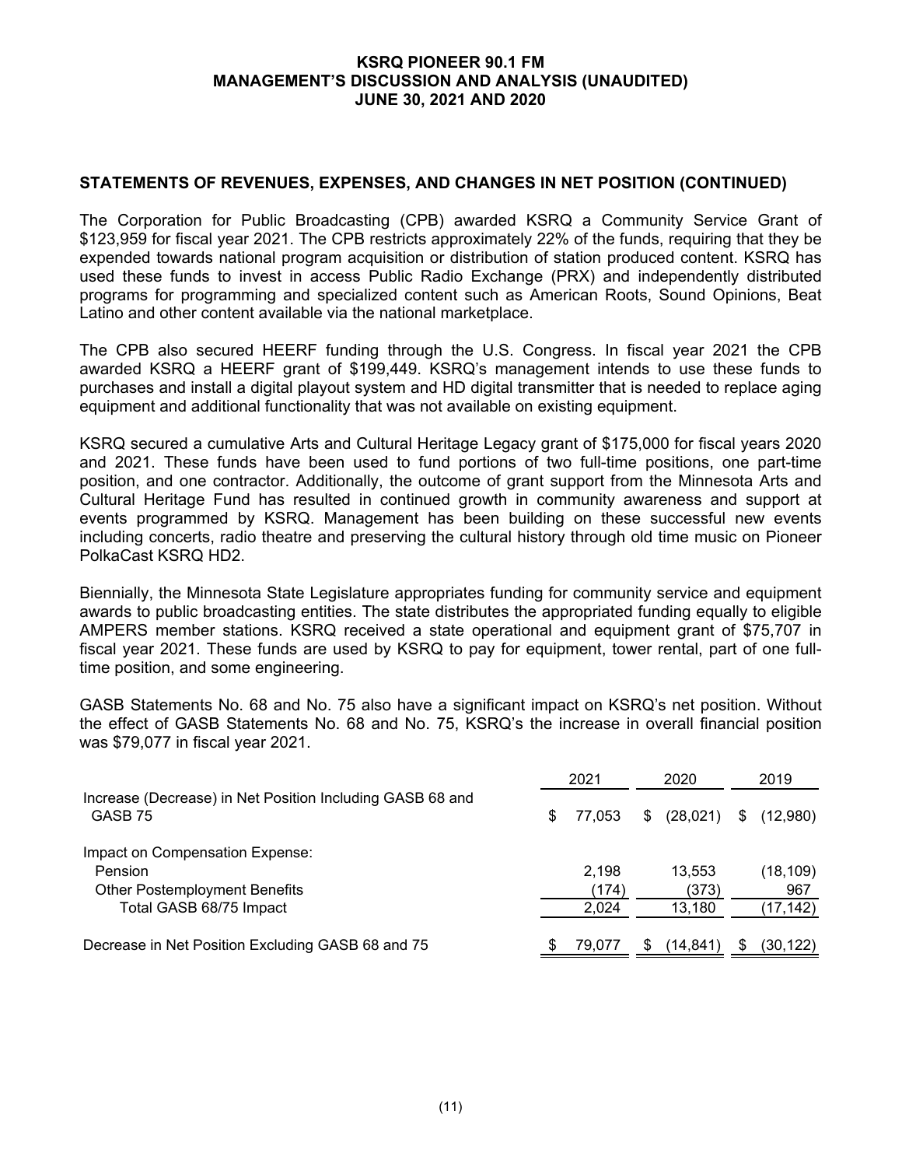#### **STATEMENTS OF REVENUES, EXPENSES, AND CHANGES IN NET POSITION (CONTINUED)**

The Corporation for Public Broadcasting (CPB) awarded KSRQ a Community Service Grant of \$123,959 for fiscal year 2021. The CPB restricts approximately 22% of the funds, requiring that they be expended towards national program acquisition or distribution of station produced content. KSRQ has used these funds to invest in access Public Radio Exchange (PRX) and independently distributed programs for programming and specialized content such as American Roots, Sound Opinions, Beat Latino and other content available via the national marketplace.

The CPB also secured HEERF funding through the U.S. Congress. In fiscal year 2021 the CPB awarded KSRQ a HEERF grant of \$199,449. KSRQ's management intends to use these funds to purchases and install a digital playout system and HD digital transmitter that is needed to replace aging equipment and additional functionality that was not available on existing equipment.

KSRQ secured a cumulative Arts and Cultural Heritage Legacy grant of \$175,000 for fiscal years 2020 and 2021. These funds have been used to fund portions of two full-time positions, one part-time position, and one contractor. Additionally, the outcome of grant support from the Minnesota Arts and Cultural Heritage Fund has resulted in continued growth in community awareness and support at events programmed by KSRQ. Management has been building on these successful new events including concerts, radio theatre and preserving the cultural history through old time music on Pioneer PolkaCast KSRQ HD2.

Biennially, the Minnesota State Legislature appropriates funding for community service and equipment awards to public broadcasting entities. The state distributes the appropriated funding equally to eligible AMPERS member stations. KSRQ received a state operational and equipment grant of \$75,707 in fiscal year 2021. These funds are used by KSRQ to pay for equipment, tower rental, part of one fulltime position, and some engineering.

GASB Statements No. 68 and No. 75 also have a significant impact on KSRQ's net position. Without the effect of GASB Statements No. 68 and No. 75, KSRQ's the increase in overall financial position was \$79,077 in fiscal year 2021.

|                                                                      |    | 2021   |    | 2020     |    | 2019      |
|----------------------------------------------------------------------|----|--------|----|----------|----|-----------|
| Increase (Decrease) in Net Position Including GASB 68 and<br>GASB 75 | \$ | 77.053 | \$ | (28,021) | S. | (12,980)  |
| Impact on Compensation Expense:                                      |    |        |    |          |    |           |
| Pension                                                              |    | 2.198  |    | 13.553   |    | (18, 109) |
| <b>Other Postemployment Benefits</b>                                 |    | (174)  |    | (373)    |    | 967       |
| Total GASB 68/75 Impact                                              |    | 2.024  |    | 13,180   |    | (17, 142) |
|                                                                      |    |        |    |          |    |           |
| Decrease in Net Position Excluding GASB 68 and 75                    |    | 79.077 | S  | (14.841) |    | (30,122)  |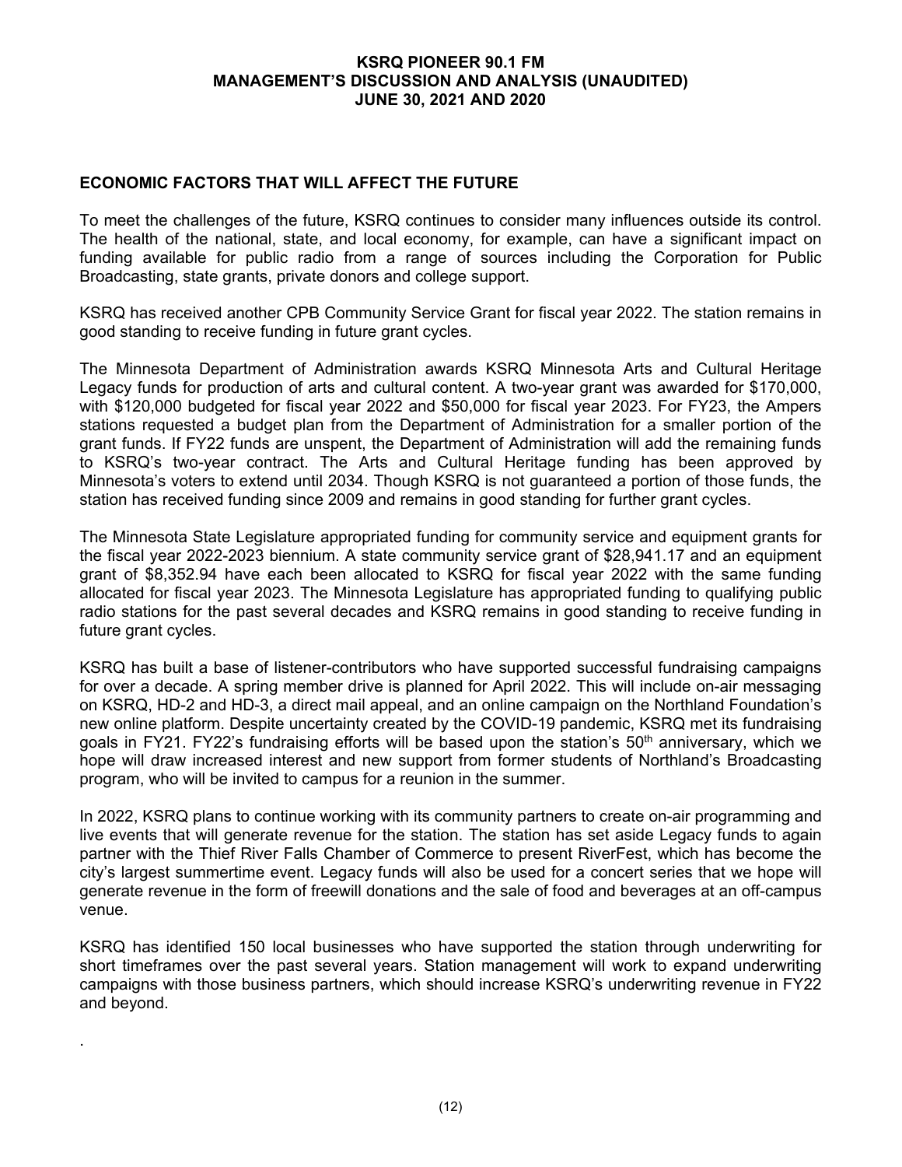### **ECONOMIC FACTORS THAT WILL AFFECT THE FUTURE**

To meet the challenges of the future, KSRQ continues to consider many influences outside its control. The health of the national, state, and local economy, for example, can have a significant impact on funding available for public radio from a range of sources including the Corporation for Public Broadcasting, state grants, private donors and college support.

KSRQ has received another CPB Community Service Grant for fiscal year 2022. The station remains in good standing to receive funding in future grant cycles.

The Minnesota Department of Administration awards KSRQ Minnesota Arts and Cultural Heritage Legacy funds for production of arts and cultural content. A two-year grant was awarded for \$170,000, with \$120,000 budgeted for fiscal year 2022 and \$50,000 for fiscal year 2023. For FY23, the Ampers stations requested a budget plan from the Department of Administration for a smaller portion of the grant funds. If FY22 funds are unspent, the Department of Administration will add the remaining funds to KSRQ's two-year contract. The Arts and Cultural Heritage funding has been approved by Minnesota's voters to extend until 2034. Though KSRQ is not guaranteed a portion of those funds, the station has received funding since 2009 and remains in good standing for further grant cycles.

The Minnesota State Legislature appropriated funding for community service and equipment grants for the fiscal year 2022-2023 biennium. A state community service grant of \$28,941.17 and an equipment grant of \$8,352.94 have each been allocated to KSRQ for fiscal year 2022 with the same funding allocated for fiscal year 2023. The Minnesota Legislature has appropriated funding to qualifying public radio stations for the past several decades and KSRQ remains in good standing to receive funding in future grant cycles.

KSRQ has built a base of listener-contributors who have supported successful fundraising campaigns for over a decade. A spring member drive is planned for April 2022. This will include on-air messaging on KSRQ, HD-2 and HD-3, a direct mail appeal, and an online campaign on the Northland Foundation's new online platform. Despite uncertainty created by the COVID-19 pandemic, KSRQ met its fundraising goals in FY21. FY22's fundraising efforts will be based upon the station's  $50<sup>th</sup>$  anniversary, which we hope will draw increased interest and new support from former students of Northland's Broadcasting program, who will be invited to campus for a reunion in the summer.

In 2022, KSRQ plans to continue working with its community partners to create on-air programming and live events that will generate revenue for the station. The station has set aside Legacy funds to again partner with the Thief River Falls Chamber of Commerce to present RiverFest, which has become the city's largest summertime event. Legacy funds will also be used for a concert series that we hope will generate revenue in the form of freewill donations and the sale of food and beverages at an off-campus venue.

KSRQ has identified 150 local businesses who have supported the station through underwriting for short timeframes over the past several years. Station management will work to expand underwriting campaigns with those business partners, which should increase KSRQ's underwriting revenue in FY22 and beyond.

.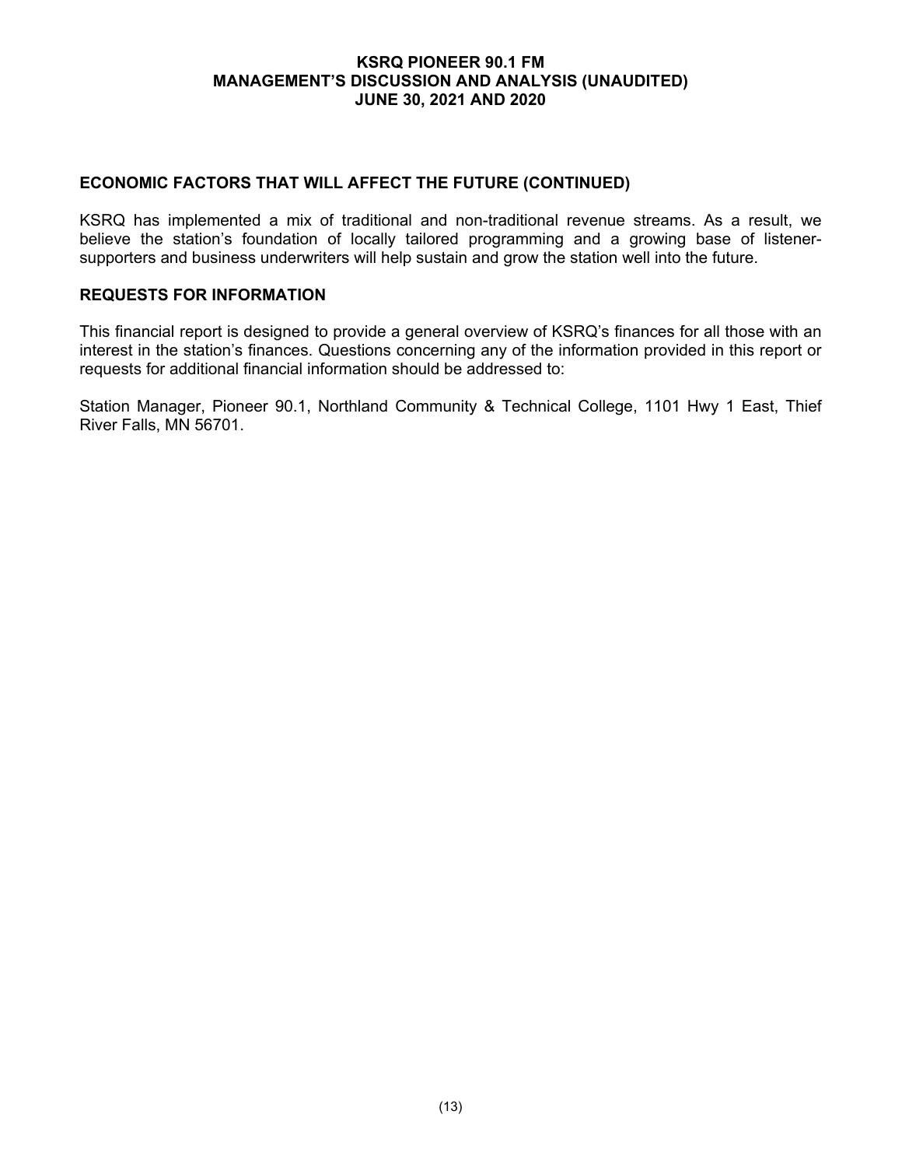#### **ECONOMIC FACTORS THAT WILL AFFECT THE FUTURE (CONTINUED)**

KSRQ has implemented a mix of traditional and non-traditional revenue streams. As a result, we believe the station's foundation of locally tailored programming and a growing base of listenersupporters and business underwriters will help sustain and grow the station well into the future.

### **REQUESTS FOR INFORMATION**

This financial report is designed to provide a general overview of KSRQ's finances for all those with an interest in the station's finances. Questions concerning any of the information provided in this report or requests for additional financial information should be addressed to:

Station Manager, Pioneer 90.1, Northland Community & Technical College, 1101 Hwy 1 East, Thief River Falls, MN 56701.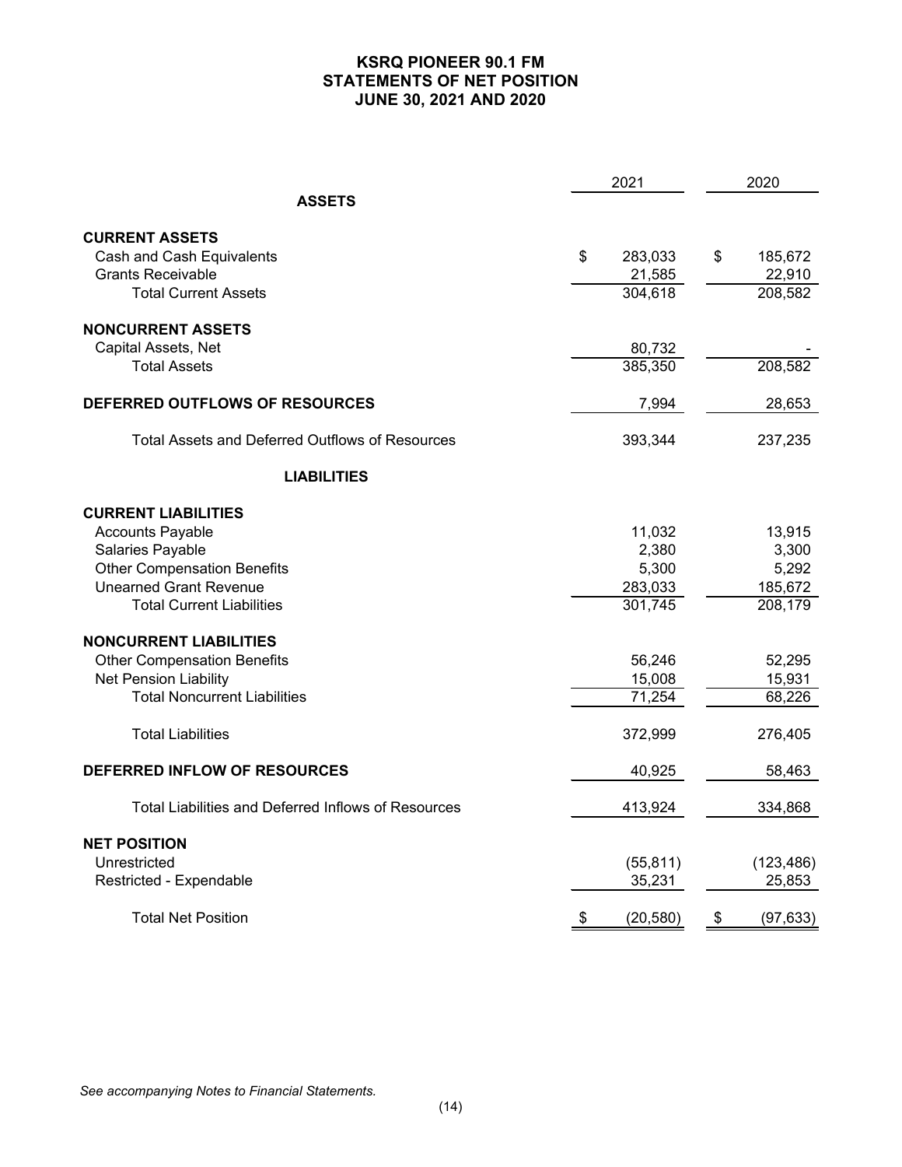## **KSRQ PIONEER 90.1 FM STATEMENTS OF NET POSITION JUNE 30, 2021 AND 2020**

|                                                                                                                                                                                      | 2021                                           |                                                |  |
|--------------------------------------------------------------------------------------------------------------------------------------------------------------------------------------|------------------------------------------------|------------------------------------------------|--|
| <b>ASSETS</b>                                                                                                                                                                        |                                                |                                                |  |
| <b>CURRENT ASSETS</b><br>Cash and Cash Equivalents<br><b>Grants Receivable</b><br><b>Total Current Assets</b>                                                                        | \$<br>283,033<br>21,585<br>304,618             | \$<br>185,672<br>22,910<br>208,582             |  |
| <b>NONCURRENT ASSETS</b><br>Capital Assets, Net<br><b>Total Assets</b>                                                                                                               | 80,732<br>385,350                              | 208,582                                        |  |
| DEFERRED OUTFLOWS OF RESOURCES                                                                                                                                                       | 7,994                                          | 28,653                                         |  |
| <b>Total Assets and Deferred Outflows of Resources</b>                                                                                                                               | 393,344                                        | 237,235                                        |  |
| <b>LIABILITIES</b>                                                                                                                                                                   |                                                |                                                |  |
| <b>CURRENT LIABILITIES</b><br><b>Accounts Payable</b><br>Salaries Payable<br><b>Other Compensation Benefits</b><br><b>Unearned Grant Revenue</b><br><b>Total Current Liabilities</b> | 11,032<br>2,380<br>5,300<br>283,033<br>301,745 | 13,915<br>3,300<br>5,292<br>185,672<br>208,179 |  |
| <b>NONCURRENT LIABILITIES</b><br><b>Other Compensation Benefits</b><br><b>Net Pension Liability</b><br><b>Total Noncurrent Liabilities</b><br><b>Total Liabilities</b>               | 56,246<br>15,008<br>71,254<br>372,999          | 52,295<br>15,931<br>68,226<br>276,405          |  |
| DEFERRED INFLOW OF RESOURCES                                                                                                                                                         | 40,925                                         | 58,463                                         |  |
| Total Liabilities and Deferred Inflows of Resources                                                                                                                                  | 413,924                                        | 334,868                                        |  |
| <b>NET POSITION</b><br>Unrestricted<br>Restricted - Expendable<br><b>Total Net Position</b>                                                                                          | (55, 811)<br>35,231<br>\$<br>(20, 580)         | (123, 486)<br>25,853<br>\$<br>(97, 633)        |  |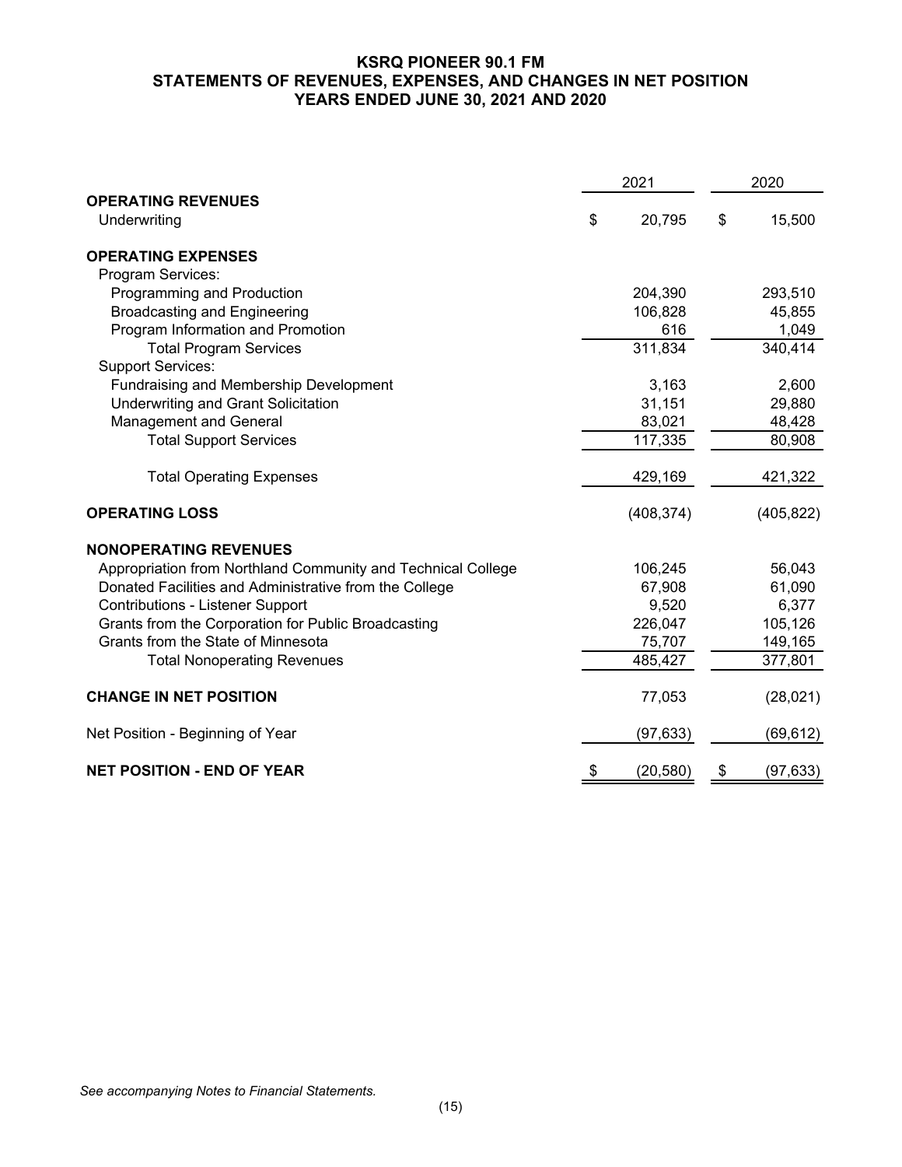## **KSRQ PIONEER 90.1 FM STATEMENTS OF REVENUES, EXPENSES, AND CHANGES IN NET POSITION YEARS ENDED JUNE 30, 2021 AND 2020**

|                                                              |    | 2021       | 2020 |            |  |
|--------------------------------------------------------------|----|------------|------|------------|--|
| <b>OPERATING REVENUES</b>                                    |    |            |      |            |  |
| Underwriting                                                 | \$ | 20,795     | \$   | 15,500     |  |
| <b>OPERATING EXPENSES</b>                                    |    |            |      |            |  |
| Program Services:                                            |    |            |      |            |  |
| Programming and Production                                   |    | 204,390    |      | 293,510    |  |
| <b>Broadcasting and Engineering</b>                          |    | 106,828    |      | 45,855     |  |
| Program Information and Promotion                            |    | 616        |      | 1,049      |  |
| <b>Total Program Services</b>                                |    | 311,834    |      | 340,414    |  |
| <b>Support Services:</b>                                     |    |            |      |            |  |
| Fundraising and Membership Development                       |    | 3,163      |      | 2,600      |  |
| <b>Underwriting and Grant Solicitation</b>                   |    | 31,151     |      | 29,880     |  |
| <b>Management and General</b>                                |    | 83,021     |      | 48,428     |  |
| <b>Total Support Services</b>                                |    | 117,335    |      | 80,908     |  |
| <b>Total Operating Expenses</b>                              |    | 429,169    |      | 421,322    |  |
| <b>OPERATING LOSS</b>                                        |    | (408, 374) |      | (405, 822) |  |
| <b>NONOPERATING REVENUES</b>                                 |    |            |      |            |  |
| Appropriation from Northland Community and Technical College |    | 106,245    |      | 56,043     |  |
| Donated Facilities and Administrative from the College       |    | 67,908     |      | 61,090     |  |
| <b>Contributions - Listener Support</b>                      |    | 9,520      |      | 6,377      |  |
| Grants from the Corporation for Public Broadcasting          |    | 226,047    |      | 105,126    |  |
| Grants from the State of Minnesota                           |    | 75,707     |      | 149,165    |  |
| <b>Total Nonoperating Revenues</b>                           |    | 485,427    |      | 377,801    |  |
| <b>CHANGE IN NET POSITION</b>                                |    | 77,053     |      | (28, 021)  |  |
| Net Position - Beginning of Year                             |    | (97, 633)  |      | (69, 612)  |  |
| <b>NET POSITION - END OF YEAR</b>                            | \$ | (20, 580)  | \$   | (97, 633)  |  |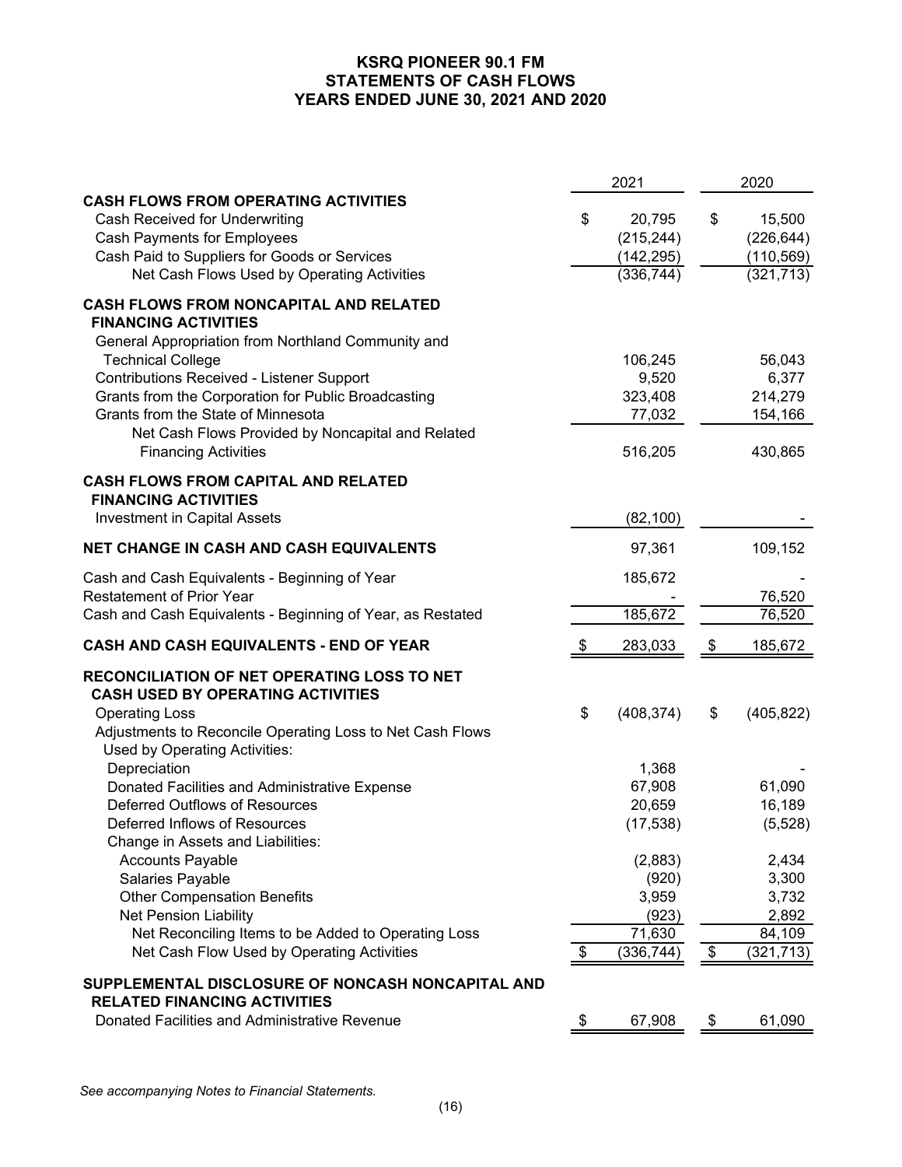## **KSRQ PIONEER 90.1 FM STATEMENTS OF CASH FLOWS YEARS ENDED JUNE 30, 2021 AND 2020**

|                                                                                        | 2021             | 2020             |
|----------------------------------------------------------------------------------------|------------------|------------------|
| <b>CASH FLOWS FROM OPERATING ACTIVITIES</b>                                            |                  |                  |
| Cash Received for Underwriting                                                         | \$<br>20,795     | \$<br>15,500     |
| <b>Cash Payments for Employees</b>                                                     | (215, 244)       | (226, 644)       |
| Cash Paid to Suppliers for Goods or Services                                           | (142, 295)       | (110, 569)       |
| Net Cash Flows Used by Operating Activities                                            | (336, 744)       | (321, 713)       |
| <b>CASH FLOWS FROM NONCAPITAL AND RELATED</b><br><b>FINANCING ACTIVITIES</b>           |                  |                  |
| General Appropriation from Northland Community and                                     |                  |                  |
| <b>Technical College</b>                                                               | 106,245          | 56,043           |
| Contributions Received - Listener Support                                              | 9,520            | 6,377            |
| Grants from the Corporation for Public Broadcasting                                    | 323,408          | 214,279          |
| Grants from the State of Minnesota                                                     | 77,032           | 154,166          |
| Net Cash Flows Provided by Noncapital and Related                                      |                  |                  |
| <b>Financing Activities</b>                                                            | 516,205          | 430,865          |
| <b>CASH FLOWS FROM CAPITAL AND RELATED</b>                                             |                  |                  |
| <b>FINANCING ACTIVITIES</b>                                                            |                  |                  |
| <b>Investment in Capital Assets</b>                                                    | (82, 100)        |                  |
| NET CHANGE IN CASH AND CASH EQUIVALENTS                                                | 97,361           | 109,152          |
| Cash and Cash Equivalents - Beginning of Year                                          | 185,672          |                  |
| <b>Restatement of Prior Year</b>                                                       |                  | 76,520           |
| Cash and Cash Equivalents - Beginning of Year, as Restated                             | 185,672          | 76,520           |
| CASH AND CASH EQUIVALENTS - END OF YEAR                                                | \$<br>283,033    | \$<br>185,672    |
| RECONCILIATION OF NET OPERATING LOSS TO NET                                            |                  |                  |
| <b>CASH USED BY OPERATING ACTIVITIES</b>                                               |                  |                  |
| <b>Operating Loss</b>                                                                  | \$<br>(408, 374) | \$<br>(405, 822) |
| Adjustments to Reconcile Operating Loss to Net Cash Flows                              |                  |                  |
| Used by Operating Activities:                                                          |                  |                  |
| Depreciation                                                                           | 1,368            |                  |
| Donated Facilities and Administrative Expense<br><b>Deferred Outflows of Resources</b> | 67,908           | 61,090           |
| Deferred Inflows of Resources                                                          | 20,659           | 16,189           |
| Change in Assets and Liabilities:                                                      | (17, 538)        | (5,528)          |
| <b>Accounts Payable</b>                                                                | (2,883)          | 2,434            |
| Salaries Payable                                                                       | (920)            | 3,300            |
| <b>Other Compensation Benefits</b>                                                     | 3,959            | 3,732            |
| <b>Net Pension Liability</b>                                                           | (923)            | 2,892            |
| Net Reconciling Items to be Added to Operating Loss                                    | 71,630           | 84,109           |
| Net Cash Flow Used by Operating Activities                                             | \$<br>(336,744)  | \$<br>(321, 713) |
| SUPPLEMENTAL DISCLOSURE OF NONCASH NONCAPITAL AND                                      |                  |                  |
| <b>RELATED FINANCING ACTIVITIES</b>                                                    |                  |                  |
| Donated Facilities and Administrative Revenue                                          | \$<br>67,908     | \$<br>61,090     |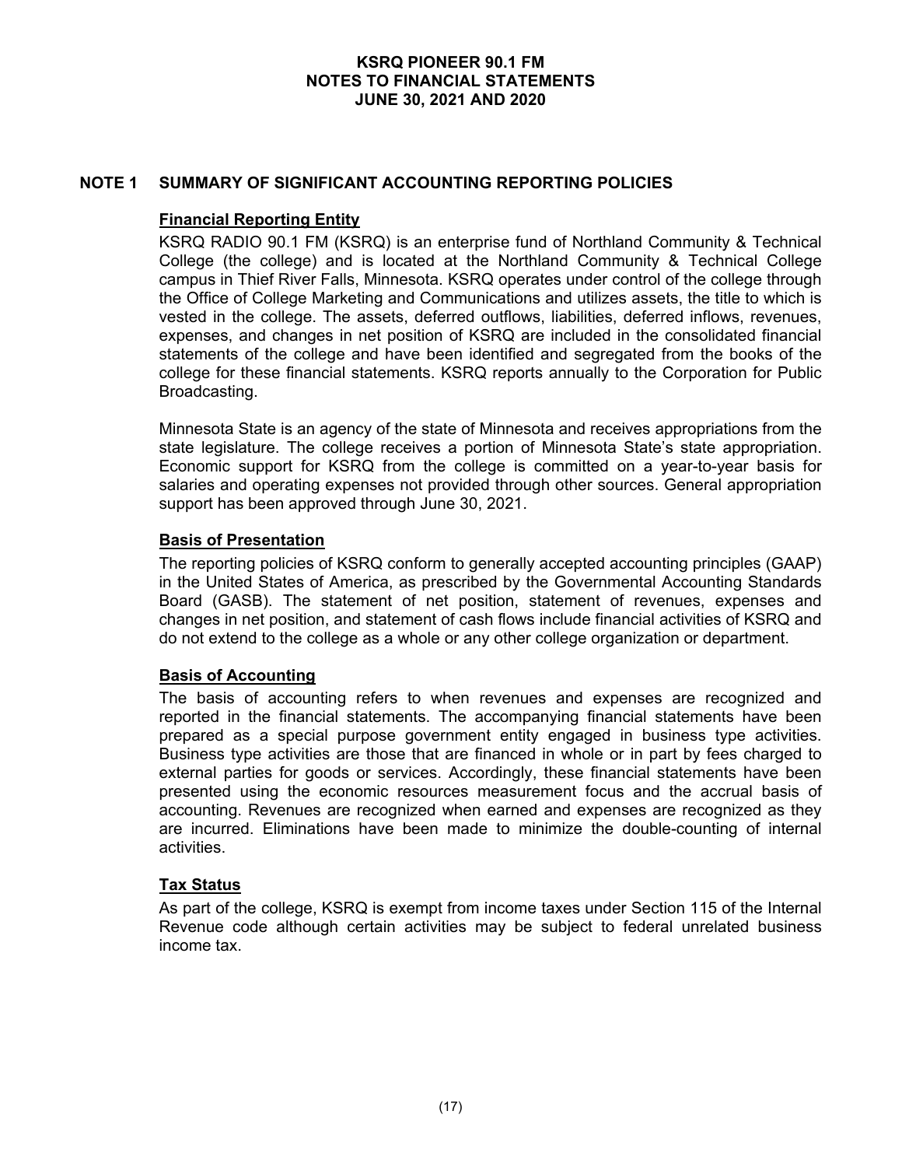## **NOTE 1 SUMMARY OF SIGNIFICANT ACCOUNTING REPORTING POLICIES**

### **Financial Reporting Entity**

KSRQ RADIO 90.1 FM (KSRQ) is an enterprise fund of Northland Community & Technical College (the college) and is located at the Northland Community & Technical College campus in Thief River Falls, Minnesota. KSRQ operates under control of the college through the Office of College Marketing and Communications and utilizes assets, the title to which is vested in the college. The assets, deferred outflows, liabilities, deferred inflows, revenues, expenses, and changes in net position of KSRQ are included in the consolidated financial statements of the college and have been identified and segregated from the books of the college for these financial statements. KSRQ reports annually to the Corporation for Public Broadcasting.

Minnesota State is an agency of the state of Minnesota and receives appropriations from the state legislature. The college receives a portion of Minnesota State's state appropriation. Economic support for KSRQ from the college is committed on a year-to-year basis for salaries and operating expenses not provided through other sources. General appropriation support has been approved through June 30, 2021.

### **Basis of Presentation**

The reporting policies of KSRQ conform to generally accepted accounting principles (GAAP) in the United States of America, as prescribed by the Governmental Accounting Standards Board (GASB). The statement of net position, statement of revenues, expenses and changes in net position, and statement of cash flows include financial activities of KSRQ and do not extend to the college as a whole or any other college organization or department.

## **Basis of Accounting**

The basis of accounting refers to when revenues and expenses are recognized and reported in the financial statements. The accompanying financial statements have been prepared as a special purpose government entity engaged in business type activities. Business type activities are those that are financed in whole or in part by fees charged to external parties for goods or services. Accordingly, these financial statements have been presented using the economic resources measurement focus and the accrual basis of accounting. Revenues are recognized when earned and expenses are recognized as they are incurred. Eliminations have been made to minimize the double-counting of internal activities.

#### **Tax Status**

As part of the college, KSRQ is exempt from income taxes under Section 115 of the Internal Revenue code although certain activities may be subject to federal unrelated business income tax.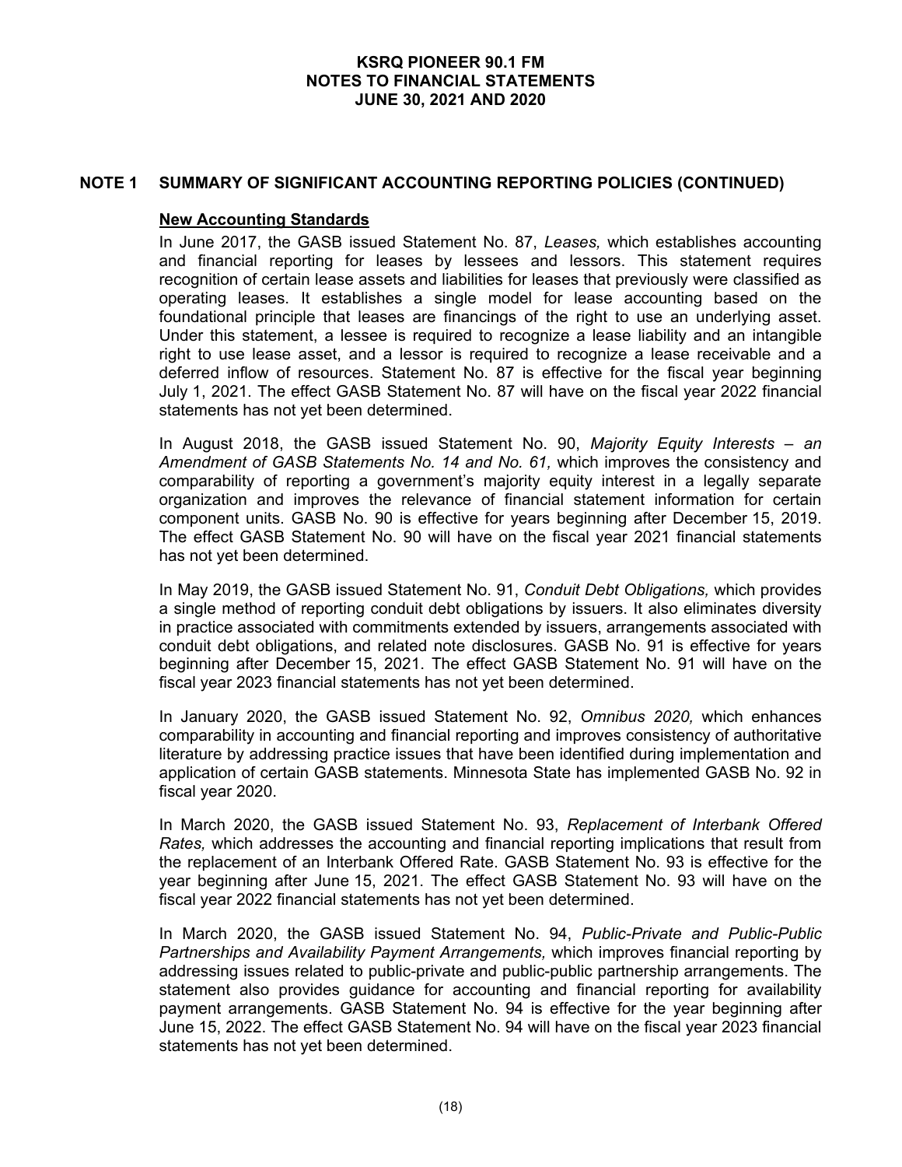### **NOTE 1 SUMMARY OF SIGNIFICANT ACCOUNTING REPORTING POLICIES (CONTINUED)**

#### **New Accounting Standards**

In June 2017, the GASB issued Statement No. 87, *Leases,* which establishes accounting and financial reporting for leases by lessees and lessors. This statement requires recognition of certain lease assets and liabilities for leases that previously were classified as operating leases. It establishes a single model for lease accounting based on the foundational principle that leases are financings of the right to use an underlying asset. Under this statement, a lessee is required to recognize a lease liability and an intangible right to use lease asset, and a lessor is required to recognize a lease receivable and a deferred inflow of resources. Statement No. 87 is effective for the fiscal year beginning July 1, 2021. The effect GASB Statement No. 87 will have on the fiscal year 2022 financial statements has not yet been determined.

In August 2018, the GASB issued Statement No. 90, *Majority Equity Interests – an Amendment of GASB Statements No. 14 and No. 61,* which improves the consistency and comparability of reporting a government's majority equity interest in a legally separate organization and improves the relevance of financial statement information for certain component units. GASB No. 90 is effective for years beginning after December 15, 2019. The effect GASB Statement No. 90 will have on the fiscal year 2021 financial statements has not yet been determined.

In May 2019, the GASB issued Statement No. 91, *Conduit Debt Obligations,* which provides a single method of reporting conduit debt obligations by issuers. It also eliminates diversity in practice associated with commitments extended by issuers, arrangements associated with conduit debt obligations, and related note disclosures. GASB No. 91 is effective for years beginning after December 15, 2021. The effect GASB Statement No. 91 will have on the fiscal year 2023 financial statements has not yet been determined.

In January 2020, the GASB issued Statement No. 92, *Omnibus 2020,* which enhances comparability in accounting and financial reporting and improves consistency of authoritative literature by addressing practice issues that have been identified during implementation and application of certain GASB statements. Minnesota State has implemented GASB No. 92 in fiscal year 2020.

In March 2020, the GASB issued Statement No. 93, *Replacement of Interbank Offered Rates,* which addresses the accounting and financial reporting implications that result from the replacement of an Interbank Offered Rate. GASB Statement No. 93 is effective for the year beginning after June 15, 2021. The effect GASB Statement No. 93 will have on the fiscal year 2022 financial statements has not yet been determined.

In March 2020, the GASB issued Statement No. 94, *Public-Private and Public-Public Partnerships and Availability Payment Arrangements,* which improves financial reporting by addressing issues related to public-private and public-public partnership arrangements. The statement also provides guidance for accounting and financial reporting for availability payment arrangements. GASB Statement No. 94 is effective for the year beginning after June 15, 2022. The effect GASB Statement No. 94 will have on the fiscal year 2023 financial statements has not yet been determined.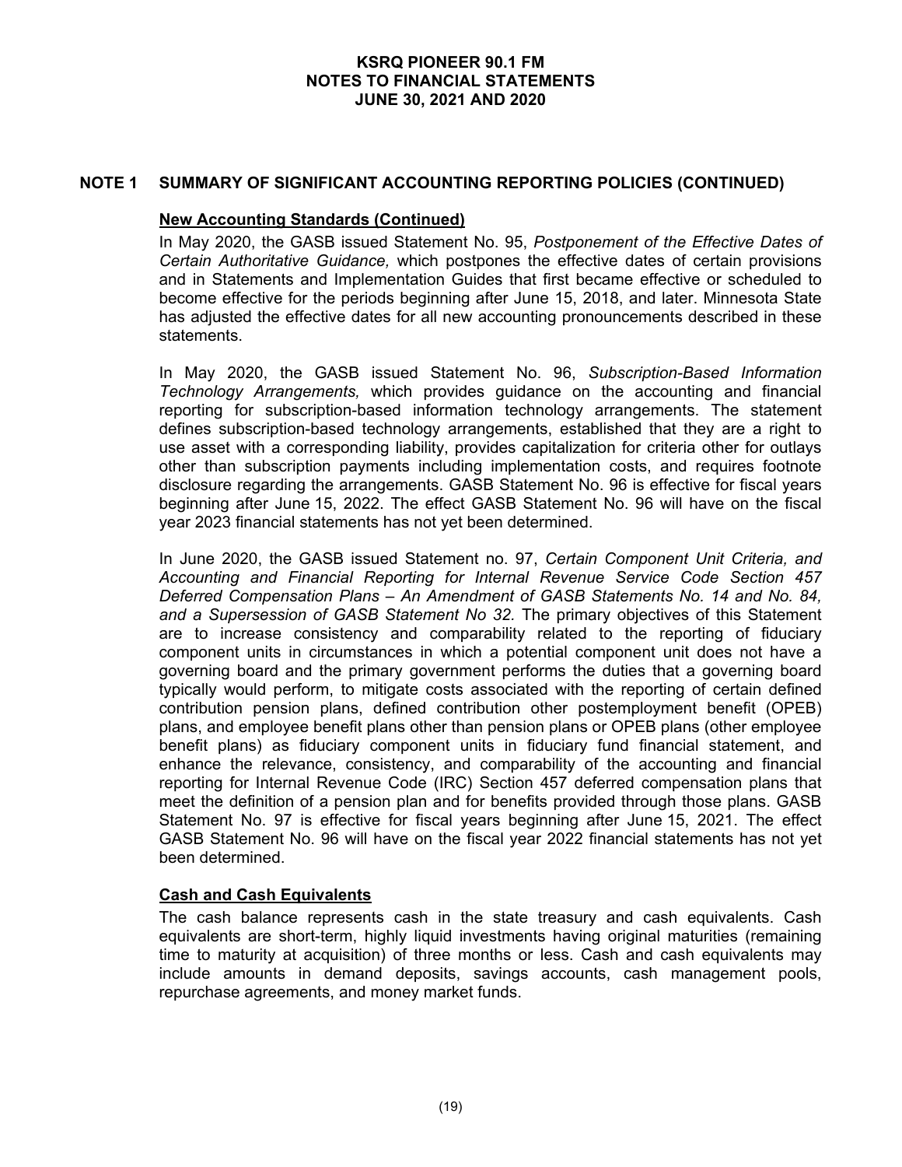### **NOTE 1 SUMMARY OF SIGNIFICANT ACCOUNTING REPORTING POLICIES (CONTINUED)**

#### **New Accounting Standards (Continued)**

In May 2020, the GASB issued Statement No. 95, *Postponement of the Effective Dates of Certain Authoritative Guidance,* which postpones the effective dates of certain provisions and in Statements and Implementation Guides that first became effective or scheduled to become effective for the periods beginning after June 15, 2018, and later. Minnesota State has adjusted the effective dates for all new accounting pronouncements described in these statements.

In May 2020, the GASB issued Statement No. 96, *Subscription-Based Information Technology Arrangements,* which provides guidance on the accounting and financial reporting for subscription-based information technology arrangements. The statement defines subscription-based technology arrangements, established that they are a right to use asset with a corresponding liability, provides capitalization for criteria other for outlays other than subscription payments including implementation costs, and requires footnote disclosure regarding the arrangements. GASB Statement No. 96 is effective for fiscal years beginning after June 15, 2022. The effect GASB Statement No. 96 will have on the fiscal year 2023 financial statements has not yet been determined.

In June 2020, the GASB issued Statement no. 97, *Certain Component Unit Criteria, and Accounting and Financial Reporting for Internal Revenue Service Code Section 457 Deferred Compensation Plans – An Amendment of GASB Statements No. 14 and No. 84, and a Supersession of GASB Statement No 32.* The primary objectives of this Statement are to increase consistency and comparability related to the reporting of fiduciary component units in circumstances in which a potential component unit does not have a governing board and the primary government performs the duties that a governing board typically would perform, to mitigate costs associated with the reporting of certain defined contribution pension plans, defined contribution other postemployment benefit (OPEB) plans, and employee benefit plans other than pension plans or OPEB plans (other employee benefit plans) as fiduciary component units in fiduciary fund financial statement, and enhance the relevance, consistency, and comparability of the accounting and financial reporting for Internal Revenue Code (IRC) Section 457 deferred compensation plans that meet the definition of a pension plan and for benefits provided through those plans. GASB Statement No. 97 is effective for fiscal years beginning after June 15, 2021. The effect GASB Statement No. 96 will have on the fiscal year 2022 financial statements has not yet been determined.

## **Cash and Cash Equivalents**

The cash balance represents cash in the state treasury and cash equivalents. Cash equivalents are short-term, highly liquid investments having original maturities (remaining time to maturity at acquisition) of three months or less. Cash and cash equivalents may include amounts in demand deposits, savings accounts, cash management pools, repurchase agreements, and money market funds.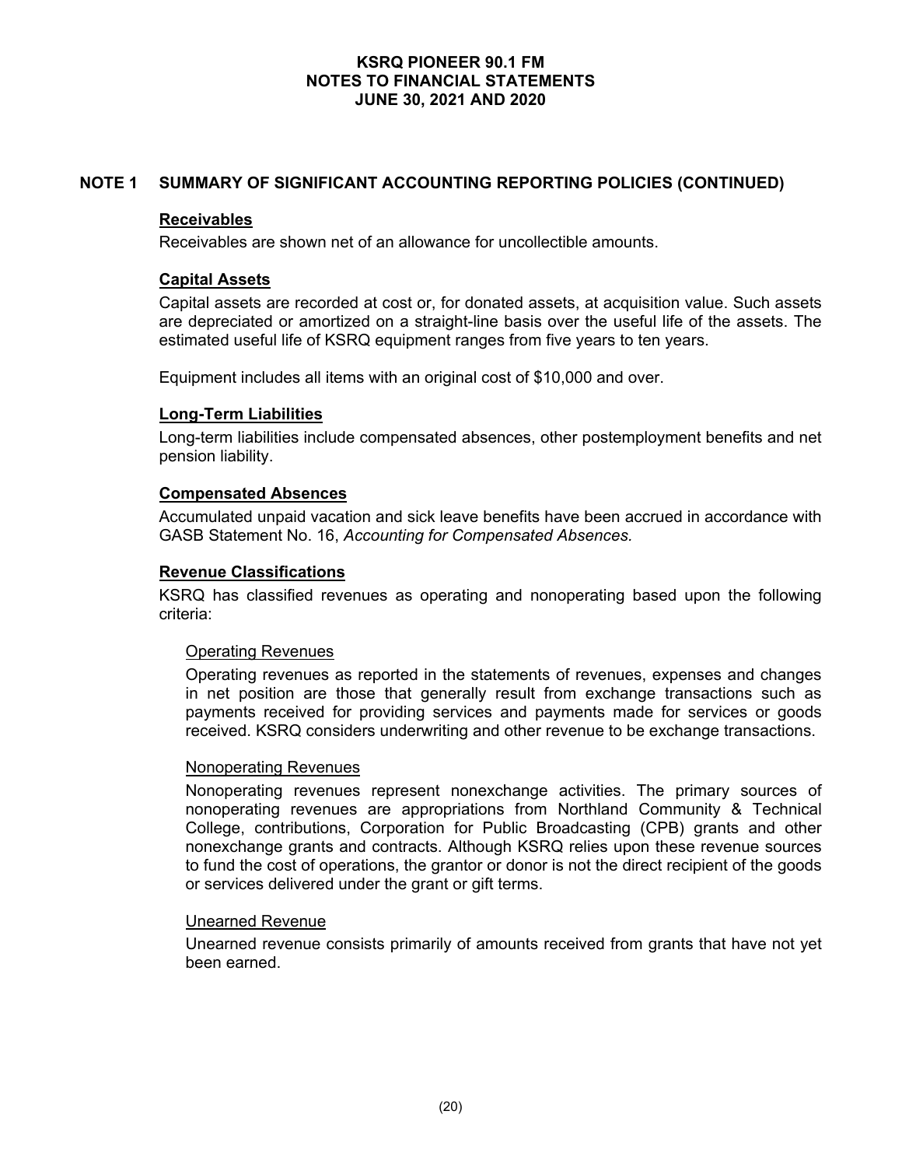## **NOTE 1 SUMMARY OF SIGNIFICANT ACCOUNTING REPORTING POLICIES (CONTINUED)**

#### **Receivables**

Receivables are shown net of an allowance for uncollectible amounts.

### **Capital Assets**

Capital assets are recorded at cost or, for donated assets, at acquisition value. Such assets are depreciated or amortized on a straight-line basis over the useful life of the assets. The estimated useful life of KSRQ equipment ranges from five years to ten years.

Equipment includes all items with an original cost of \$10,000 and over.

### **Long-Term Liabilities**

Long-term liabilities include compensated absences, other postemployment benefits and net pension liability.

### **Compensated Absences**

Accumulated unpaid vacation and sick leave benefits have been accrued in accordance with GASB Statement No. 16, *Accounting for Compensated Absences.*

### **Revenue Classifications**

KSRQ has classified revenues as operating and nonoperating based upon the following criteria:

## Operating Revenues

Operating revenues as reported in the statements of revenues, expenses and changes in net position are those that generally result from exchange transactions such as payments received for providing services and payments made for services or goods received. KSRQ considers underwriting and other revenue to be exchange transactions.

#### Nonoperating Revenues

Nonoperating revenues represent nonexchange activities. The primary sources of nonoperating revenues are appropriations from Northland Community & Technical College, contributions, Corporation for Public Broadcasting (CPB) grants and other nonexchange grants and contracts. Although KSRQ relies upon these revenue sources to fund the cost of operations, the grantor or donor is not the direct recipient of the goods or services delivered under the grant or gift terms.

#### Unearned Revenue

Unearned revenue consists primarily of amounts received from grants that have not yet been earned.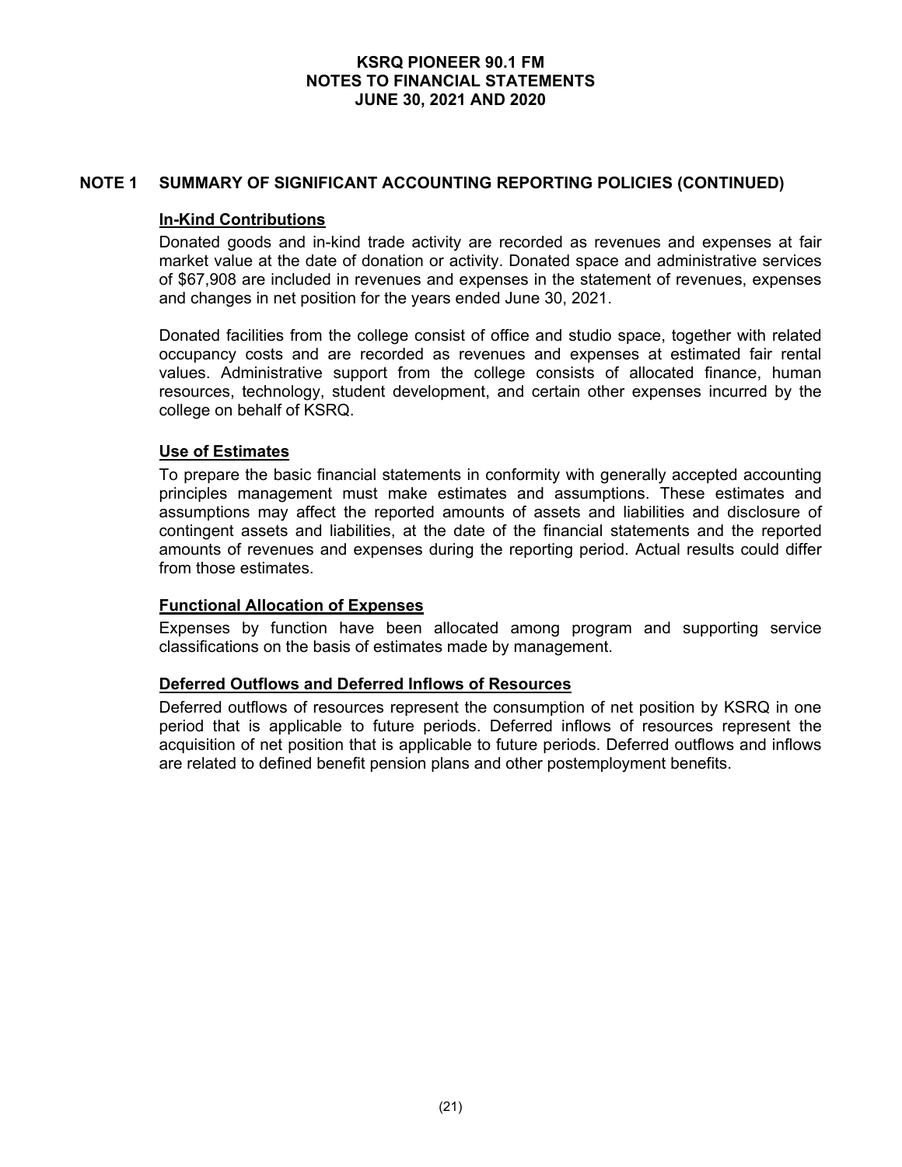### **NOTE 1 SUMMARY OF SIGNIFICANT ACCOUNTING REPORTING POLICIES (CONTINUED)**

#### **In-Kind Contributions**

Donated goods and in-kind trade activity are recorded as revenues and expenses at fair market value at the date of donation or activity. Donated space and administrative services of \$67,908 are included in revenues and expenses in the statement of revenues, expenses and changes in net position for the years ended June 30, 2021.

Donated facilities from the college consist of office and studio space, together with related occupancy costs and are recorded as revenues and expenses at estimated fair rental values. Administrative support from the college consists of allocated finance, human resources, technology, student development, and certain other expenses incurred by the college on behalf of KSRQ.

#### **Use of Estimates**

To prepare the basic financial statements in conformity with generally accepted accounting principles management must make estimates and assumptions. These estimates and assumptions may affect the reported amounts of assets and liabilities and disclosure of contingent assets and liabilities, at the date of the financial statements and the reported amounts of revenues and expenses during the reporting period. Actual results could differ from those estimates.

#### **Functional Allocation of Expenses**

Expenses by function have been allocated among program and supporting service classifications on the basis of estimates made by management.

#### **Deferred Outflows and Deferred Inflows of Resources**

Deferred outflows of resources represent the consumption of net position by KSRQ in one period that is applicable to future periods. Deferred inflows of resources represent the acquisition of net position that is applicable to future periods. Deferred outflows and inflows are related to defined benefit pension plans and other postemployment benefits.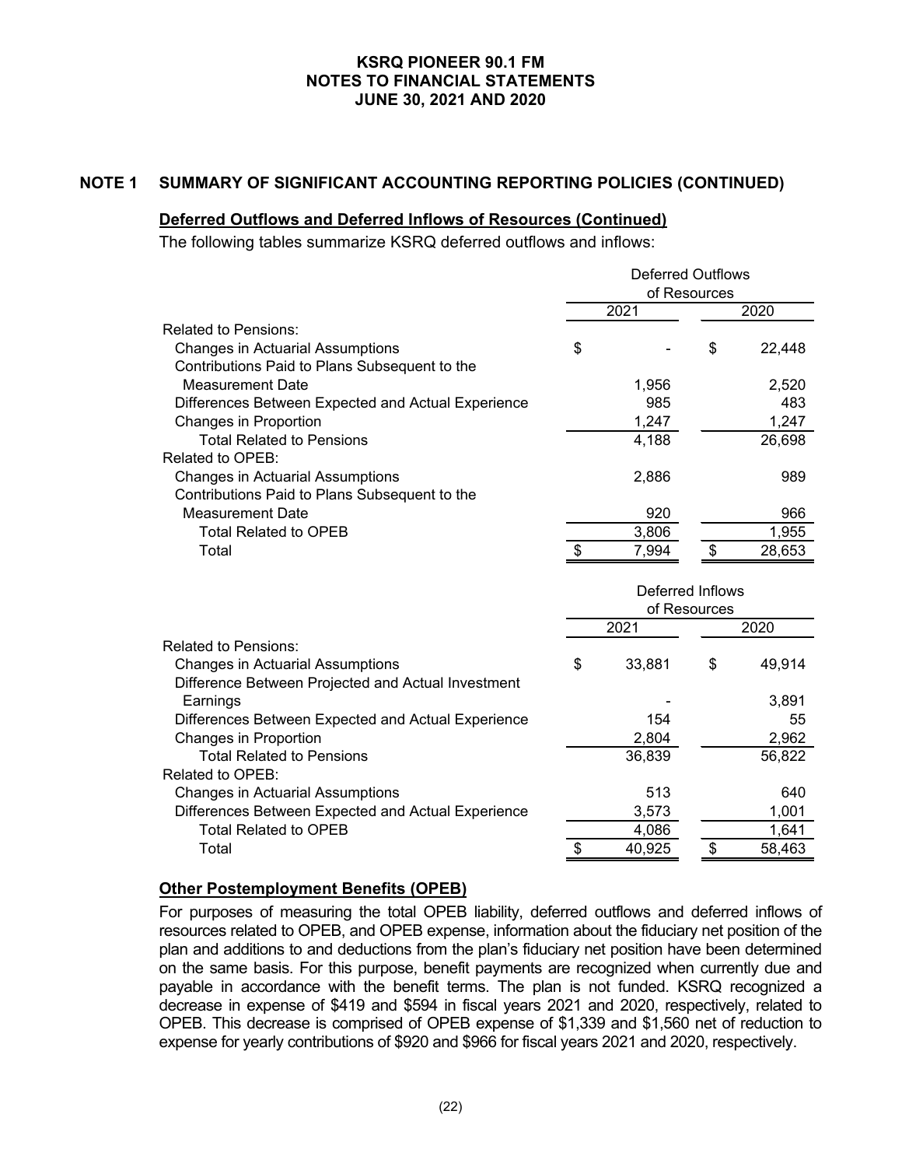## **NOTE 1 SUMMARY OF SIGNIFICANT ACCOUNTING REPORTING POLICIES (CONTINUED)**

## **Deferred Outflows and Deferred Inflows of Resources (Continued)**

The following tables summarize KSRQ deferred outflows and inflows:

|                                                    |              | Deferred Outflows |    |        |  |  |
|----------------------------------------------------|--------------|-------------------|----|--------|--|--|
|                                                    | of Resources |                   |    |        |  |  |
|                                                    |              | 2021              |    | 2020   |  |  |
| Related to Pensions:                               |              |                   |    |        |  |  |
| <b>Changes in Actuarial Assumptions</b>            | \$           |                   | \$ | 22,448 |  |  |
| Contributions Paid to Plans Subsequent to the      |              |                   |    |        |  |  |
| <b>Measurement Date</b>                            |              | 1,956             |    | 2,520  |  |  |
| Differences Between Expected and Actual Experience |              | 985               |    | 483    |  |  |
| <b>Changes in Proportion</b>                       |              | 1,247             |    | 1,247  |  |  |
| Total Related to Pensions                          |              | 4,188             |    | 26,698 |  |  |
| Related to OPEB:                                   |              |                   |    |        |  |  |
| <b>Changes in Actuarial Assumptions</b>            |              | 2,886             |    | 989    |  |  |
| Contributions Paid to Plans Subsequent to the      |              |                   |    |        |  |  |
| Measurement Date                                   |              | 920               |    | 966    |  |  |
| <b>Total Related to OPEB</b>                       |              | 3,806             |    | 1,955  |  |  |
| Total                                              |              | 7,994             | \$ | 28.653 |  |  |
|                                                    |              |                   |    |        |  |  |

|                                                    | Deferred Inflows |        |    |        |  |
|----------------------------------------------------|------------------|--------|----|--------|--|
|                                                    | of Resources     |        |    |        |  |
|                                                    |                  | 2021   |    | 2020   |  |
| <b>Related to Pensions:</b>                        |                  |        |    |        |  |
| <b>Changes in Actuarial Assumptions</b>            | \$               | 33,881 | \$ | 49,914 |  |
| Difference Between Projected and Actual Investment |                  |        |    |        |  |
| Earnings                                           |                  |        |    | 3,891  |  |
| Differences Between Expected and Actual Experience |                  | 154    |    | 55     |  |
| Changes in Proportion                              |                  | 2,804  |    | 2,962  |  |
| <b>Total Related to Pensions</b>                   |                  | 36,839 |    | 56,822 |  |
| Related to OPEB:                                   |                  |        |    |        |  |
| <b>Changes in Actuarial Assumptions</b>            |                  | 513    |    | 640    |  |
| Differences Between Expected and Actual Experience |                  | 3,573  |    | 1,001  |  |
| Total Related to OPEB                              |                  | 4,086  |    | 1,641  |  |
| Total                                              |                  | 40,925 |    | 58,463 |  |

## **Other Postemployment Benefits (OPEB)**

For purposes of measuring the total OPEB liability, deferred outflows and deferred inflows of resources related to OPEB, and OPEB expense, information about the fiduciary net position of the plan and additions to and deductions from the plan's fiduciary net position have been determined on the same basis. For this purpose, benefit payments are recognized when currently due and payable in accordance with the benefit terms. The plan is not funded. KSRQ recognized a decrease in expense of \$419 and \$594 in fiscal years 2021 and 2020, respectively, related to OPEB. This decrease is comprised of OPEB expense of \$1,339 and \$1,560 net of reduction to expense for yearly contributions of \$920 and \$966 for fiscal years 2021 and 2020, respectively.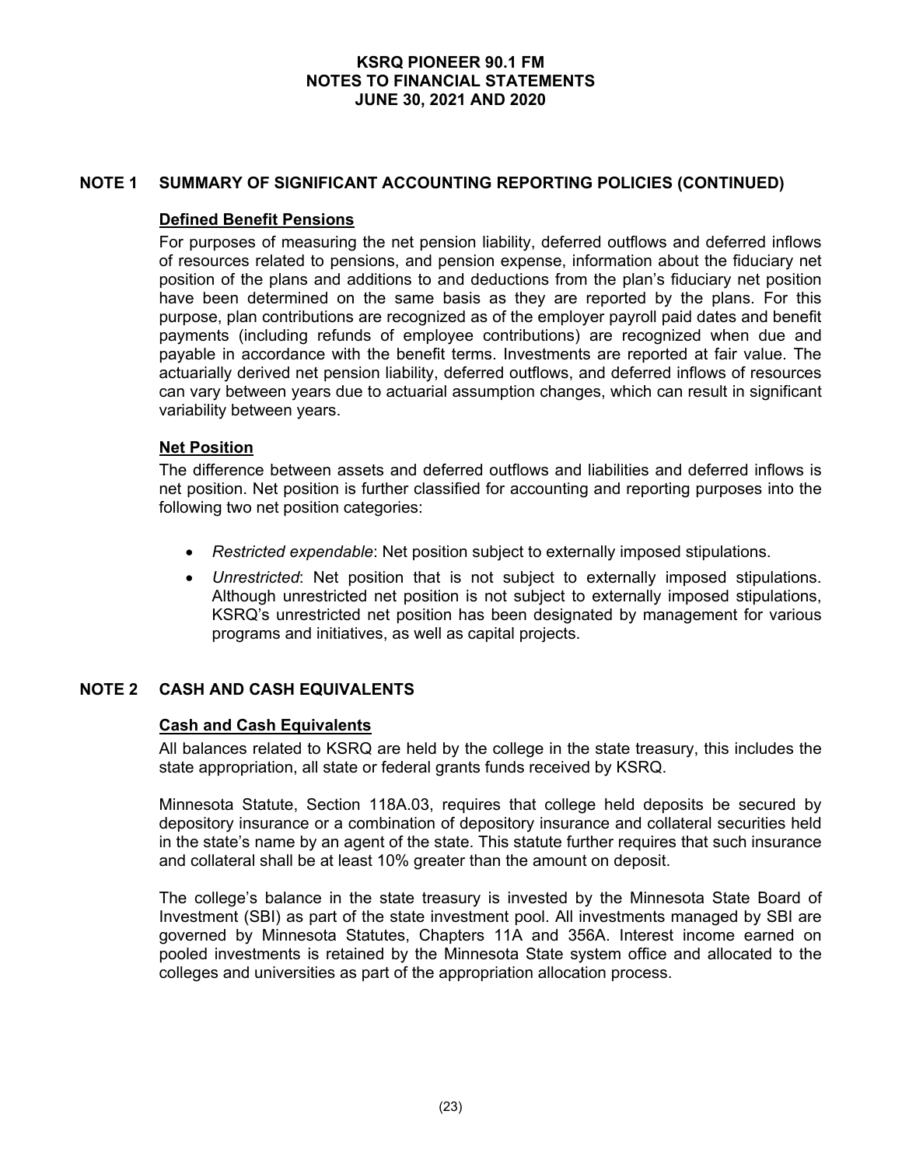## **NOTE 1 SUMMARY OF SIGNIFICANT ACCOUNTING REPORTING POLICIES (CONTINUED)**

#### **Defined Benefit Pensions**

For purposes of measuring the net pension liability, deferred outflows and deferred inflows of resources related to pensions, and pension expense, information about the fiduciary net position of the plans and additions to and deductions from the plan's fiduciary net position have been determined on the same basis as they are reported by the plans. For this purpose, plan contributions are recognized as of the employer payroll paid dates and benefit payments (including refunds of employee contributions) are recognized when due and payable in accordance with the benefit terms. Investments are reported at fair value. The actuarially derived net pension liability, deferred outflows, and deferred inflows of resources can vary between years due to actuarial assumption changes, which can result in significant variability between years.

### **Net Position**

The difference between assets and deferred outflows and liabilities and deferred inflows is net position. Net position is further classified for accounting and reporting purposes into the following two net position categories:

- *Restricted expendable*: Net position subject to externally imposed stipulations.
- *Unrestricted*: Net position that is not subject to externally imposed stipulations. Although unrestricted net position is not subject to externally imposed stipulations, KSRQ's unrestricted net position has been designated by management for various programs and initiatives, as well as capital projects.

## **NOTE 2 CASH AND CASH EQUIVALENTS**

## **Cash and Cash Equivalents**

All balances related to KSRQ are held by the college in the state treasury, this includes the state appropriation, all state or federal grants funds received by KSRQ.

Minnesota Statute, Section 118A.03, requires that college held deposits be secured by depository insurance or a combination of depository insurance and collateral securities held in the state's name by an agent of the state. This statute further requires that such insurance and collateral shall be at least 10% greater than the amount on deposit.

The college's balance in the state treasury is invested by the Minnesota State Board of Investment (SBI) as part of the state investment pool. All investments managed by SBI are governed by Minnesota Statutes, Chapters 11A and 356A. Interest income earned on pooled investments is retained by the Minnesota State system office and allocated to the colleges and universities as part of the appropriation allocation process.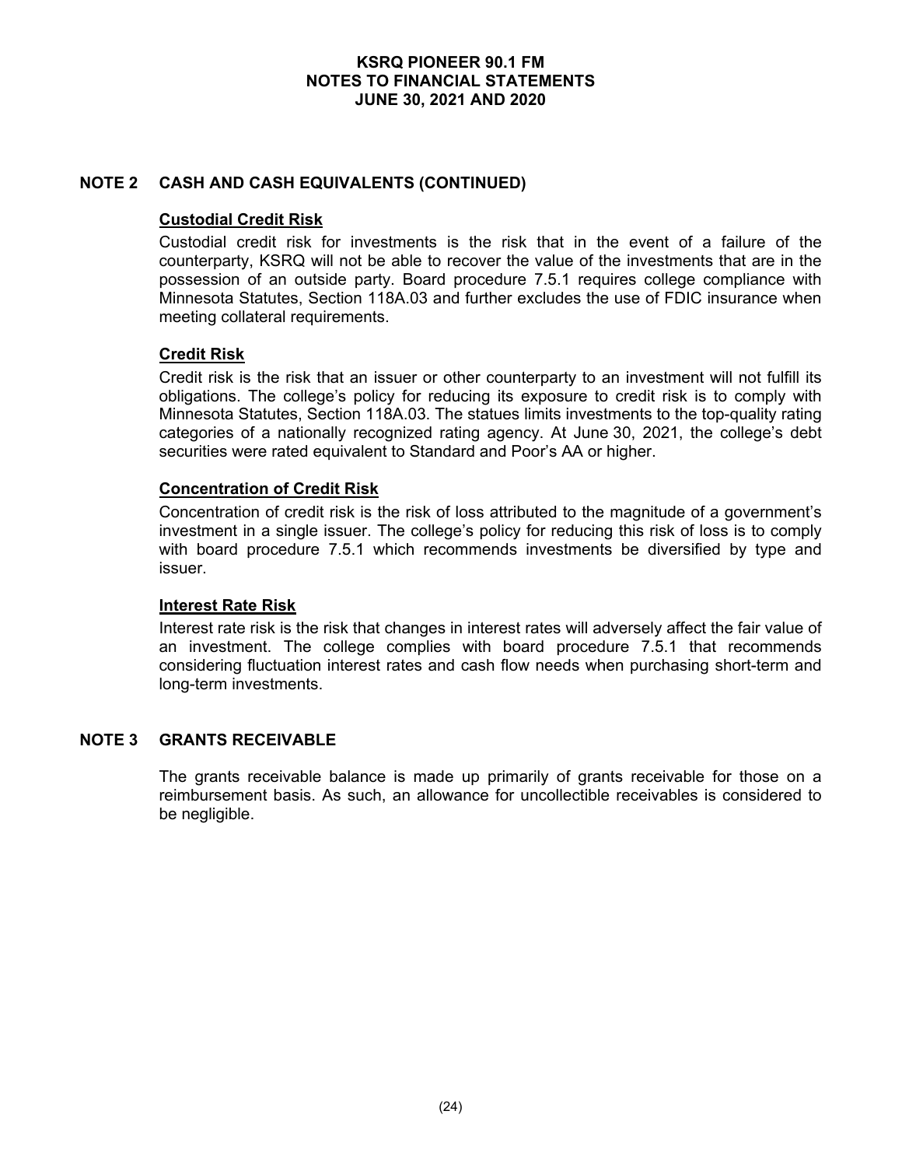### **NOTE 2 CASH AND CASH EQUIVALENTS (CONTINUED)**

#### **Custodial Credit Risk**

Custodial credit risk for investments is the risk that in the event of a failure of the counterparty, KSRQ will not be able to recover the value of the investments that are in the possession of an outside party. Board procedure 7.5.1 requires college compliance with Minnesota Statutes, Section 118A.03 and further excludes the use of FDIC insurance when meeting collateral requirements.

### **Credit Risk**

Credit risk is the risk that an issuer or other counterparty to an investment will not fulfill its obligations. The college's policy for reducing its exposure to credit risk is to comply with Minnesota Statutes, Section 118A.03. The statues limits investments to the top-quality rating categories of a nationally recognized rating agency. At June 30, 2021, the college's debt securities were rated equivalent to Standard and Poor's AA or higher.

### **Concentration of Credit Risk**

Concentration of credit risk is the risk of loss attributed to the magnitude of a government's investment in a single issuer. The college's policy for reducing this risk of loss is to comply with board procedure 7.5.1 which recommends investments be diversified by type and issuer.

#### **Interest Rate Risk**

Interest rate risk is the risk that changes in interest rates will adversely affect the fair value of an investment. The college complies with board procedure 7.5.1 that recommends considering fluctuation interest rates and cash flow needs when purchasing short-term and long-term investments.

## **NOTE 3 GRANTS RECEIVABLE**

The grants receivable balance is made up primarily of grants receivable for those on a reimbursement basis. As such, an allowance for uncollectible receivables is considered to be negligible.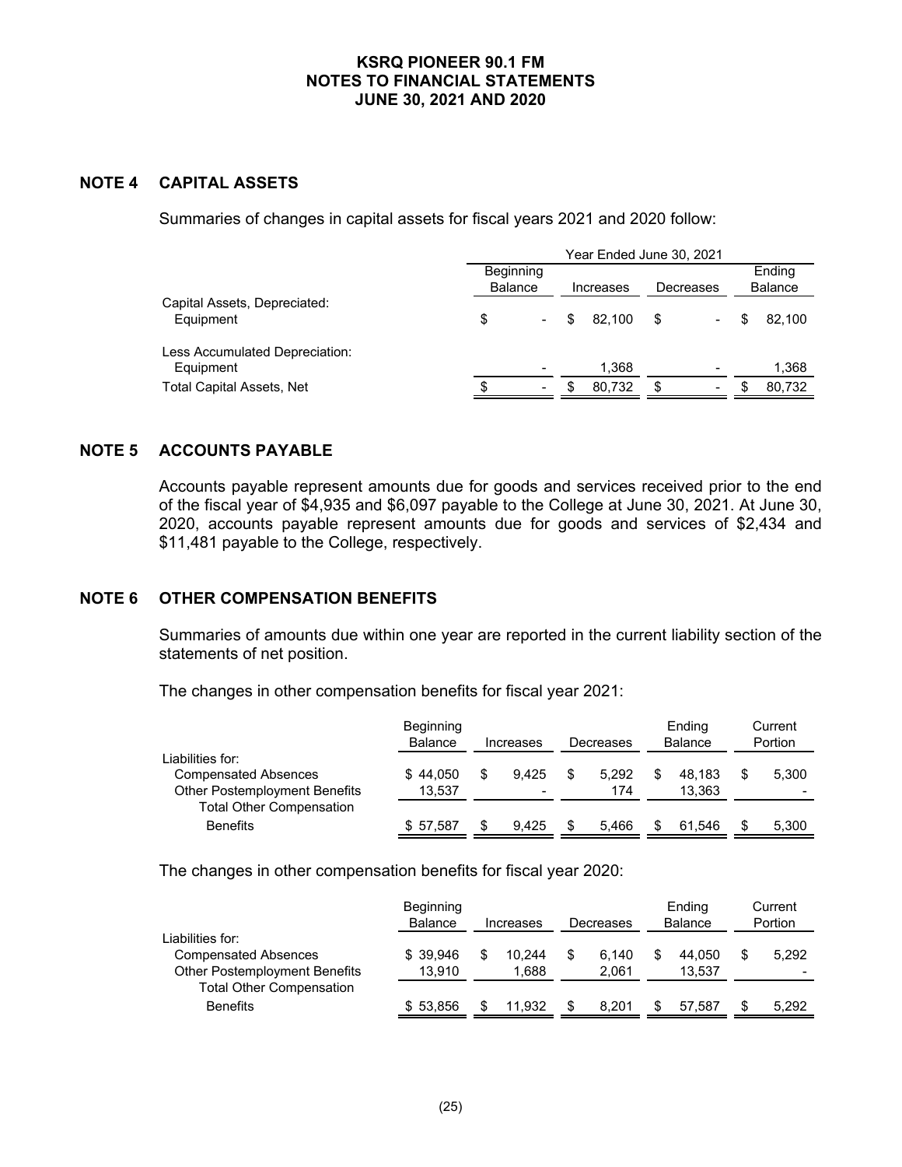### **NOTE 4 CAPITAL ASSETS**

Summaries of changes in capital assets for fiscal years 2021 and 2020 follow:

|                                             | Year Ended June 30, 2021 |                                          |    |        |           |                          |   |                          |  |
|---------------------------------------------|--------------------------|------------------------------------------|----|--------|-----------|--------------------------|---|--------------------------|--|
|                                             |                          | Beginning<br><b>Balance</b><br>Increases |    |        | Decreases |                          |   | Ending<br><b>Balance</b> |  |
| Capital Assets, Depreciated:<br>Equipment   | \$                       | $\sim 100$                               | \$ | 82.100 | - \$      | $\blacksquare$           | S | 82.100                   |  |
| Less Accumulated Depreciation:<br>Equipment |                          |                                          |    | 1,368  |           |                          |   | 1,368                    |  |
| <b>Total Capital Assets, Net</b>            | \$                       |                                          |    | 80,732 | \$        | $\overline{\phantom{0}}$ |   | 80,732                   |  |

## **NOTE 5 ACCOUNTS PAYABLE**

Accounts payable represent amounts due for goods and services received prior to the end of the fiscal year of \$4,935 and \$6,097 payable to the College at June 30, 2021. At June 30, 2020, accounts payable represent amounts due for goods and services of \$2,434 and \$11,481 payable to the College, respectively.

#### **NOTE 6 OTHER COMPENSATION BENEFITS**

Summaries of amounts due within one year are reported in the current liability section of the statements of net position.

The changes in other compensation benefits for fiscal year 2021:

|                                      | Beginning<br><b>Balance</b> | Increases | Decreases | Ending<br><b>Balance</b> | Current<br>Portion |
|--------------------------------------|-----------------------------|-----------|-----------|--------------------------|--------------------|
| Liabilities for:                     |                             |           |           |                          |                    |
| <b>Compensated Absences</b>          | \$44.050                    | 9.425     | 5.292     | 48.183                   | 5.300              |
| <b>Other Postemployment Benefits</b> | 13,537                      |           | 174       | 13.363                   |                    |
| <b>Total Other Compensation</b>      |                             |           |           |                          |                    |
| <b>Benefits</b>                      | \$57.587                    | 9.425     | 5.466     | 61.546                   | 5,300              |

The changes in other compensation benefits for fiscal year 2020:

|                                      | Beginning<br><b>Balance</b> | Increases | Decreases | Ending<br><b>Balance</b> | Current<br>Portion |
|--------------------------------------|-----------------------------|-----------|-----------|--------------------------|--------------------|
| Liabilities for:                     |                             |           |           |                          |                    |
| <b>Compensated Absences</b>          | \$39.946                    | 10.244    | 6.140     | 44.050                   | 5.292              |
| <b>Other Postemployment Benefits</b> | 13.910                      | 688. ا    | 2.061     | 13.537                   |                    |
| <b>Total Other Compensation</b>      |                             |           |           |                          |                    |
| <b>Benefits</b>                      | \$53.856                    | 11.932    | 8.201     | 57.587                   | 5,292              |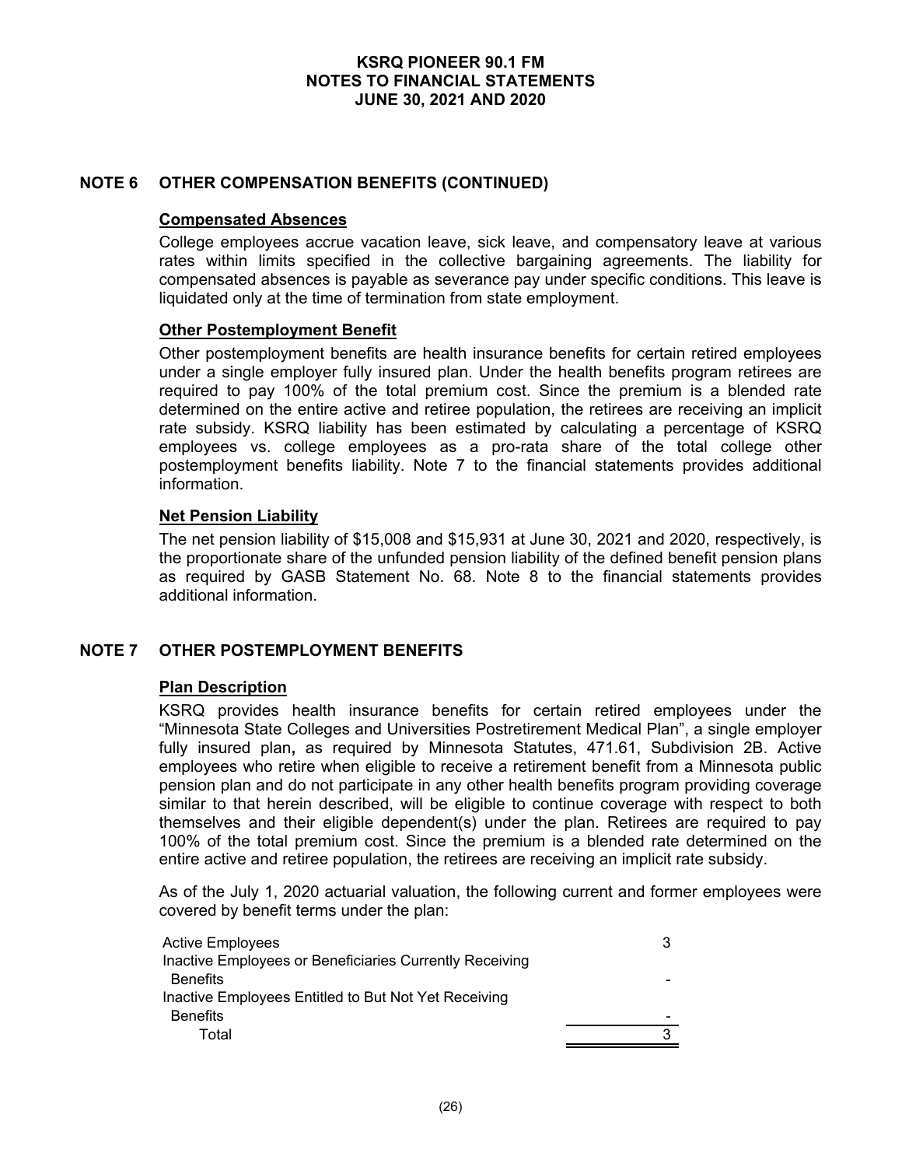### **NOTE 6 OTHER COMPENSATION BENEFITS (CONTINUED)**

#### **Compensated Absences**

College employees accrue vacation leave, sick leave, and compensatory leave at various rates within limits specified in the collective bargaining agreements. The liability for compensated absences is payable as severance pay under specific conditions. This leave is liquidated only at the time of termination from state employment.

#### **Other Postemployment Benefit**

Other postemployment benefits are health insurance benefits for certain retired employees under a single employer fully insured plan. Under the health benefits program retirees are required to pay 100% of the total premium cost. Since the premium is a blended rate determined on the entire active and retiree population, the retirees are receiving an implicit rate subsidy. KSRQ liability has been estimated by calculating a percentage of KSRQ employees vs. college employees as a pro-rata share of the total college other postemployment benefits liability. Note 7 to the financial statements provides additional information.

#### **Net Pension Liability**

The net pension liability of \$15,008 and \$15,931 at June 30, 2021 and 2020, respectively, is the proportionate share of the unfunded pension liability of the defined benefit pension plans as required by GASB Statement No. 68. Note 8 to the financial statements provides additional information.

#### **NOTE 7 OTHER POSTEMPLOYMENT BENEFITS**

#### **Plan Description**

KSRQ provides health insurance benefits for certain retired employees under the "Minnesota State Colleges and Universities Postretirement Medical Plan", a single employer fully insured plan**,** as required by Minnesota Statutes, 471.61, Subdivision 2B. Active employees who retire when eligible to receive a retirement benefit from a Minnesota public pension plan and do not participate in any other health benefits program providing coverage similar to that herein described, will be eligible to continue coverage with respect to both themselves and their eligible dependent(s) under the plan. Retirees are required to pay 100% of the total premium cost. Since the premium is a blended rate determined on the entire active and retiree population, the retirees are receiving an implicit rate subsidy.

As of the July 1, 2020 actuarial valuation, the following current and former employees were covered by benefit terms under the plan:

| <b>Active Employees</b>                                 |  |
|---------------------------------------------------------|--|
| Inactive Employees or Beneficiaries Currently Receiving |  |
| <b>Benefits</b>                                         |  |
| Inactive Employees Entitled to But Not Yet Receiving    |  |
| <b>Benefits</b>                                         |  |
| Total                                                   |  |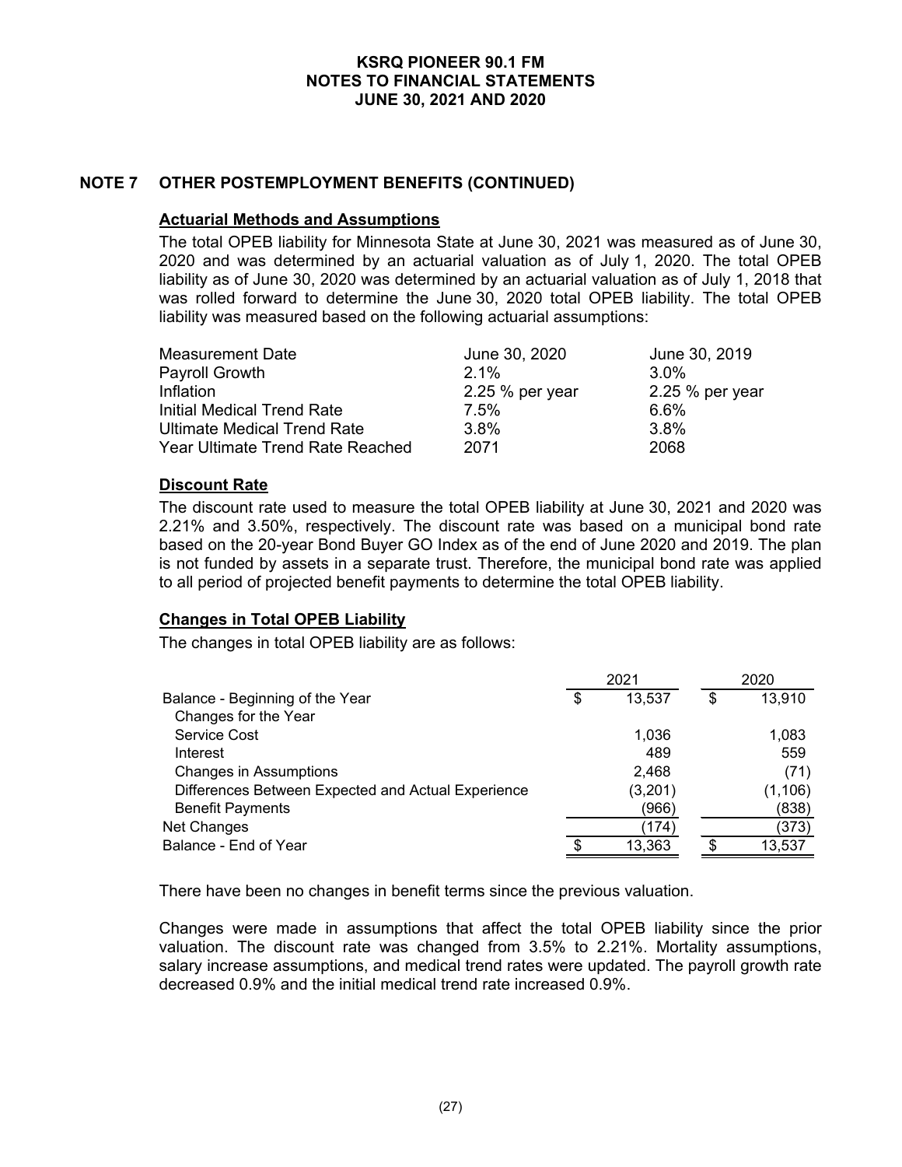## **NOTE 7 OTHER POSTEMPLOYMENT BENEFITS (CONTINUED)**

#### **Actuarial Methods and Assumptions**

The total OPEB liability for Minnesota State at June 30, 2021 was measured as of June 30, 2020 and was determined by an actuarial valuation as of July 1, 2020. The total OPEB liability as of June 30, 2020 was determined by an actuarial valuation as of July 1, 2018 that was rolled forward to determine the June 30, 2020 total OPEB liability. The total OPEB liability was measured based on the following actuarial assumptions:

| Measurement Date                 | June 30, 2020    | June 30, 2019    |
|----------------------------------|------------------|------------------|
| Payroll Growth                   | $2.1\%$          | $3.0\%$          |
| Inflation                        | $2.25%$ per year | $2.25%$ per year |
| Initial Medical Trend Rate       | 7.5%             | 6.6%             |
| Ultimate Medical Trend Rate      | 3.8%             | 3.8%             |
| Year Ultimate Trend Rate Reached | 2071             | 2068             |

## **Discount Rate**

The discount rate used to measure the total OPEB liability at June 30, 2021 and 2020 was 2.21% and 3.50%, respectively. The discount rate was based on a municipal bond rate based on the 20-year Bond Buyer GO Index as of the end of June 2020 and 2019. The plan is not funded by assets in a separate trust. Therefore, the municipal bond rate was applied to all period of projected benefit payments to determine the total OPEB liability.

#### **Changes in Total OPEB Liability**

The changes in total OPEB liability are as follows:

|                                                    |    | 2021    |   | 2020     |  |  |
|----------------------------------------------------|----|---------|---|----------|--|--|
| Balance - Beginning of the Year                    | \$ | 13.537  | S | 13,910   |  |  |
| Changes for the Year                               |    |         |   |          |  |  |
| Service Cost                                       |    | 1,036   |   | 1,083    |  |  |
| Interest                                           |    | 489     |   | 559      |  |  |
| <b>Changes in Assumptions</b>                      |    | 2,468   |   | (71)     |  |  |
| Differences Between Expected and Actual Experience |    | (3,201) |   | (1, 106) |  |  |
| <b>Benefit Payments</b>                            |    | (966)   |   | (838)    |  |  |
| Net Changes                                        |    | (174)   |   | (373)    |  |  |
| Balance - End of Year                              |    | 13,363  |   | 13,537   |  |  |

There have been no changes in benefit terms since the previous valuation.

Changes were made in assumptions that affect the total OPEB liability since the prior valuation. The discount rate was changed from 3.5% to 2.21%. Mortality assumptions, salary increase assumptions, and medical trend rates were updated. The payroll growth rate decreased 0.9% and the initial medical trend rate increased 0.9%.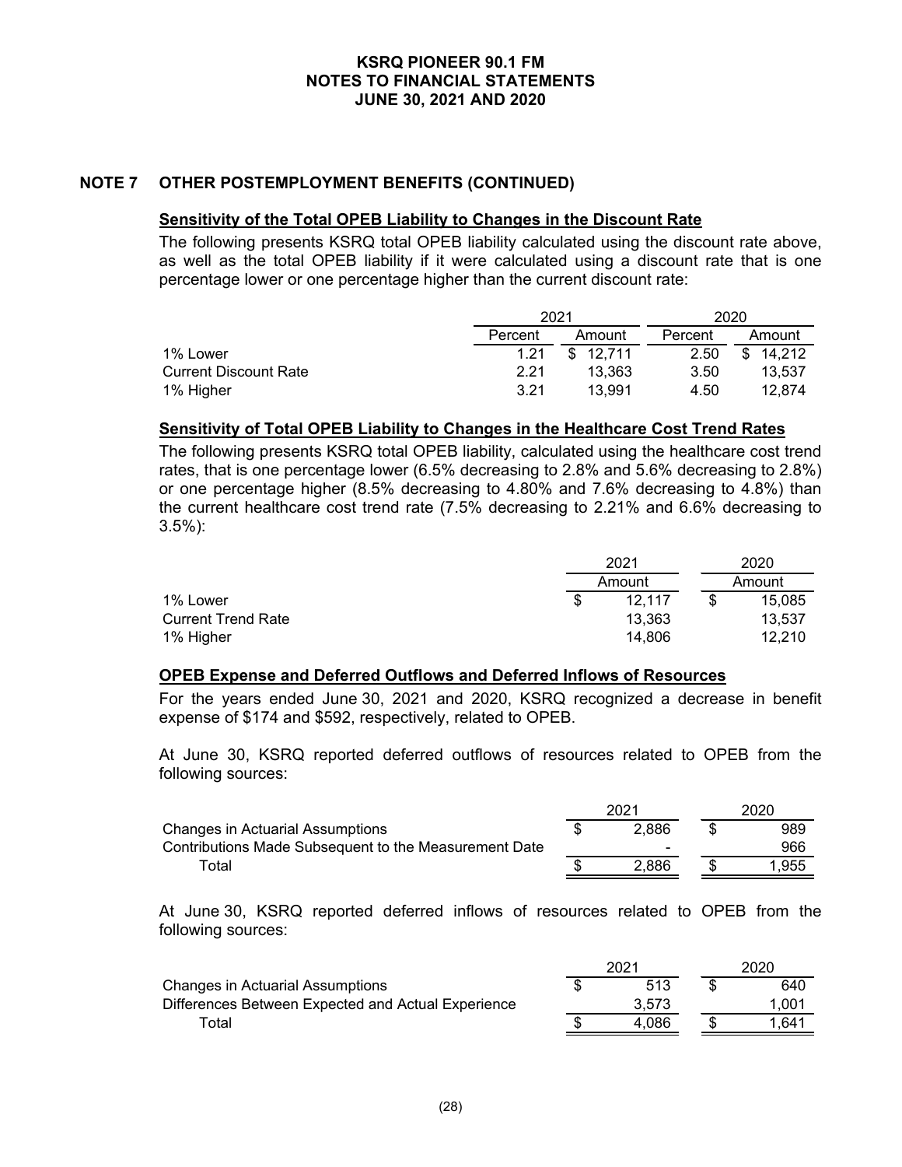### **NOTE 7 OTHER POSTEMPLOYMENT BENEFITS (CONTINUED)**

#### **Sensitivity of the Total OPEB Liability to Changes in the Discount Rate**

The following presents KSRQ total OPEB liability calculated using the discount rate above, as well as the total OPEB liability if it were calculated using a discount rate that is one percentage lower or one percentage higher than the current discount rate:

|                              | 2021    |          | 2020    |              |  |
|------------------------------|---------|----------|---------|--------------|--|
|                              | Percent | Amount   | Percent | Amount       |  |
| 1% Lower                     | 1.21    | \$12.711 | 2.50    | 14,212<br>\$ |  |
| <b>Current Discount Rate</b> | 2.21    | 13.363   | 3.50    | 13.537       |  |
| 1% Higher                    | 3.21    | 13.991   | 4.50    | 12.874       |  |

### **Sensitivity of Total OPEB Liability to Changes in the Healthcare Cost Trend Rates**

The following presents KSRQ total OPEB liability, calculated using the healthcare cost trend rates, that is one percentage lower (6.5% decreasing to 2.8% and 5.6% decreasing to 2.8%) or one percentage higher (8.5% decreasing to 4.80% and 7.6% decreasing to 4.8%) than the current healthcare cost trend rate (7.5% decreasing to 2.21% and 6.6% decreasing to 3.5%):

|                           | 2021 |        |   | 2020   |  |
|---------------------------|------|--------|---|--------|--|
|                           |      | Amount |   | Amount |  |
| 1% Lower                  | S    | 12.117 | S | 15,085 |  |
| <b>Current Trend Rate</b> |      | 13.363 |   | 13,537 |  |
| 1% Higher                 |      | 14.806 |   | 12.210 |  |

#### **OPEB Expense and Deferred Outflows and Deferred Inflows of Resources**

For the years ended June 30, 2021 and 2020, KSRQ recognized a decrease in benefit expense of \$174 and \$592, respectively, related to OPEB.

At June 30, KSRQ reported deferred outflows of resources related to OPEB from the following sources:

|                                                       | 2021  | 2020  |
|-------------------------------------------------------|-------|-------|
| Changes in Actuarial Assumptions                      | 2.886 | 989   |
| Contributions Made Subsequent to the Measurement Date | -     | 966   |
| ™otal                                                 | 2.886 | 1.955 |

At June 30, KSRQ reported deferred inflows of resources related to OPEB from the following sources:

|                                                    | 2021  | 2020  |
|----------------------------------------------------|-------|-------|
| Changes in Actuarial Assumptions                   | 513   | 640   |
| Differences Between Expected and Actual Experience | 3.573 | 1.001 |
| Total                                              | 4.086 | 1.641 |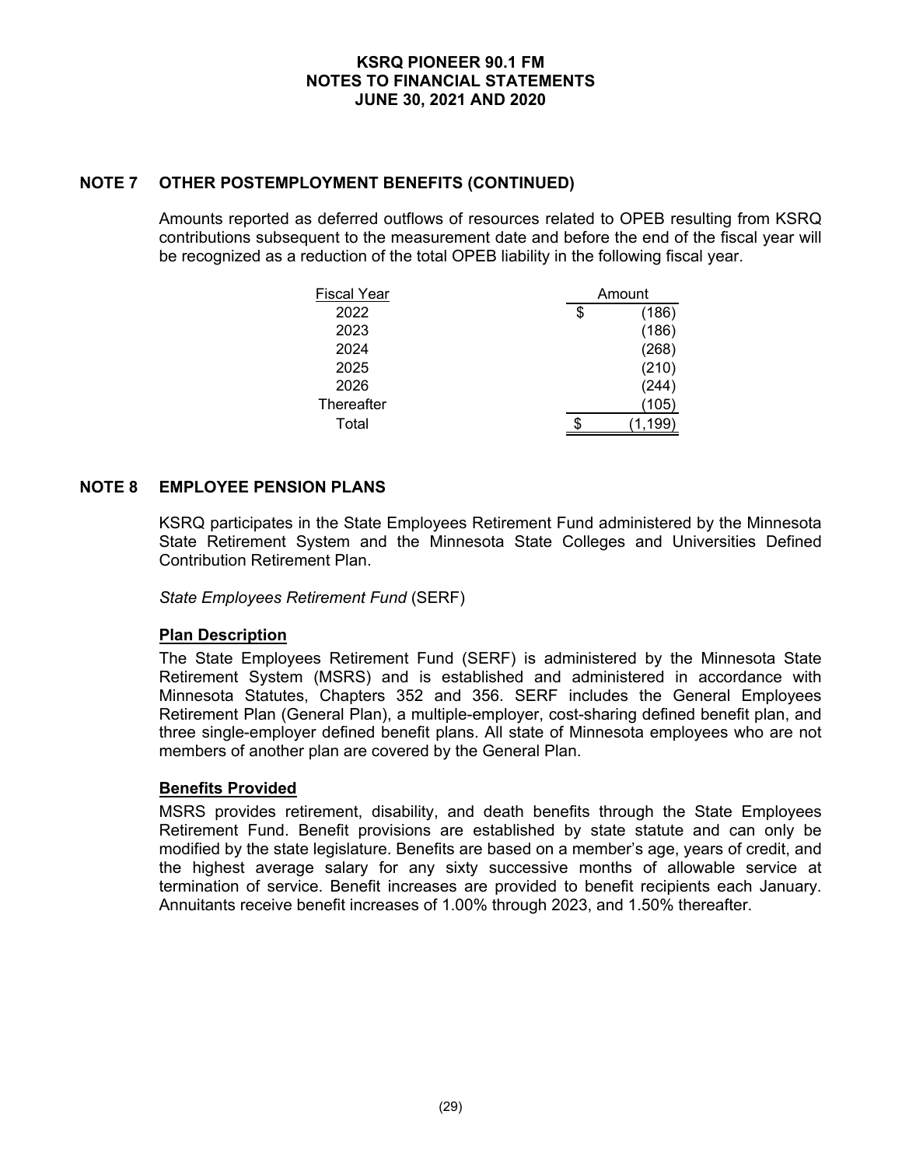## **NOTE 7 OTHER POSTEMPLOYMENT BENEFITS (CONTINUED)**

Amounts reported as deferred outflows of resources related to OPEB resulting from KSRQ contributions subsequent to the measurement date and before the end of the fiscal year will be recognized as a reduction of the total OPEB liability in the following fiscal year.

| <b>Fiscal Year</b> | Amount      |  |  |
|--------------------|-------------|--|--|
| 2022               | \$<br>(186) |  |  |
| 2023               | (186)       |  |  |
| 2024               | (268)       |  |  |
| 2025               | (210)       |  |  |
| 2026               | (244)       |  |  |
| Thereafter         | (105)       |  |  |
| Total              |             |  |  |

## **NOTE 8 EMPLOYEE PENSION PLANS**

KSRQ participates in the State Employees Retirement Fund administered by the Minnesota State Retirement System and the Minnesota State Colleges and Universities Defined Contribution Retirement Plan.

*State Employees Retirement Fund* (SERF)

## **Plan Description**

The State Employees Retirement Fund (SERF) is administered by the Minnesota State Retirement System (MSRS) and is established and administered in accordance with Minnesota Statutes, Chapters 352 and 356. SERF includes the General Employees Retirement Plan (General Plan), a multiple-employer, cost-sharing defined benefit plan, and three single-employer defined benefit plans. All state of Minnesota employees who are not members of another plan are covered by the General Plan.

## **Benefits Provided**

MSRS provides retirement, disability, and death benefits through the State Employees Retirement Fund. Benefit provisions are established by state statute and can only be modified by the state legislature. Benefits are based on a member's age, years of credit, and the highest average salary for any sixty successive months of allowable service at termination of service. Benefit increases are provided to benefit recipients each January. Annuitants receive benefit increases of 1.00% through 2023, and 1.50% thereafter.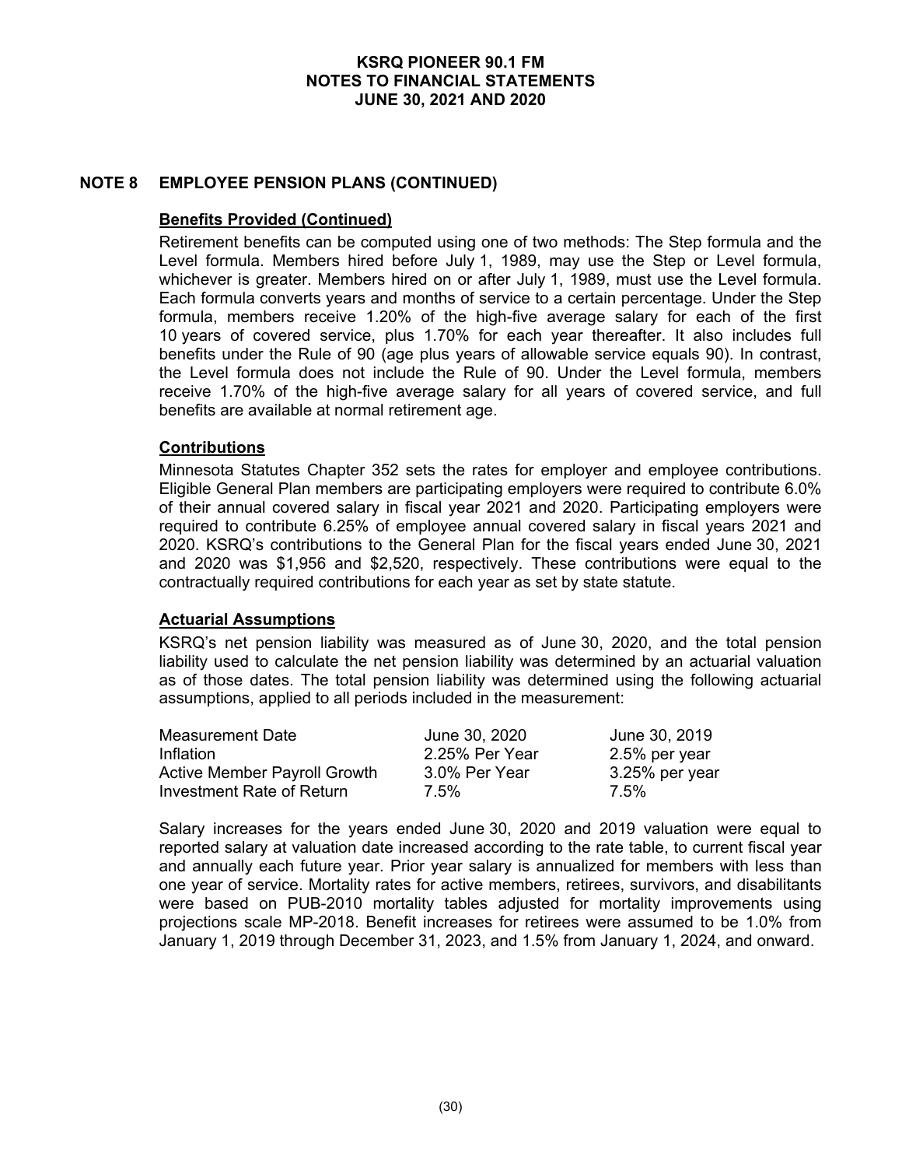## **NOTE 8 EMPLOYEE PENSION PLANS (CONTINUED)**

#### **Benefits Provided (Continued)**

Retirement benefits can be computed using one of two methods: The Step formula and the Level formula. Members hired before July 1, 1989, may use the Step or Level formula, whichever is greater. Members hired on or after July 1, 1989, must use the Level formula. Each formula converts years and months of service to a certain percentage. Under the Step formula, members receive 1.20% of the high-five average salary for each of the first 10 years of covered service, plus 1.70% for each year thereafter. It also includes full benefits under the Rule of 90 (age plus years of allowable service equals 90). In contrast, the Level formula does not include the Rule of 90. Under the Level formula, members receive 1.70% of the high-five average salary for all years of covered service, and full benefits are available at normal retirement age.

### **Contributions**

Minnesota Statutes Chapter 352 sets the rates for employer and employee contributions. Eligible General Plan members are participating employers were required to contribute 6.0% of their annual covered salary in fiscal year 2021 and 2020. Participating employers were required to contribute 6.25% of employee annual covered salary in fiscal years 2021 and 2020. KSRQ's contributions to the General Plan for the fiscal years ended June 30, 2021 and 2020 was \$1,956 and \$2,520, respectively. These contributions were equal to the contractually required contributions for each year as set by state statute.

#### **Actuarial Assumptions**

KSRQ's net pension liability was measured as of June 30, 2020, and the total pension liability used to calculate the net pension liability was determined by an actuarial valuation as of those dates. The total pension liability was determined using the following actuarial assumptions, applied to all periods included in the measurement:

| Measurement Date                    | June 30, 2020  | June 30, 2019  |
|-------------------------------------|----------------|----------------|
| Inflation                           | 2.25% Per Year | 2.5% per year  |
| <b>Active Member Payroll Growth</b> | 3.0% Per Year  | 3.25% per year |
| Investment Rate of Return           | 7.5%           | 7.5%           |

Salary increases for the years ended June 30, 2020 and 2019 valuation were equal to reported salary at valuation date increased according to the rate table, to current fiscal year and annually each future year. Prior year salary is annualized for members with less than one year of service. Mortality rates for active members, retirees, survivors, and disabilitants were based on PUB-2010 mortality tables adjusted for mortality improvements using projections scale MP-2018. Benefit increases for retirees were assumed to be 1.0% from January 1, 2019 through December 31, 2023, and 1.5% from January 1, 2024, and onward.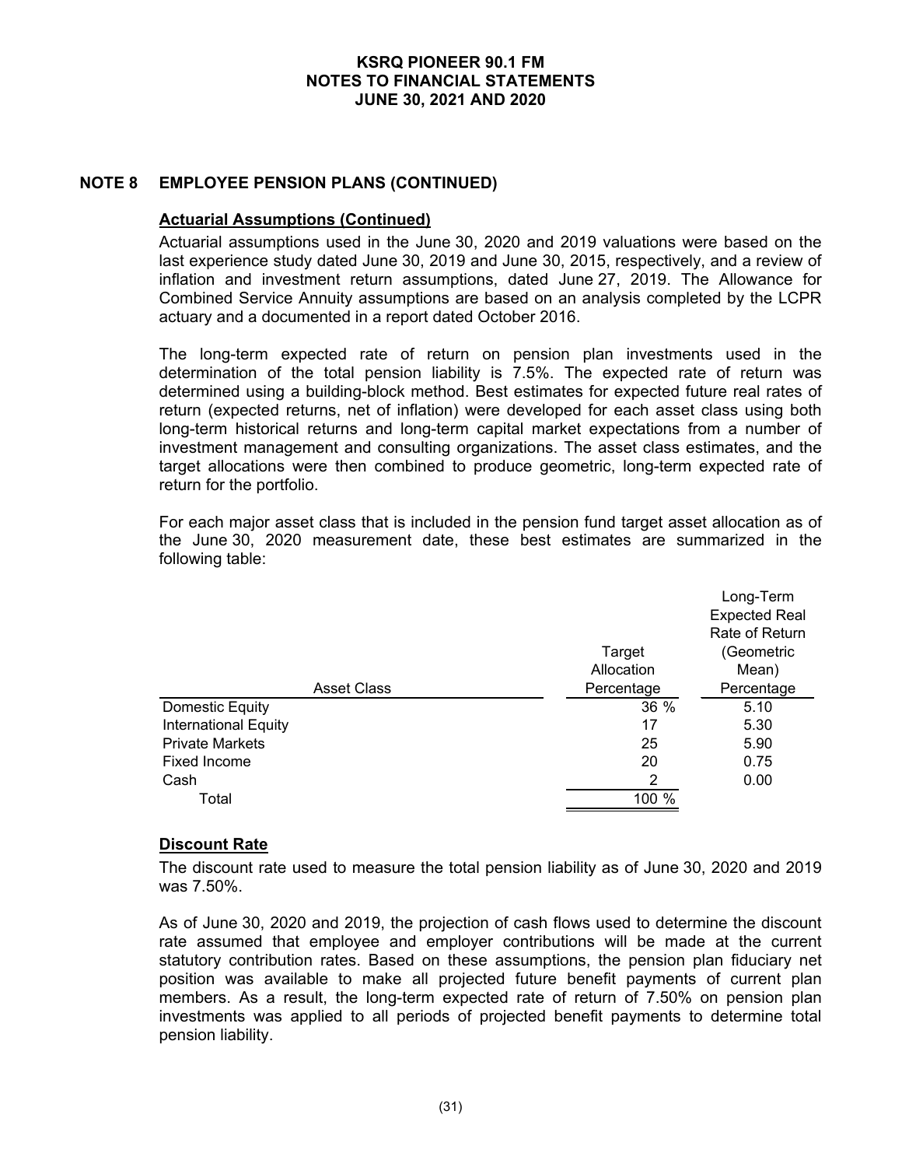## **NOTE 8 EMPLOYEE PENSION PLANS (CONTINUED)**

#### **Actuarial Assumptions (Continued)**

Actuarial assumptions used in the June 30, 2020 and 2019 valuations were based on the last experience study dated June 30, 2019 and June 30, 2015, respectively, and a review of inflation and investment return assumptions, dated June 27, 2019. The Allowance for Combined Service Annuity assumptions are based on an analysis completed by the LCPR actuary and a documented in a report dated October 2016.

The long-term expected rate of return on pension plan investments used in the determination of the total pension liability is 7.5%. The expected rate of return was determined using a building-block method. Best estimates for expected future real rates of return (expected returns, net of inflation) were developed for each asset class using both long-term historical returns and long-term capital market expectations from a number of investment management and consulting organizations. The asset class estimates, and the target allocations were then combined to produce geometric, long-term expected rate of return for the portfolio.

For each major asset class that is included in the pension fund target asset allocation as of the June 30, 2020 measurement date, these best estimates are summarized in the following table:

|                             |            | Long-Term            |
|-----------------------------|------------|----------------------|
|                             |            | <b>Expected Real</b> |
|                             |            | Rate of Return       |
|                             | Target     | (Geometric           |
|                             | Allocation | Mean)                |
| Asset Class                 | Percentage | Percentage           |
| Domestic Equity             | 36 %       | 5.10                 |
| <b>International Equity</b> | 17         | 5.30                 |
| <b>Private Markets</b>      | 25         | 5.90                 |
| Fixed Income                | 20         | 0.75                 |
| Cash                        | 2          | 0.00                 |
| Total                       | 100 %      |                      |

#### **Discount Rate**

The discount rate used to measure the total pension liability as of June 30, 2020 and 2019 was 7.50%.

As of June 30, 2020 and 2019, the projection of cash flows used to determine the discount rate assumed that employee and employer contributions will be made at the current statutory contribution rates. Based on these assumptions, the pension plan fiduciary net position was available to make all projected future benefit payments of current plan members. As a result, the long-term expected rate of return of 7.50% on pension plan investments was applied to all periods of projected benefit payments to determine total pension liability.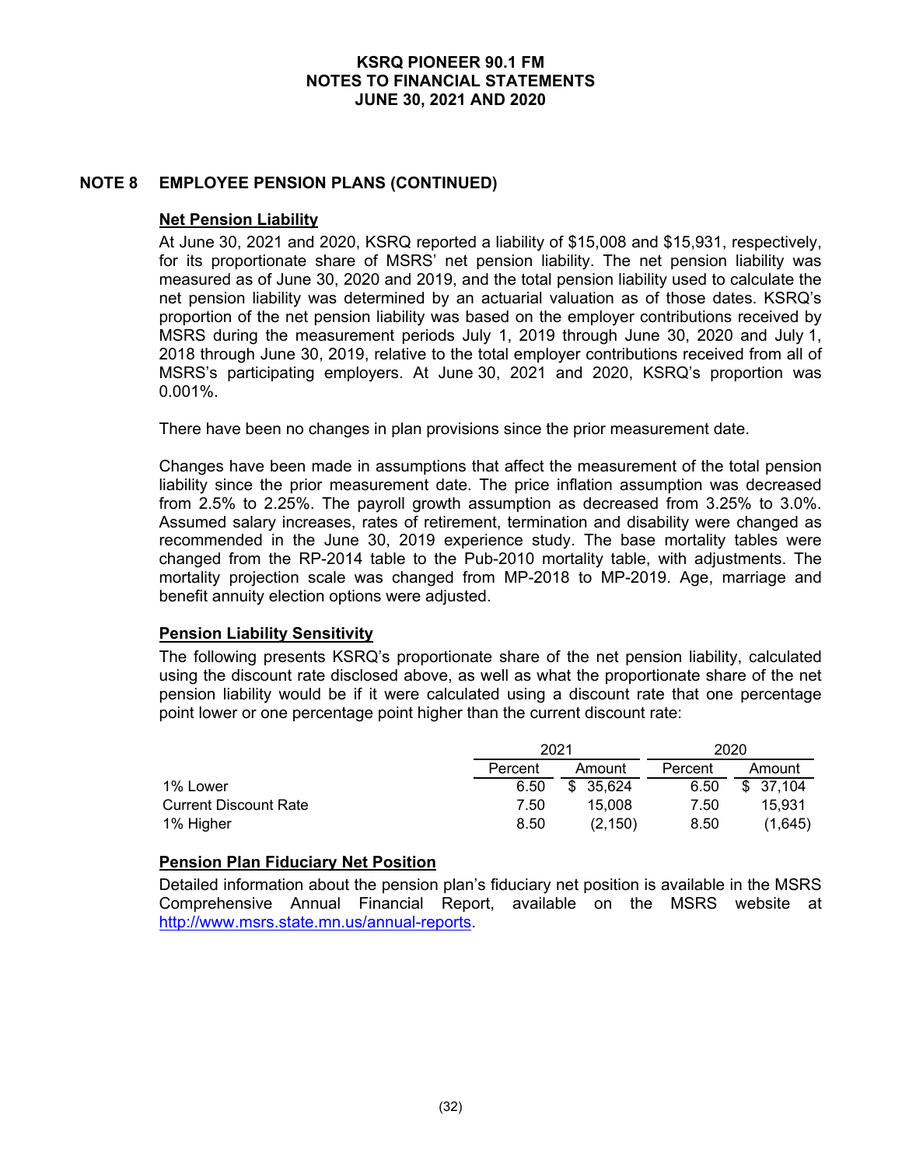### **NOTE 8 EMPLOYEE PENSION PLANS (CONTINUED)**

#### **Net Pension Liability**

At June 30, 2021 and 2020, KSRQ reported a liability of \$15,008 and \$15,931, respectively, for its proportionate share of MSRS' net pension liability. The net pension liability was measured as of June 30, 2020 and 2019, and the total pension liability used to calculate the net pension liability was determined by an actuarial valuation as of those dates. KSRQ's proportion of the net pension liability was based on the employer contributions received by MSRS during the measurement periods July 1, 2019 through June 30, 2020 and July 1, 2018 through June 30, 2019, relative to the total employer contributions received from all of MSRS's participating employers. At June 30, 2021 and 2020, KSRQ's proportion was 0.001%.

There have been no changes in plan provisions since the prior measurement date.

Changes have been made in assumptions that affect the measurement of the total pension liability since the prior measurement date. The price inflation assumption was decreased from 2.5% to 2.25%. The payroll growth assumption as decreased from 3.25% to 3.0%. Assumed salary increases, rates of retirement, termination and disability were changed as recommended in the June 30, 2019 experience study. The base mortality tables were changed from the RP-2014 table to the Pub-2010 mortality table, with adjustments. The mortality projection scale was changed from MP-2018 to MP-2019. Age, marriage and benefit annuity election options were adjusted.

#### **Pension Liability Sensitivity**

The following presents KSRQ's proportionate share of the net pension liability, calculated using the discount rate disclosed above, as well as what the proportionate share of the net pension liability would be if it were calculated using a discount rate that one percentage point lower or one percentage point higher than the current discount rate:

|                              | 2021    |          | 2020    |          |  |
|------------------------------|---------|----------|---------|----------|--|
|                              | Percent | Amount   | Percent | Amount   |  |
| 1% Lower                     | 6.50    | \$35,624 | 6.50    | \$37,104 |  |
| <b>Current Discount Rate</b> | 7.50    | 15.008   | 7.50    | 15.931   |  |
| 1% Higher                    | 8.50    | (2, 150) | 8.50    | (1.645)  |  |

#### **Pension Plan Fiduciary Net Position**

Detailed information about the pension plan's fiduciary net position is available in the MSRS Comprehensive Annual Financial Report, available on the MSRS website at http://www.msrs.state.mn.us/annual-reports.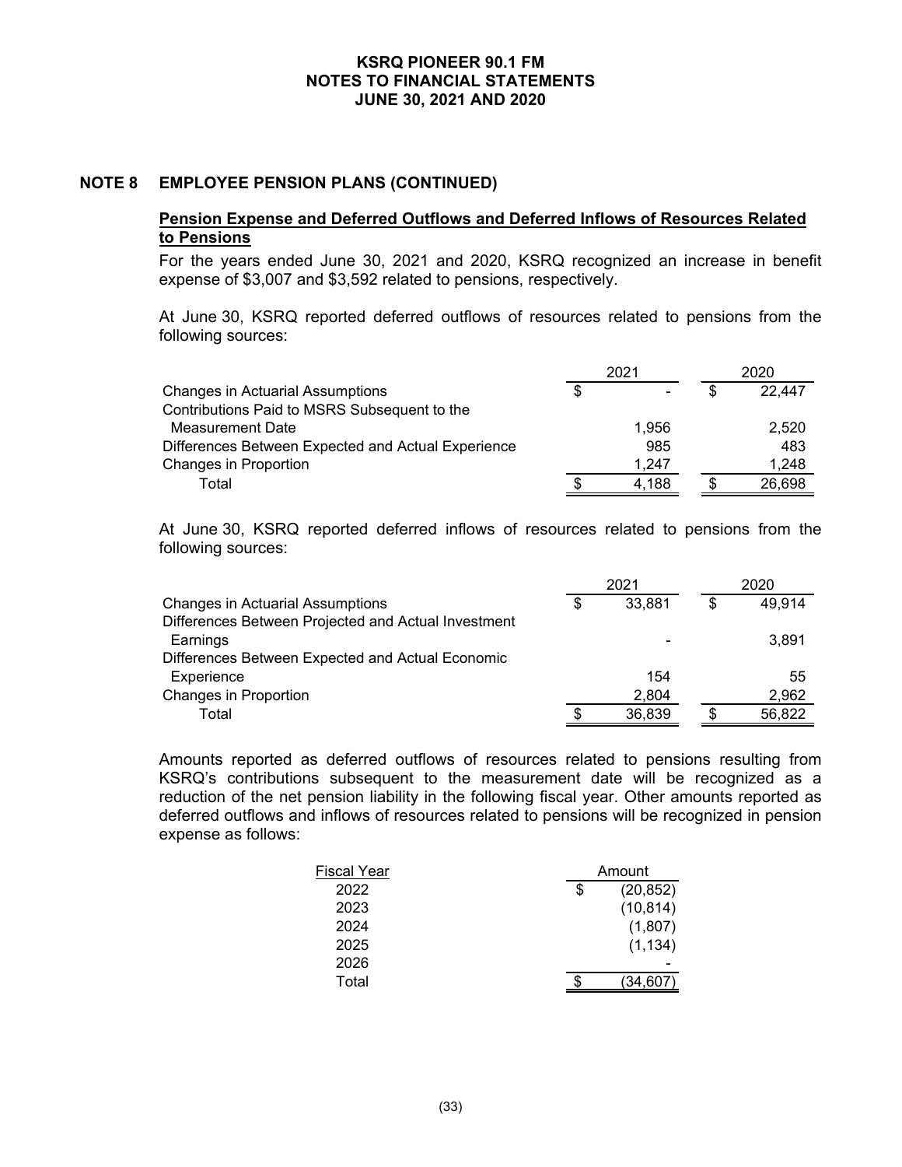#### **NOTE 8 EMPLOYEE PENSION PLANS (CONTINUED)**

## **Pension Expense and Deferred Outflows and Deferred Inflows of Resources Related to Pensions**

For the years ended June 30, 2021 and 2020, KSRQ recognized an increase in benefit expense of \$3,007 and \$3,592 related to pensions, respectively.

At June 30, KSRQ reported deferred outflows of resources related to pensions from the following sources:

|                                                    | 2021 |       | 2020 |        |
|----------------------------------------------------|------|-------|------|--------|
| <b>Changes in Actuarial Assumptions</b>            |      |       |      | 22,447 |
| Contributions Paid to MSRS Subsequent to the       |      |       |      |        |
| Measurement Date                                   |      | 1.956 |      | 2,520  |
| Differences Between Expected and Actual Experience |      | 985   |      | 483    |
| Changes in Proportion                              |      | 1.247 |      | 1.248  |
| Total                                              |      | 4.188 |      | 26,698 |

At June 30, KSRQ reported deferred inflows of resources related to pensions from the following sources:

|                                                     | 2021 |        | 2020 |        |
|-----------------------------------------------------|------|--------|------|--------|
| <b>Changes in Actuarial Assumptions</b>             |      | 33,881 | \$   | 49,914 |
| Differences Between Projected and Actual Investment |      |        |      |        |
| Earnings                                            |      |        |      | 3.891  |
| Differences Between Expected and Actual Economic    |      |        |      |        |
| Experience                                          |      | 154    |      | 55     |
| Changes in Proportion                               |      | 2.804  |      | 2.962  |
| Total                                               |      | 36,839 | \$.  | 56,822 |

Amounts reported as deferred outflows of resources related to pensions resulting from KSRQ's contributions subsequent to the measurement date will be recognized as a reduction of the net pension liability in the following fiscal year. Other amounts reported as deferred outflows and inflows of resources related to pensions will be recognized in pension expense as follows:

| <b>Fiscal Year</b> | Amount |           |  |
|--------------------|--------|-----------|--|
| 2022               | \$     | (20, 852) |  |
| 2023               |        | (10, 814) |  |
| 2024               |        | (1,807)   |  |
| 2025               |        | (1, 134)  |  |
| 2026               |        |           |  |
| Total              |        | 34.607    |  |
|                    |        |           |  |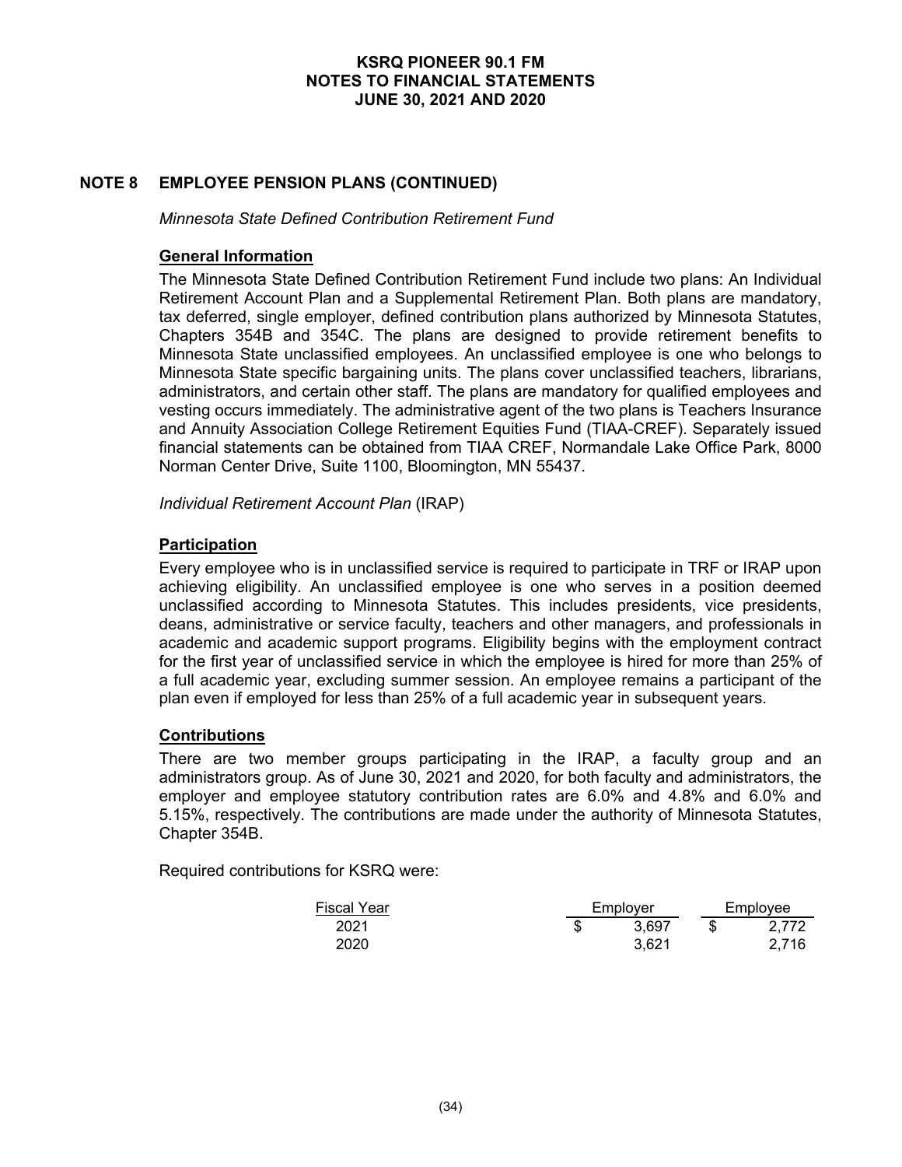## **NOTE 8 EMPLOYEE PENSION PLANS (CONTINUED)**

*Minnesota State Defined Contribution Retirement Fund*

## **General Information**

The Minnesota State Defined Contribution Retirement Fund include two plans: An Individual Retirement Account Plan and a Supplemental Retirement Plan. Both plans are mandatory, tax deferred, single employer, defined contribution plans authorized by Minnesota Statutes, Chapters 354B and 354C. The plans are designed to provide retirement benefits to Minnesota State unclassified employees. An unclassified employee is one who belongs to Minnesota State specific bargaining units. The plans cover unclassified teachers, librarians, administrators, and certain other staff. The plans are mandatory for qualified employees and vesting occurs immediately. The administrative agent of the two plans is Teachers Insurance and Annuity Association College Retirement Equities Fund (TIAA-CREF). Separately issued financial statements can be obtained from TIAA CREF, Normandale Lake Office Park, 8000 Norman Center Drive, Suite 1100, Bloomington, MN 55437.

*Individual Retirement Account Plan* (IRAP)

### **Participation**

Every employee who is in unclassified service is required to participate in TRF or IRAP upon achieving eligibility. An unclassified employee is one who serves in a position deemed unclassified according to Minnesota Statutes. This includes presidents, vice presidents, deans, administrative or service faculty, teachers and other managers, and professionals in academic and academic support programs. Eligibility begins with the employment contract for the first year of unclassified service in which the employee is hired for more than 25% of a full academic year, excluding summer session. An employee remains a participant of the plan even if employed for less than 25% of a full academic year in subsequent years.

#### **Contributions**

There are two member groups participating in the IRAP, a faculty group and an administrators group. As of June 30, 2021 and 2020, for both faculty and administrators, the employer and employee statutory contribution rates are 6.0% and 4.8% and 6.0% and 5.15%, respectively. The contributions are made under the authority of Minnesota Statutes, Chapter 354B.

Required contributions for KSRQ were:

| Fiscal Year | Employer |       | Employee |
|-------------|----------|-------|----------|
| 2021        |          | 3.697 | 2.772    |
| 2020        |          | 3.621 | 2.716    |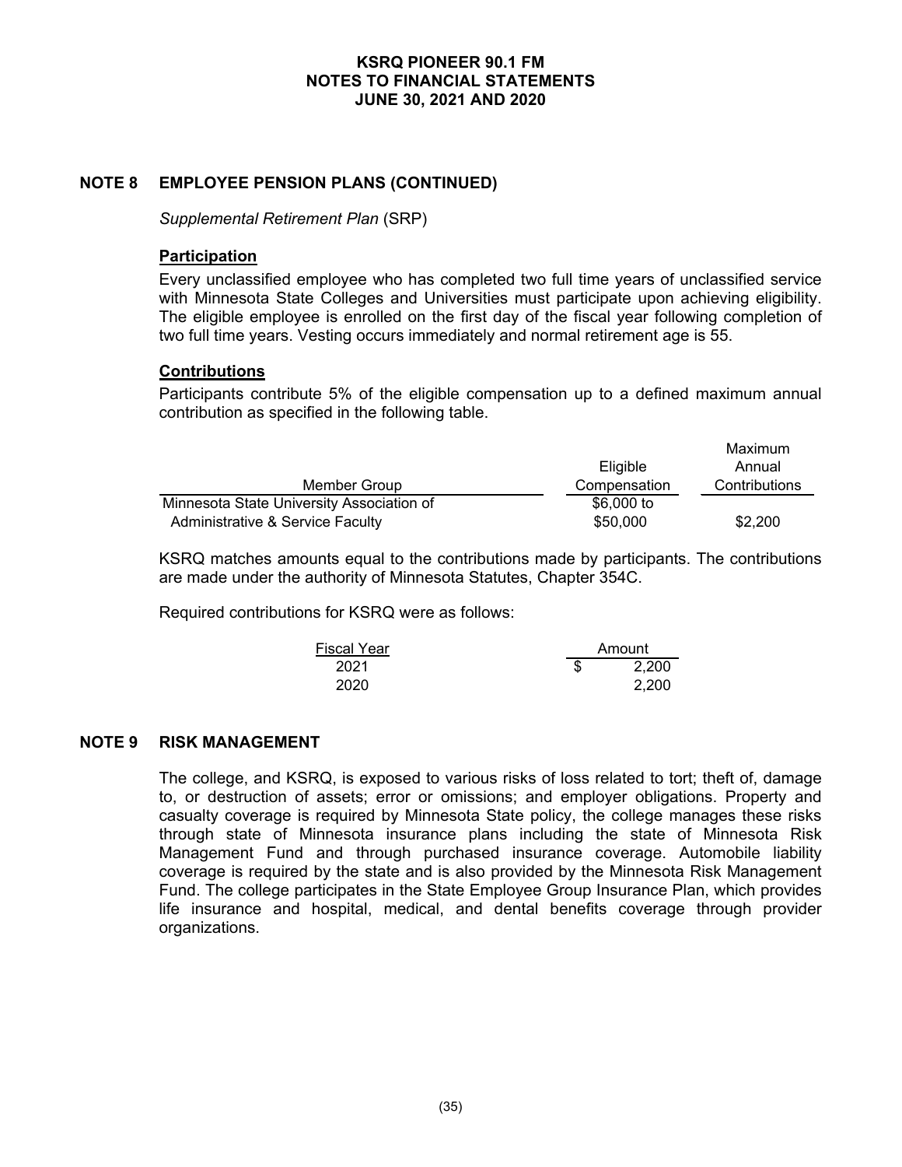## **NOTE 8 EMPLOYEE PENSION PLANS (CONTINUED)**

*Supplemental Retirement Plan* (SRP)

### **Participation**

Every unclassified employee who has completed two full time years of unclassified service with Minnesota State Colleges and Universities must participate upon achieving eligibility. The eligible employee is enrolled on the first day of the fiscal year following completion of two full time years. Vesting occurs immediately and normal retirement age is 55.

### **Contributions**

Participants contribute 5% of the eligible compensation up to a defined maximum annual contribution as specified in the following table.

|                                           |              | Maximum       |
|-------------------------------------------|--------------|---------------|
|                                           | Eligible     | Annual        |
| Member Group                              | Compensation | Contributions |
| Minnesota State University Association of | \$6,000 to   |               |
| Administrative & Service Faculty          | \$50,000     | \$2,200       |

KSRQ matches amounts equal to the contributions made by participants. The contributions are made under the authority of Minnesota Statutes, Chapter 354C.

Required contributions for KSRQ were as follows:

| Fiscal Year | Amount |       |  |
|-------------|--------|-------|--|
| 2021        |        | 2,200 |  |
| 2020        |        | 2.200 |  |

#### **NOTE 9 RISK MANAGEMENT**

The college, and KSRQ, is exposed to various risks of loss related to tort; theft of, damage to, or destruction of assets; error or omissions; and employer obligations. Property and casualty coverage is required by Minnesota State policy, the college manages these risks through state of Minnesota insurance plans including the state of Minnesota Risk Management Fund and through purchased insurance coverage. Automobile liability coverage is required by the state and is also provided by the Minnesota Risk Management Fund. The college participates in the State Employee Group Insurance Plan, which provides life insurance and hospital, medical, and dental benefits coverage through provider organizations.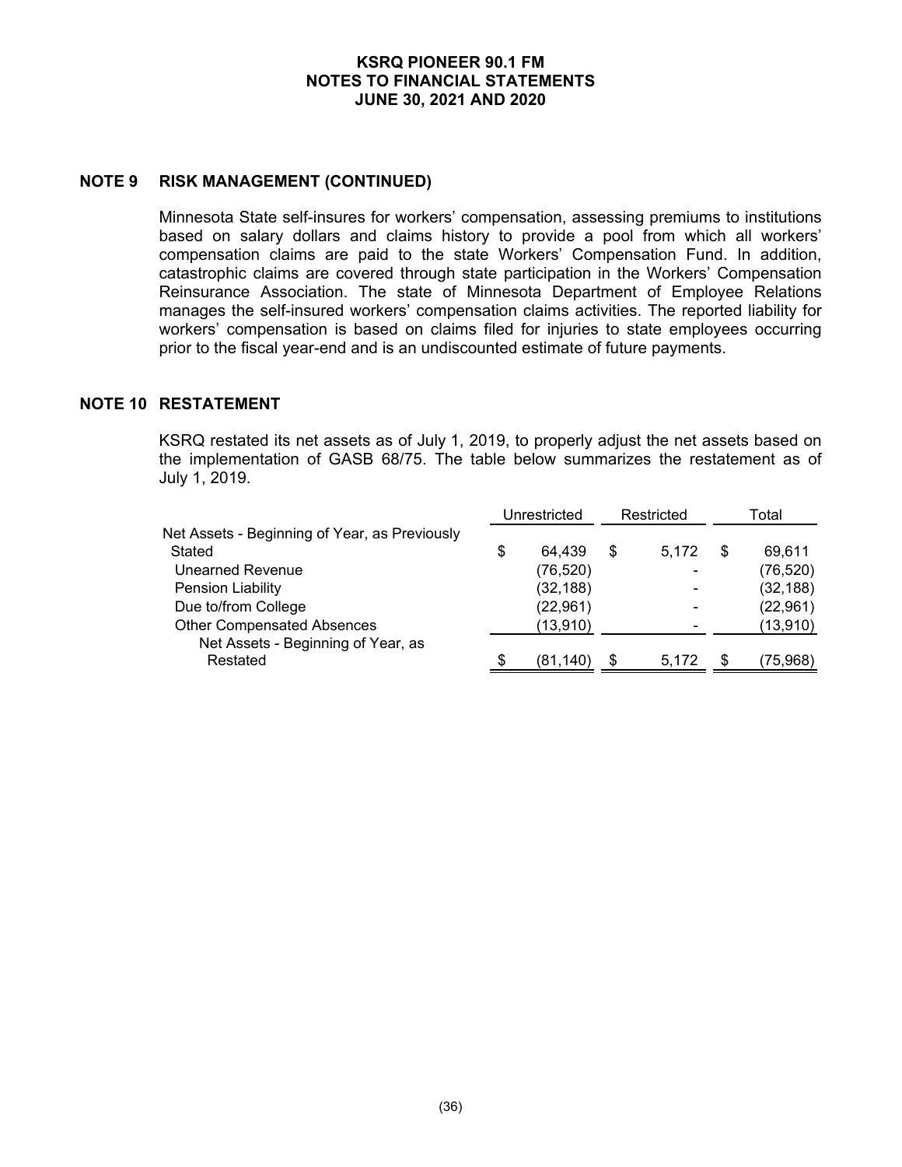## **NOTE 9 RISK MANAGEMENT (CONTINUED)**

Minnesota State self-insures for workers' compensation, assessing premiums to institutions based on salary dollars and claims history to provide a pool from which all workers' compensation claims are paid to the state Workers' Compensation Fund. In addition, catastrophic claims are covered through state participation in the Workers' Compensation Reinsurance Association. The state of Minnesota Department of Employee Relations manages the self-insured workers' compensation claims activities. The reported liability for workers' compensation is based on claims filed for injuries to state employees occurring prior to the fiscal year-end and is an undiscounted estimate of future payments.

## **NOTE 10 RESTATEMENT**

KSRQ restated its net assets as of July 1, 2019, to properly adjust the net assets based on the implementation of GASB 68/75. The table below summarizes the restatement as of July 1, 2019.

|                                               | Unrestricted |           | Restricted |                | Total |           |
|-----------------------------------------------|--------------|-----------|------------|----------------|-------|-----------|
| Net Assets - Beginning of Year, as Previously |              |           |            |                |       |           |
| Stated                                        | \$           | 64.439    | S          | 5.172          | \$    | 69.611    |
| Unearned Revenue                              |              | (76, 520) |            | $\blacksquare$ |       | (76, 520) |
| <b>Pension Liability</b>                      |              | (32, 188) |            |                |       | (32, 188) |
| Due to/from College                           |              | (22, 961) |            |                |       | (22, 961) |
| <b>Other Compensated Absences</b>             |              | (13, 910) |            |                |       | (13, 910) |
| Net Assets - Beginning of Year, as            |              |           |            |                |       |           |
| Restated                                      | \$           | (81,140)  | \$.        | 5.172          | \$    | (75,968)  |
|                                               |              |           |            |                |       |           |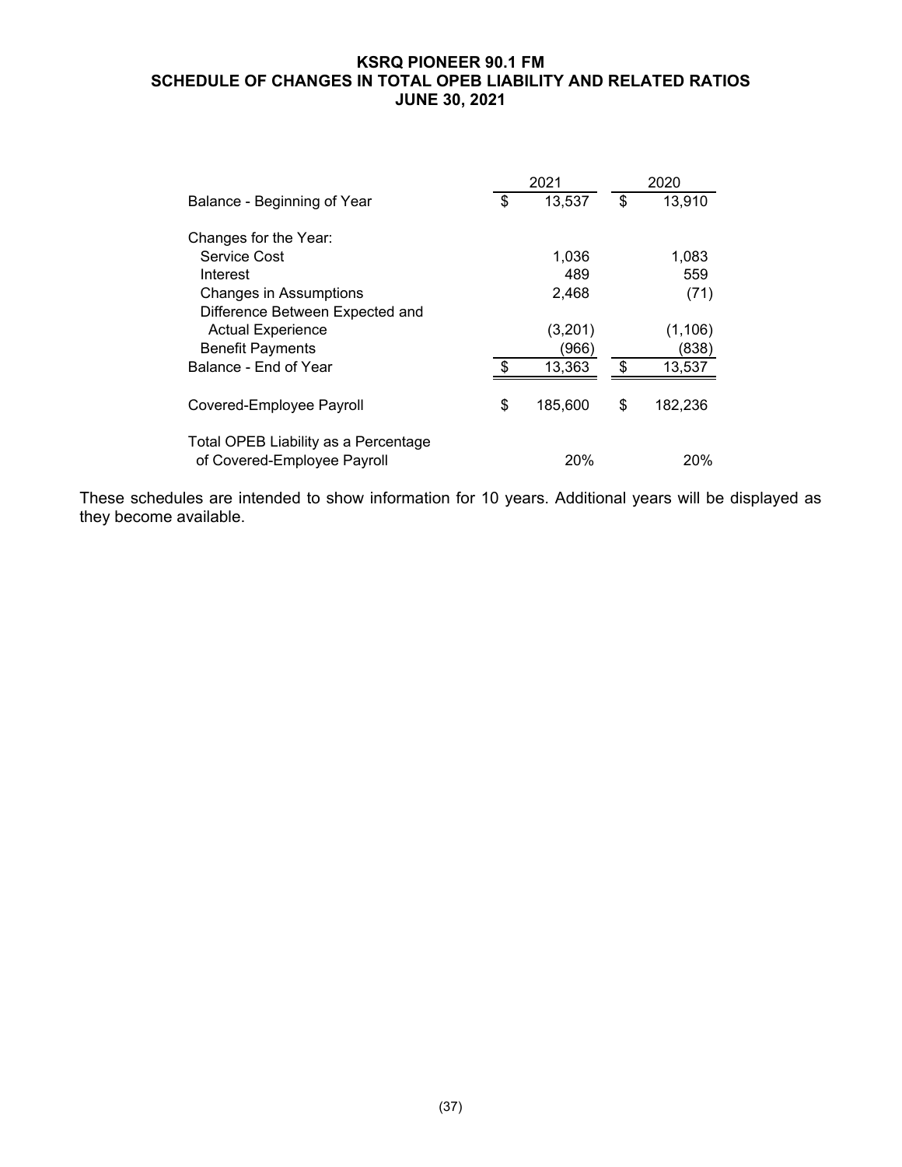# **KSRQ PIONEER 90.1 FM SCHEDULE OF CHANGES IN TOTAL OPEB LIABILITY AND RELATED RATIOS JUNE 30, 2021**

|                                                                     |    | 2021    |     | 2020     |  |
|---------------------------------------------------------------------|----|---------|-----|----------|--|
| Balance - Beginning of Year                                         |    | 13,537  | \$  | 13,910   |  |
| Changes for the Year:                                               |    |         |     |          |  |
| Service Cost                                                        |    | 1,036   |     | 1,083    |  |
| Interest                                                            |    | 489     |     | 559      |  |
| <b>Changes in Assumptions</b>                                       |    | 2,468   |     | (71)     |  |
| Difference Between Expected and                                     |    |         |     |          |  |
| <b>Actual Experience</b>                                            |    | (3,201) |     | (1, 106) |  |
| <b>Benefit Payments</b>                                             |    | (966)   |     | (838)    |  |
| Balance - End of Year                                               | \$ | 13,363  | \$. | 13,537   |  |
| Covered-Employee Payroll                                            | \$ | 185.600 | \$  | 182,236  |  |
| Total OPEB Liability as a Percentage<br>of Covered-Employee Payroll |    | 20%     |     | 20%      |  |

These schedules are intended to show information for 10 years. Additional years will be displayed as they become available.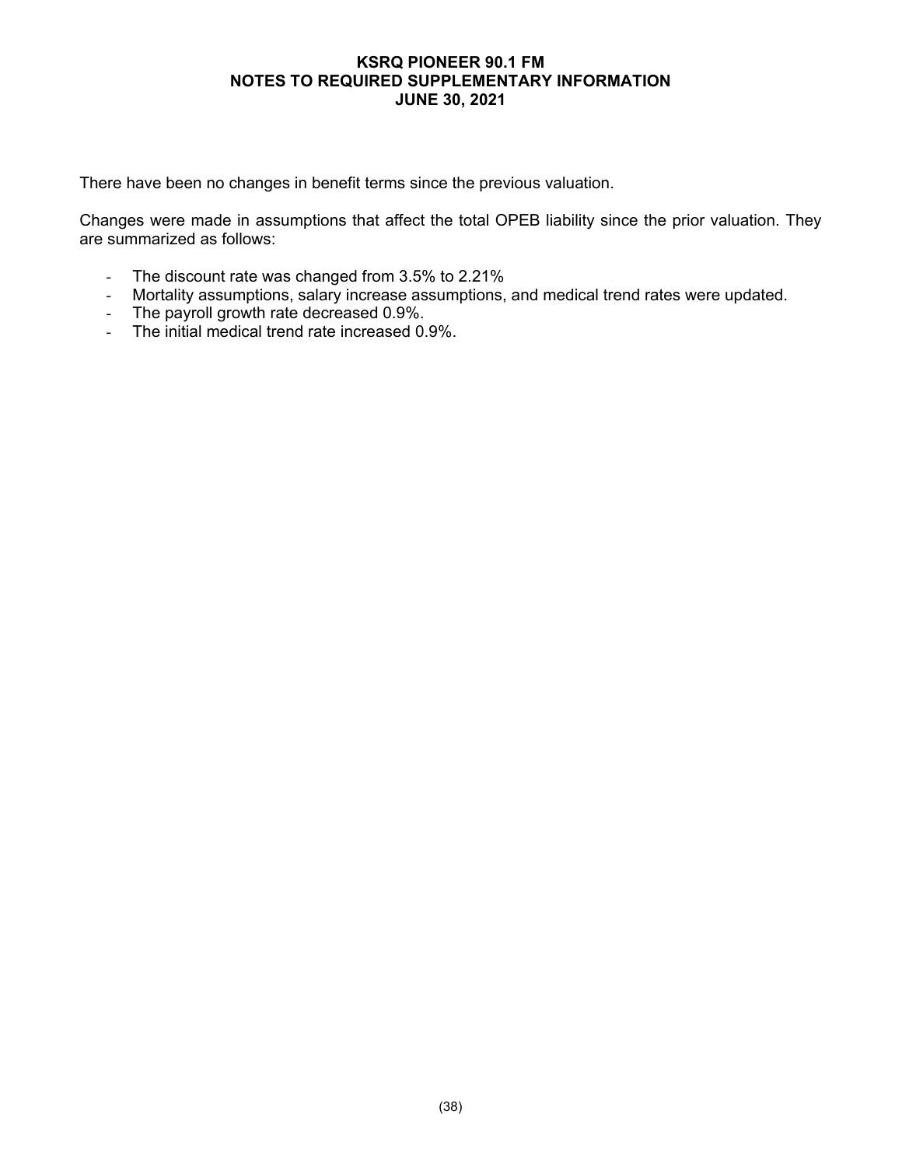### **KSRQ PIONEER 90.1 FM NOTES TO REQUIRED SUPPLEMENTARY INFORMATION JUNE 30, 2021**

There have been no changes in benefit terms since the previous valuation.

Changes were made in assumptions that affect the total OPEB liability since the prior valuation. They are summarized as follows:

- The discount rate was changed from 3.5% to 2.21%
- Mortality assumptions, salary increase assumptions, and medical trend rates were updated.
- The payroll growth rate decreased 0.9%.
- The initial medical trend rate increased 0.9%.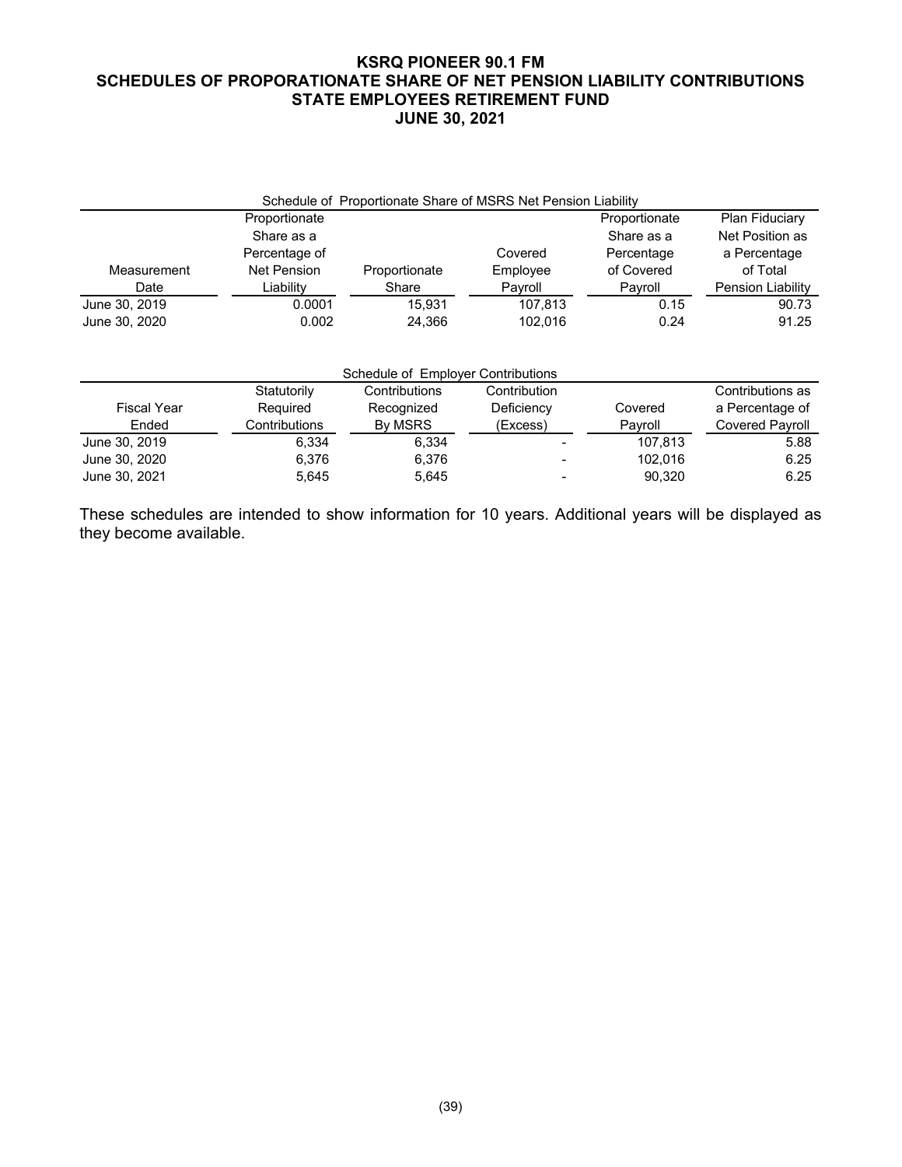#### **KSRQ PIONEER 90.1 FM SCHEDULES OF PROPORATIONATE SHARE OF NET PENSION LIABILITY CONTRIBUTIONS STATE EMPLOYEES RETIREMENT FUND JUNE 30, 2021**

|                    |               | Schedule of Proportionate Share of MSRS Net Pension Liability |              |               |                          |
|--------------------|---------------|---------------------------------------------------------------|--------------|---------------|--------------------------|
|                    | Proportionate |                                                               |              | Proportionate | Plan Fiduciary           |
|                    | Share as a    |                                                               |              | Share as a    | Net Position as          |
|                    | Percentage of |                                                               | Covered      | Percentage    | a Percentage             |
| Measurement        | Net Pension   | Proportionate                                                 | Employee     | of Covered    | of Total                 |
| Date               | Liability     | Share                                                         | Payroll      | Payroll       | <b>Pension Liability</b> |
| June 30, 2019      | 0.0001        | 15.931                                                        | 107.813      | 0.15          | 90.73                    |
| June 30, 2020      | 0.002         | 24.366                                                        | 102.016      | 0.24          | 91.25                    |
|                    |               | Schedule of Employer Contributions                            |              |               |                          |
|                    | Statutorily   | Contributions                                                 | Contribution |               | Contributions as         |
| <b>Fiscal Year</b> | Required      | Recognized                                                    | Deficiency   | Covered       | a Percentage of          |
| Ended              | Contributions | By MSRS                                                       | (Excess)     | Payroll       | <b>Covered Payroll</b>   |
| June 30, 2019      | 6,334         | 6,334                                                         |              | 107,813       | 5.88                     |

These schedules are intended to show information for 10 years. Additional years will be displayed as they become available.

June 30, 2020 6,376 6,376 - 102,016 6.25 June 30, 2021 5,645 5,645 5,645 5,645 5,645 5,645 5,645 5,645 5,645 5,645 5,645 5,645 5,645 5,645 5,645 5,645 5,645 5,645 5,645 5,645 5,645 5,645 5,645 5,645 5,645 5,645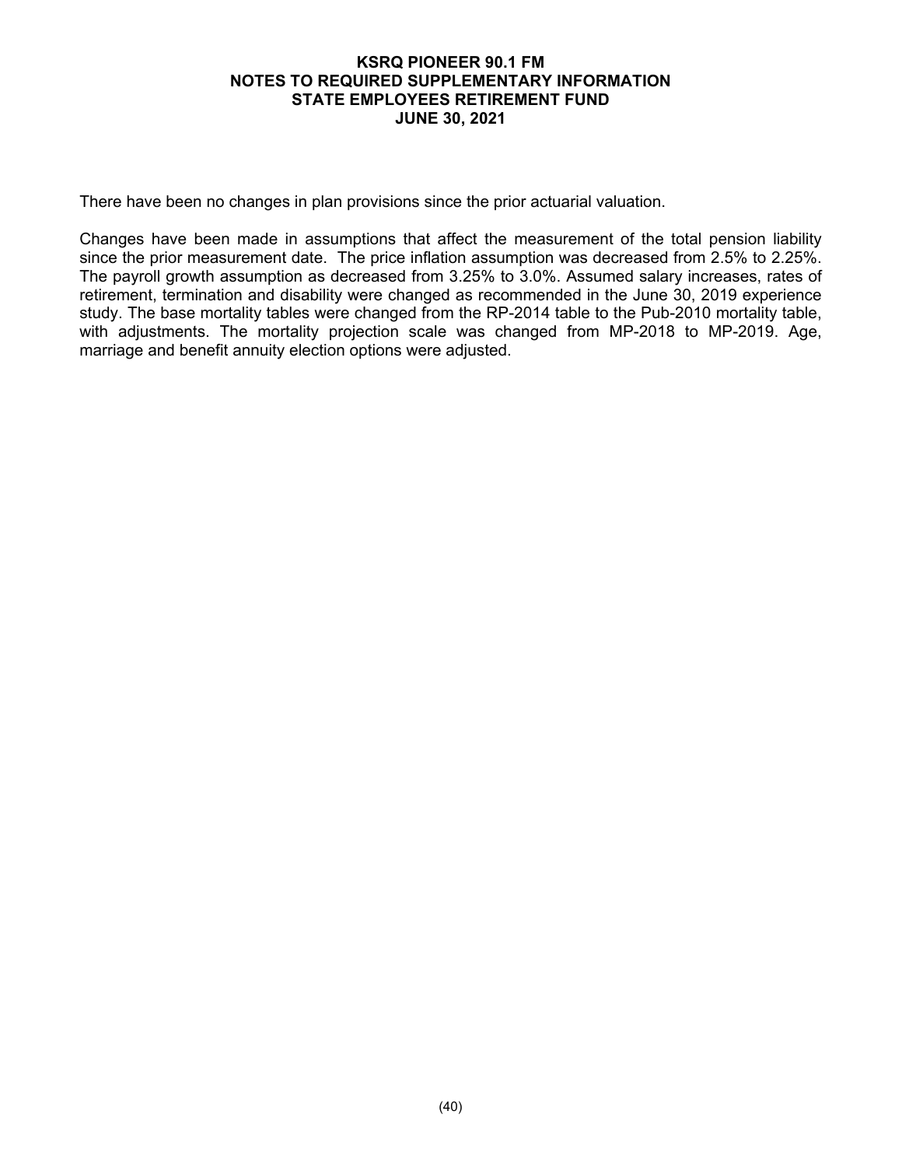#### **KSRQ PIONEER 90.1 FM NOTES TO REQUIRED SUPPLEMENTARY INFORMATION STATE EMPLOYEES RETIREMENT FUND JUNE 30, 2021**

There have been no changes in plan provisions since the prior actuarial valuation.

Changes have been made in assumptions that affect the measurement of the total pension liability since the prior measurement date. The price inflation assumption was decreased from 2.5% to 2.25%. The payroll growth assumption as decreased from 3.25% to 3.0%. Assumed salary increases, rates of retirement, termination and disability were changed as recommended in the June 30, 2019 experience study. The base mortality tables were changed from the RP-2014 table to the Pub-2010 mortality table, with adjustments. The mortality projection scale was changed from MP-2018 to MP-2019. Age, marriage and benefit annuity election options were adjusted.